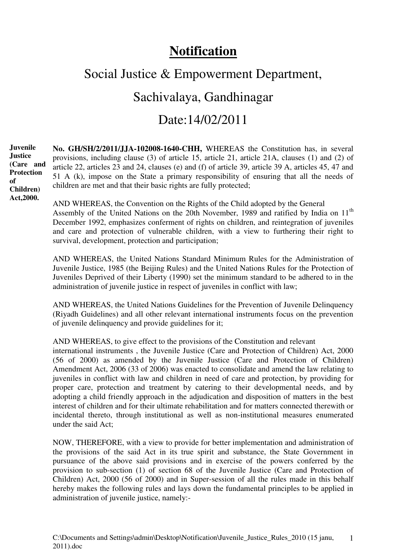# **Notification**

# Social Justice & Empowerment Department,

# Sachivalaya, Gandhinagar

# Date:14/02/2011

**No. GH/SH/2/2011/JJA-102008-1640-CHH,** WHEREAS the Constitution has, in several provisions, including clause (3) of article 15, article 21, article 21A, clauses (1) and (2) of article 22, articles 23 and 24, clauses (e) and (f) of article 39, article 39 A, articles 45, 47 and 51 A (k), impose on the State a primary responsibility of ensuring that all the needs of children are met and that their basic rights are fully protected; **Juvenile Justice (Care and Protection Children)** 

**of** 

**Act,2000.** 

AND WHEREAS, the Convention on the Rights of the Child adopted by the General Assembly of the United Nations on the 20th November, 1989 and ratified by India on 11<sup>th</sup> December 1992, emphasizes conferment of rights on children, and reintegration of juveniles and care and protection of vulnerable children, with a view to furthering their right to survival, development, protection and participation;

AND WHEREAS, the United Nations Standard Minimum Rules for the Administration of Juvenile Justice, 1985 (the Beijing Rules) and the United Nations Rules for the Protection of Juveniles Deprived of their Liberty (1990) set the minimum standard to be adhered to in the administration of juvenile justice in respect of juveniles in conflict with law;

AND WHEREAS, the United Nations Guidelines for the Prevention of Juvenile Delinquency (Riyadh Guidelines) and all other relevant international instruments focus on the prevention of juvenile delinquency and provide guidelines for it;

AND WHEREAS, to give effect to the provisions of the Constitution and relevant

international instruments , the Juvenile Justice (Care and Protection of Children) Act, 2000 (56 of 2000) as amended by the Juvenile Justice (Care and Protection of Children) Amendment Act, 2006 (33 of 2006) was enacted to consolidate and amend the law relating to juveniles in conflict with law and children in need of care and protection, by providing for proper care, protection and treatment by catering to their developmental needs, and by adopting a child friendly approach in the adjudication and disposition of matters in the best interest of children and for their ultimate rehabilitation and for matters connected therewith or incidental thereto, through institutional as well as non-institutional measures enumerated under the said Act;

NOW, THEREFORE, with a view to provide for better implementation and administration of the provisions of the said Act in its true spirit and substance, the State Government in pursuance of the above said provisions and in exercise of the powers conferred by the provision to sub-section (1) of section 68 of the Juvenile Justice (Care and Protection of Children) Act, 2000 (56 of 2000) and in Super-session of all the rules made in this behalf hereby makes the following rules and lays down the fundamental principles to be applied in administration of juvenile justice, namely:-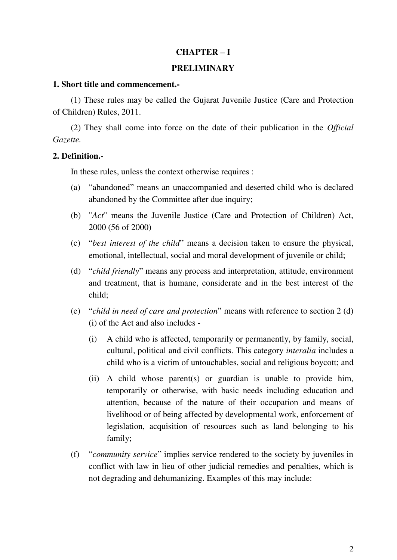## **CHAPTER – I**

#### **PRELIMINARY**

#### **1. Short title and commencement.-**

(1) These rules may be called the Gujarat Juvenile Justice (Care and Protection of Children) Rules, 2011.

(2) They shall come into force on the date of their publication in the *Official Gazette.*

#### **2. Definition.-**

In these rules, unless the context otherwise requires :

- (a) "abandoned" means an unaccompanied and deserted child who is declared abandoned by the Committee after due inquiry;
- (b) "*Act*" means the Juvenile Justice (Care and Protection of Children) Act, 2000 (56 of 2000)
- (c) "*best interest of the child*" means a decision taken to ensure the physical, emotional, intellectual, social and moral development of juvenile or child;
- (d) "*child friendly*" means any process and interpretation, attitude, environment and treatment, that is humane, considerate and in the best interest of the child;
- (e) "*child in need of care and protection*" means with reference to section 2 (d) (i) of the Act and also includes -
	- (i) A child who is affected, temporarily or permanently, by family, social, cultural, political and civil conflicts. This category *interalia* includes a child who is a victim of untouchables, social and religious boycott; and
	- (ii) A child whose parent(s) or guardian is unable to provide him, temporarily or otherwise, with basic needs including education and attention, because of the nature of their occupation and means of livelihood or of being affected by developmental work, enforcement of legislation, acquisition of resources such as land belonging to his family;
- (f) "*community service*" implies service rendered to the society by juveniles in conflict with law in lieu of other judicial remedies and penalties, which is not degrading and dehumanizing. Examples of this may include: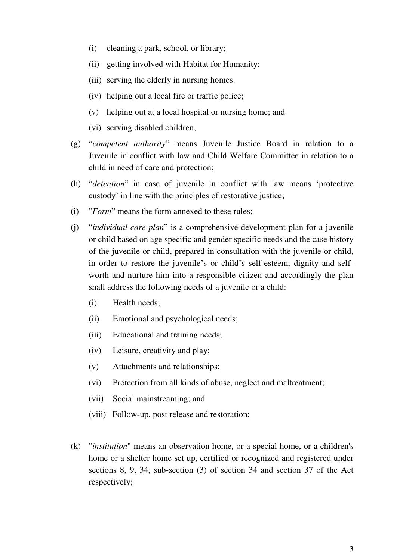- (i) cleaning a park, school, or library;
- (ii) getting involved with Habitat for Humanity;
- (iii) serving the elderly in nursing homes.
- (iv) helping out a local fire or traffic police;
- (v) helping out at a local hospital or nursing home; and
- (vi) serving disabled children,
- (g) "*competent authority*" means Juvenile Justice Board in relation to a Juvenile in conflict with law and Child Welfare Committee in relation to a child in need of care and protection;
- (h) "*detention*" in case of juvenile in conflict with law means 'protective custody' in line with the principles of restorative justice;
- (i) "*Form*" means the form annexed to these rules;
- (j) "*individual care plan*" is a comprehensive development plan for a juvenile or child based on age specific and gender specific needs and the case history of the juvenile or child, prepared in consultation with the juvenile or child, in order to restore the juvenile's or child's self-esteem, dignity and selfworth and nurture him into a responsible citizen and accordingly the plan shall address the following needs of a juvenile or a child:
	- (i) Health needs;
	- (ii) Emotional and psychological needs;
	- (iii) Educational and training needs;
	- (iv) Leisure, creativity and play;
	- (v) Attachments and relationships;
	- (vi) Protection from all kinds of abuse, neglect and maltreatment;
	- (vii) Social mainstreaming; and
	- (viii) Follow-up, post release and restoration;
- (k) "*institution*" means an observation home, or a special home, or a children's home or a shelter home set up, certified or recognized and registered under sections 8, 9, 34, sub-section (3) of section 34 and section 37 of the Act respectively;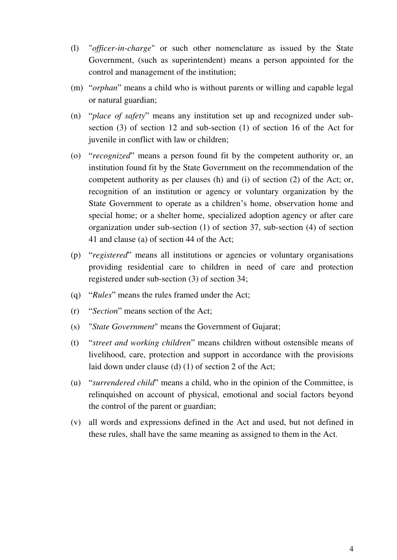- (l) "*officer-in-charge*" or such other nomenclature as issued by the State Government, (such as superintendent) means a person appointed for the control and management of the institution;
- (m) "*orphan*" means a child who is without parents or willing and capable legal or natural guardian;
- (n) "*place of safety*" means any institution set up and recognized under subsection (3) of section 12 and sub-section (1) of section 16 of the Act for juvenile in conflict with law or children;
- (o) "*recognized*" means a person found fit by the competent authority or, an institution found fit by the State Government on the recommendation of the competent authority as per clauses (h) and (i) of section (2) of the Act; or, recognition of an institution or agency or voluntary organization by the State Government to operate as a children's home, observation home and special home; or a shelter home, specialized adoption agency or after care organization under sub-section (1) of section 37, sub-section (4) of section 41 and clause (a) of section 44 of the Act;
- (p) "*registered*" means all institutions or agencies or voluntary organisations providing residential care to children in need of care and protection registered under sub-section (3) of section 34;
- (q) "*Rules*" means the rules framed under the Act;
- (r) "*Section*" means section of the Act;
- (s) "*State Government*" means the Government of Gujarat;
- (t) "*street and working children*" means children without ostensible means of livelihood, care, protection and support in accordance with the provisions laid down under clause (d) (1) of section 2 of the Act;
- (u) "*surrendered child*" means a child, who in the opinion of the Committee, is relinquished on account of physical, emotional and social factors beyond the control of the parent or guardian;
- (v) all words and expressions defined in the Act and used, but not defined in these rules, shall have the same meaning as assigned to them in the Act.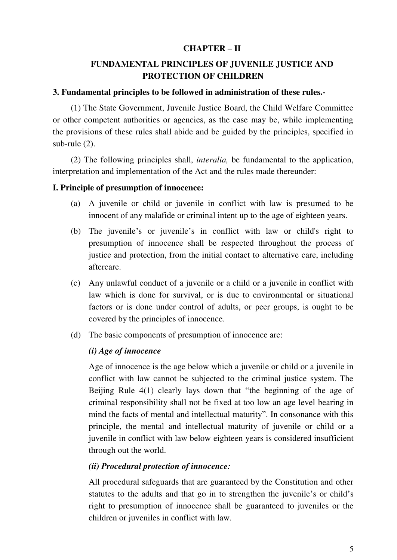# **CHAPTER – II**

# **FUNDAMENTAL PRINCIPLES OF JUVENILE JUSTICE AND PROTECTION OF CHILDREN**

## **3. Fundamental principles to be followed in administration of these rules.-**

(1) The State Government, Juvenile Justice Board, the Child Welfare Committee or other competent authorities or agencies, as the case may be, while implementing the provisions of these rules shall abide and be guided by the principles, specified in sub-rule (2).

(2) The following principles shall, *interalia,* be fundamental to the application, interpretation and implementation of the Act and the rules made thereunder:

# **I. Principle of presumption of innocence:**

- (a) A juvenile or child or juvenile in conflict with law is presumed to be innocent of any malafide or criminal intent up to the age of eighteen years.
- (b) The juvenile's or juvenile's in conflict with law or child's right to presumption of innocence shall be respected throughout the process of justice and protection, from the initial contact to alternative care, including aftercare.
- (c) Any unlawful conduct of a juvenile or a child or a juvenile in conflict with law which is done for survival, or is due to environmental or situational factors or is done under control of adults, or peer groups, is ought to be covered by the principles of innocence.
- (d) The basic components of presumption of innocence are:

# *(i) Age of innocence*

Age of innocence is the age below which a juvenile or child or a juvenile in conflict with law cannot be subjected to the criminal justice system. The Beijing Rule 4(1) clearly lays down that "the beginning of the age of criminal responsibility shall not be fixed at too low an age level bearing in mind the facts of mental and intellectual maturity". In consonance with this principle, the mental and intellectual maturity of juvenile or child or a juvenile in conflict with law below eighteen years is considered insufficient through out the world.

# *(ii) Procedural protection of innocence:*

All procedural safeguards that are guaranteed by the Constitution and other statutes to the adults and that go in to strengthen the juvenile's or child's right to presumption of innocence shall be guaranteed to juveniles or the children or juveniles in conflict with law.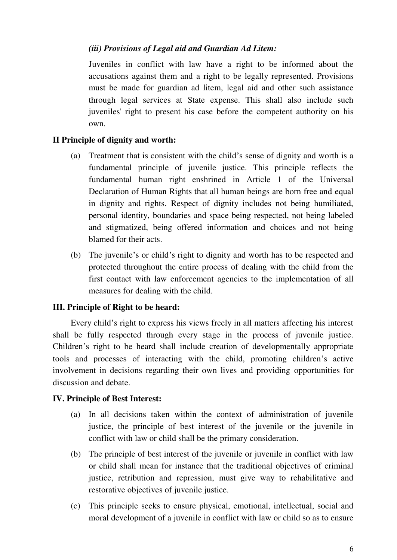# *(iii) Provisions of Legal aid and Guardian Ad Litem:*

Juveniles in conflict with law have a right to be informed about the accusations against them and a right to be legally represented. Provisions must be made for guardian ad litem, legal aid and other such assistance through legal services at State expense. This shall also include such juveniles' right to present his case before the competent authority on his own.

# **II Principle of dignity and worth:**

- (a) Treatment that is consistent with the child's sense of dignity and worth is a fundamental principle of juvenile justice. This principle reflects the fundamental human right enshrined in Article 1 of the Universal Declaration of Human Rights that all human beings are born free and equal in dignity and rights. Respect of dignity includes not being humiliated, personal identity, boundaries and space being respected, not being labeled and stigmatized, being offered information and choices and not being blamed for their acts.
- (b) The juvenile's or child's right to dignity and worth has to be respected and protected throughout the entire process of dealing with the child from the first contact with law enforcement agencies to the implementation of all measures for dealing with the child.

# **III. Principle of Right to be heard:**

Every child's right to express his views freely in all matters affecting his interest shall be fully respected through every stage in the process of juvenile justice. Children's right to be heard shall include creation of developmentally appropriate tools and processes of interacting with the child, promoting children's active involvement in decisions regarding their own lives and providing opportunities for discussion and debate.

# **IV. Principle of Best Interest:**

- (a) In all decisions taken within the context of administration of juvenile justice, the principle of best interest of the juvenile or the juvenile in conflict with law or child shall be the primary consideration.
- (b) The principle of best interest of the juvenile or juvenile in conflict with law or child shall mean for instance that the traditional objectives of criminal justice, retribution and repression, must give way to rehabilitative and restorative objectives of juvenile justice.
- (c) This principle seeks to ensure physical, emotional, intellectual, social and moral development of a juvenile in conflict with law or child so as to ensure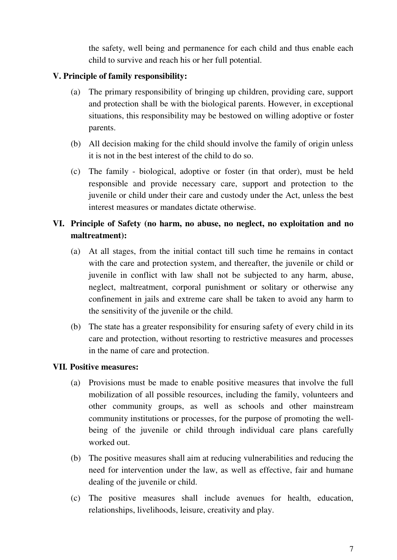the safety, well being and permanence for each child and thus enable each child to survive and reach his or her full potential.

# **V. Principle of family responsibility:**

- (a) The primary responsibility of bringing up children, providing care, support and protection shall be with the biological parents. However, in exceptional situations, this responsibility may be bestowed on willing adoptive or foster parents.
- (b) All decision making for the child should involve the family of origin unless it is not in the best interest of the child to do so.
- (c) The family biological, adoptive or foster (in that order), must be held responsible and provide necessary care, support and protection to the juvenile or child under their care and custody under the Act, unless the best interest measures or mandates dictate otherwise.

# **VI. Principle of Safety (no harm, no abuse, no neglect, no exploitation and no maltreatment):**

- (a) At all stages, from the initial contact till such time he remains in contact with the care and protection system, and thereafter, the juvenile or child or juvenile in conflict with law shall not be subjected to any harm, abuse, neglect, maltreatment, corporal punishment or solitary or otherwise any confinement in jails and extreme care shall be taken to avoid any harm to the sensitivity of the juvenile or the child.
- (b) The state has a greater responsibility for ensuring safety of every child in its care and protection, without resorting to restrictive measures and processes in the name of care and protection.

# **VII***.* **Positive measures:**

- (a) Provisions must be made to enable positive measures that involve the full mobilization of all possible resources, including the family, volunteers and other community groups, as well as schools and other mainstream community institutions or processes, for the purpose of promoting the wellbeing of the juvenile or child through individual care plans carefully worked out.
- (b) The positive measures shall aim at reducing vulnerabilities and reducing the need for intervention under the law, as well as effective, fair and humane dealing of the juvenile or child.
- (c) The positive measures shall include avenues for health, education, relationships, livelihoods, leisure, creativity and play.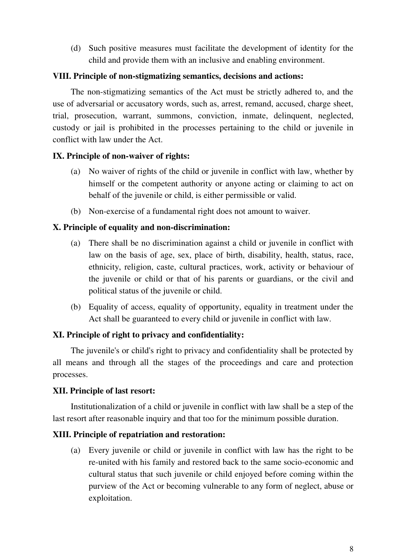(d) Such positive measures must facilitate the development of identity for the child and provide them with an inclusive and enabling environment.

# **VIII. Principle of non-stigmatizing semantics, decisions and actions:**

The non-stigmatizing semantics of the Act must be strictly adhered to, and the use of adversarial or accusatory words, such as, arrest, remand, accused, charge sheet, trial, prosecution, warrant, summons, conviction, inmate, delinquent, neglected, custody or jail is prohibited in the processes pertaining to the child or juvenile in conflict with law under the Act.

# **IX. Principle of non-waiver of rights:**

- (a) No waiver of rights of the child or juvenile in conflict with law, whether by himself or the competent authority or anyone acting or claiming to act on behalf of the juvenile or child, is either permissible or valid.
- (b) Non-exercise of a fundamental right does not amount to waiver.

# **X. Principle of equality and non-discrimination:**

- (a) There shall be no discrimination against a child or juvenile in conflict with law on the basis of age, sex, place of birth, disability, health, status, race, ethnicity, religion, caste, cultural practices, work, activity or behaviour of the juvenile or child or that of his parents or guardians, or the civil and political status of the juvenile or child.
- (b) Equality of access, equality of opportunity, equality in treatment under the Act shall be guaranteed to every child or juvenile in conflict with law.

# **XI. Principle of right to privacy and confidentiality:**

The juvenile's or child's right to privacy and confidentiality shall be protected by all means and through all the stages of the proceedings and care and protection processes.

# **XII. Principle of last resort:**

Institutionalization of a child or juvenile in conflict with law shall be a step of the last resort after reasonable inquiry and that too for the minimum possible duration.

# **XIII. Principle of repatriation and restoration:**

(a) Every juvenile or child or juvenile in conflict with law has the right to be re-united with his family and restored back to the same socio-economic and cultural status that such juvenile or child enjoyed before coming within the purview of the Act or becoming vulnerable to any form of neglect, abuse or exploitation.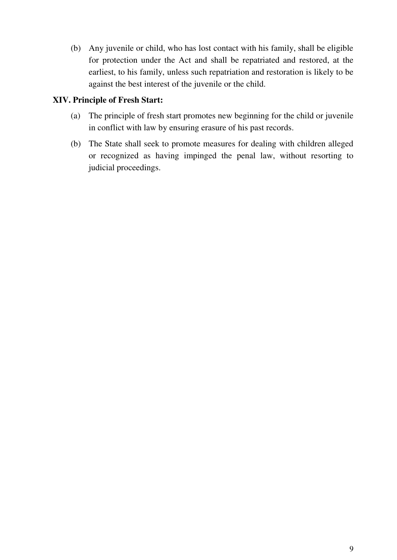(b) Any juvenile or child, who has lost contact with his family, shall be eligible for protection under the Act and shall be repatriated and restored, at the earliest, to his family, unless such repatriation and restoration is likely to be against the best interest of the juvenile or the child.

# **XIV. Principle of Fresh Start:**

- (a) The principle of fresh start promotes new beginning for the child or juvenile in conflict with law by ensuring erasure of his past records.
- (b) The State shall seek to promote measures for dealing with children alleged or recognized as having impinged the penal law, without resorting to judicial proceedings.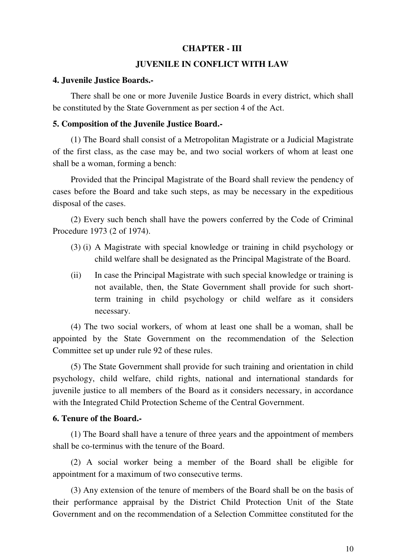#### **CHAPTER - III**

# **JUVENILE IN CONFLICT WITH LAW**

#### **4. Juvenile Justice Boards.-**

There shall be one or more Juvenile Justice Boards in every district, which shall be constituted by the State Government as per section 4 of the Act.

#### **5. Composition of the Juvenile Justice Board.-**

(1) The Board shall consist of a Metropolitan Magistrate or a Judicial Magistrate of the first class, as the case may be, and two social workers of whom at least one shall be a woman, forming a bench:

Provided that the Principal Magistrate of the Board shall review the pendency of cases before the Board and take such steps, as may be necessary in the expeditious disposal of the cases.

(2) Every such bench shall have the powers conferred by the Code of Criminal Procedure 1973 (2 of 1974).

- (3) (i) A Magistrate with special knowledge or training in child psychology or child welfare shall be designated as the Principal Magistrate of the Board.
- (ii) In case the Principal Magistrate with such special knowledge or training is not available, then, the State Government shall provide for such shortterm training in child psychology or child welfare as it considers necessary.

(4) The two social workers, of whom at least one shall be a woman, shall be appointed by the State Government on the recommendation of the Selection Committee set up under rule 92 of these rules.

(5) The State Government shall provide for such training and orientation in child psychology, child welfare, child rights, national and international standards for juvenile justice to all members of the Board as it considers necessary, in accordance with the Integrated Child Protection Scheme of the Central Government.

#### **6. Tenure of the Board.-**

(1) The Board shall have a tenure of three years and the appointment of members shall be co-terminus with the tenure of the Board.

(2) A social worker being a member of the Board shall be eligible for appointment for a maximum of two consecutive terms.

(3) Any extension of the tenure of members of the Board shall be on the basis of their performance appraisal by the District Child Protection Unit of the State Government and on the recommendation of a Selection Committee constituted for the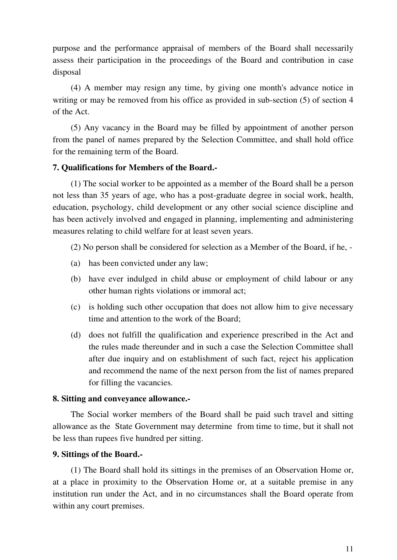purpose and the performance appraisal of members of the Board shall necessarily assess their participation in the proceedings of the Board and contribution in case disposal

(4) A member may resign any time, by giving one month's advance notice in writing or may be removed from his office as provided in sub-section (5) of section 4 of the Act.

(5) Any vacancy in the Board may be filled by appointment of another person from the panel of names prepared by the Selection Committee, and shall hold office for the remaining term of the Board.

# **7. Qualifications for Members of the Board.-**

(1) The social worker to be appointed as a member of the Board shall be a person not less than 35 years of age, who has a post-graduate degree in social work, health, education, psychology, child development or any other social science discipline and has been actively involved and engaged in planning, implementing and administering measures relating to child welfare for at least seven years.

(2) No person shall be considered for selection as a Member of the Board, if he, -

- (a) has been convicted under any law;
- (b) have ever indulged in child abuse or employment of child labour or any other human rights violations or immoral act;
- (c) is holding such other occupation that does not allow him to give necessary time and attention to the work of the Board;
- (d) does not fulfill the qualification and experience prescribed in the Act and the rules made thereunder and in such a case the Selection Committee shall after due inquiry and on establishment of such fact, reject his application and recommend the name of the next person from the list of names prepared for filling the vacancies.

## **8. Sitting and conveyance allowance.-**

The Social worker members of the Board shall be paid such travel and sitting allowance as the State Government may determine from time to time, but it shall not be less than rupees five hundred per sitting.

# **9. Sittings of the Board.-**

(1) The Board shall hold its sittings in the premises of an Observation Home or, at a place in proximity to the Observation Home or, at a suitable premise in any institution run under the Act, and in no circumstances shall the Board operate from within any court premises.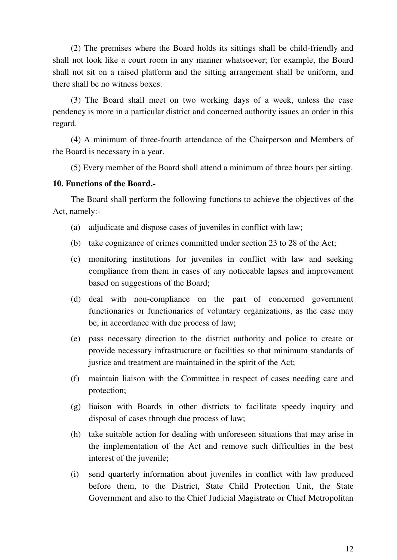(2) The premises where the Board holds its sittings shall be child-friendly and shall not look like a court room in any manner whatsoever; for example, the Board shall not sit on a raised platform and the sitting arrangement shall be uniform, and there shall be no witness boxes.

(3) The Board shall meet on two working days of a week, unless the case pendency is more in a particular district and concerned authority issues an order in this regard.

(4) A minimum of three-fourth attendance of the Chairperson and Members of the Board is necessary in a year.

(5) Every member of the Board shall attend a minimum of three hours per sitting.

#### **10. Functions of the Board.-**

The Board shall perform the following functions to achieve the objectives of the Act, namely:-

- (a) adjudicate and dispose cases of juveniles in conflict with law;
- (b) take cognizance of crimes committed under section 23 to 28 of the Act;
- (c) monitoring institutions for juveniles in conflict with law and seeking compliance from them in cases of any noticeable lapses and improvement based on suggestions of the Board;
- (d) deal with non-compliance on the part of concerned government functionaries or functionaries of voluntary organizations, as the case may be, in accordance with due process of law;
- (e) pass necessary direction to the district authority and police to create or provide necessary infrastructure or facilities so that minimum standards of justice and treatment are maintained in the spirit of the Act;
- (f) maintain liaison with the Committee in respect of cases needing care and protection;
- (g) liaison with Boards in other districts to facilitate speedy inquiry and disposal of cases through due process of law;
- (h) take suitable action for dealing with unforeseen situations that may arise in the implementation of the Act and remove such difficulties in the best interest of the juvenile;
- (i) send quarterly information about juveniles in conflict with law produced before them, to the District, State Child Protection Unit, the State Government and also to the Chief Judicial Magistrate or Chief Metropolitan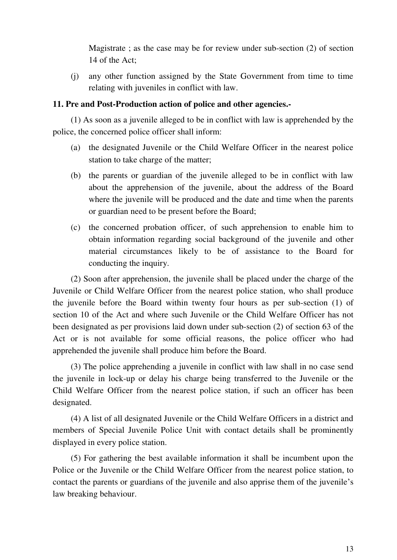Magistrate ; as the case may be for review under sub-section (2) of section 14 of the Act;

(j) any other function assigned by the State Government from time to time relating with juveniles in conflict with law.

## **11. Pre and Post-Production action of police and other agencies.-**

(1) As soon as a juvenile alleged to be in conflict with law is apprehended by the police, the concerned police officer shall inform:

- (a) the designated Juvenile or the Child Welfare Officer in the nearest police station to take charge of the matter;
- (b) the parents or guardian of the juvenile alleged to be in conflict with law about the apprehension of the juvenile, about the address of the Board where the juvenile will be produced and the date and time when the parents or guardian need to be present before the Board;
- (c) the concerned probation officer, of such apprehension to enable him to obtain information regarding social background of the juvenile and other material circumstances likely to be of assistance to the Board for conducting the inquiry.

(2) Soon after apprehension, the juvenile shall be placed under the charge of the Juvenile or Child Welfare Officer from the nearest police station, who shall produce the juvenile before the Board within twenty four hours as per sub-section (1) of section 10 of the Act and where such Juvenile or the Child Welfare Officer has not been designated as per provisions laid down under sub-section (2) of section 63 of the Act or is not available for some official reasons, the police officer who had apprehended the juvenile shall produce him before the Board.

(3) The police apprehending a juvenile in conflict with law shall in no case send the juvenile in lock-up or delay his charge being transferred to the Juvenile or the Child Welfare Officer from the nearest police station, if such an officer has been designated.

(4) A list of all designated Juvenile or the Child Welfare Officers in a district and members of Special Juvenile Police Unit with contact details shall be prominently displayed in every police station.

(5) For gathering the best available information it shall be incumbent upon the Police or the Juvenile or the Child Welfare Officer from the nearest police station, to contact the parents or guardians of the juvenile and also apprise them of the juvenile's law breaking behaviour.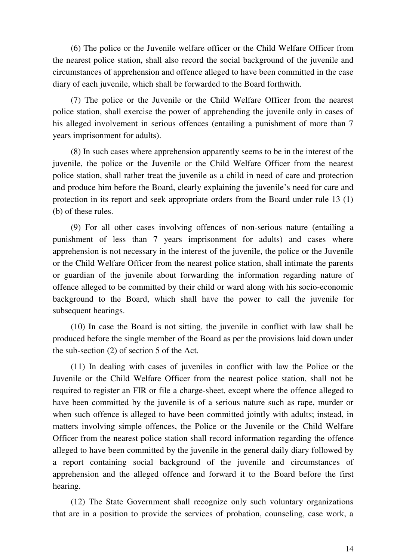(6) The police or the Juvenile welfare officer or the Child Welfare Officer from the nearest police station, shall also record the social background of the juvenile and circumstances of apprehension and offence alleged to have been committed in the case diary of each juvenile, which shall be forwarded to the Board forthwith.

(7) The police or the Juvenile or the Child Welfare Officer from the nearest police station, shall exercise the power of apprehending the juvenile only in cases of his alleged involvement in serious offences (entailing a punishment of more than 7 years imprisonment for adults).

(8) In such cases where apprehension apparently seems to be in the interest of the juvenile, the police or the Juvenile or the Child Welfare Officer from the nearest police station, shall rather treat the juvenile as a child in need of care and protection and produce him before the Board, clearly explaining the juvenile's need for care and protection in its report and seek appropriate orders from the Board under rule 13 (1) (b) of these rules.

(9) For all other cases involving offences of non-serious nature (entailing a punishment of less than 7 years imprisonment for adults) and cases where apprehension is not necessary in the interest of the juvenile, the police or the Juvenile or the Child Welfare Officer from the nearest police station, shall intimate the parents or guardian of the juvenile about forwarding the information regarding nature of offence alleged to be committed by their child or ward along with his socio-economic background to the Board, which shall have the power to call the juvenile for subsequent hearings.

(10) In case the Board is not sitting, the juvenile in conflict with law shall be produced before the single member of the Board as per the provisions laid down under the sub-section (2) of section 5 of the Act.

(11) In dealing with cases of juveniles in conflict with law the Police or the Juvenile or the Child Welfare Officer from the nearest police station, shall not be required to register an FIR or file a charge-sheet, except where the offence alleged to have been committed by the juvenile is of a serious nature such as rape, murder or when such offence is alleged to have been committed jointly with adults; instead, in matters involving simple offences, the Police or the Juvenile or the Child Welfare Officer from the nearest police station shall record information regarding the offence alleged to have been committed by the juvenile in the general daily diary followed by a report containing social background of the juvenile and circumstances of apprehension and the alleged offence and forward it to the Board before the first hearing.

(12) The State Government shall recognize only such voluntary organizations that are in a position to provide the services of probation, counseling, case work, a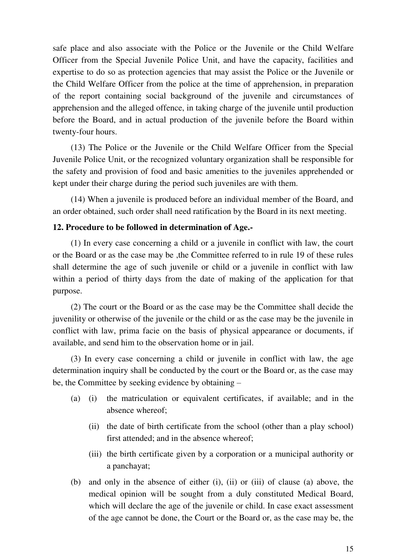safe place and also associate with the Police or the Juvenile or the Child Welfare Officer from the Special Juvenile Police Unit, and have the capacity, facilities and expertise to do so as protection agencies that may assist the Police or the Juvenile or the Child Welfare Officer from the police at the time of apprehension, in preparation of the report containing social background of the juvenile and circumstances of apprehension and the alleged offence, in taking charge of the juvenile until production before the Board, and in actual production of the juvenile before the Board within twenty-four hours.

(13) The Police or the Juvenile or the Child Welfare Officer from the Special Juvenile Police Unit, or the recognized voluntary organization shall be responsible for the safety and provision of food and basic amenities to the juveniles apprehended or kept under their charge during the period such juveniles are with them.

(14) When a juvenile is produced before an individual member of the Board, and an order obtained, such order shall need ratification by the Board in its next meeting.

# **12. Procedure to be followed in determination of Age.-**

(1) In every case concerning a child or a juvenile in conflict with law, the court or the Board or as the case may be ,the Committee referred to in rule 19 of these rules shall determine the age of such juvenile or child or a juvenile in conflict with law within a period of thirty days from the date of making of the application for that purpose.

(2) The court or the Board or as the case may be the Committee shall decide the juvenility or otherwise of the juvenile or the child or as the case may be the juvenile in conflict with law, prima facie on the basis of physical appearance or documents, if available, and send him to the observation home or in jail.

(3) In every case concerning a child or juvenile in conflict with law, the age determination inquiry shall be conducted by the court or the Board or, as the case may be, the Committee by seeking evidence by obtaining –

- (a) (i) the matriculation or equivalent certificates, if available; and in the absence whereof;
	- (ii) the date of birth certificate from the school (other than a play school) first attended; and in the absence whereof;
	- (iii) the birth certificate given by a corporation or a municipal authority or a panchayat;
- (b) and only in the absence of either (i), (ii) or (iii) of clause (a) above, the medical opinion will be sought from a duly constituted Medical Board, which will declare the age of the juvenile or child. In case exact assessment of the age cannot be done, the Court or the Board or, as the case may be, the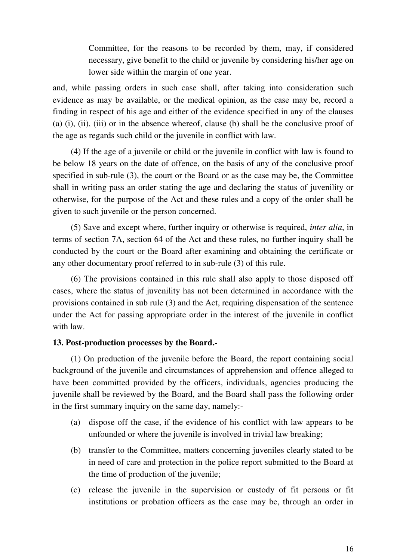Committee, for the reasons to be recorded by them, may, if considered necessary, give benefit to the child or juvenile by considering his/her age on lower side within the margin of one year.

and, while passing orders in such case shall, after taking into consideration such evidence as may be available, or the medical opinion, as the case may be, record a finding in respect of his age and either of the evidence specified in any of the clauses (a) (i), (ii), (iii) or in the absence whereof, clause (b) shall be the conclusive proof of the age as regards such child or the juvenile in conflict with law.

(4) If the age of a juvenile or child or the juvenile in conflict with law is found to be below 18 years on the date of offence, on the basis of any of the conclusive proof specified in sub-rule (3), the court or the Board or as the case may be, the Committee shall in writing pass an order stating the age and declaring the status of juvenility or otherwise, for the purpose of the Act and these rules and a copy of the order shall be given to such juvenile or the person concerned.

(5) Save and except where, further inquiry or otherwise is required, *inter alia*, in terms of section 7A, section 64 of the Act and these rules, no further inquiry shall be conducted by the court or the Board after examining and obtaining the certificate or any other documentary proof referred to in sub-rule (3) of this rule.

(6) The provisions contained in this rule shall also apply to those disposed off cases, where the status of juvenility has not been determined in accordance with the provisions contained in sub rule (3) and the Act, requiring dispensation of the sentence under the Act for passing appropriate order in the interest of the juvenile in conflict with law.

## **13. Post-production processes by the Board.-**

(1) On production of the juvenile before the Board, the report containing social background of the juvenile and circumstances of apprehension and offence alleged to have been committed provided by the officers, individuals, agencies producing the juvenile shall be reviewed by the Board, and the Board shall pass the following order in the first summary inquiry on the same day, namely:-

- (a) dispose off the case, if the evidence of his conflict with law appears to be unfounded or where the juvenile is involved in trivial law breaking;
- (b) transfer to the Committee, matters concerning juveniles clearly stated to be in need of care and protection in the police report submitted to the Board at the time of production of the juvenile;
- (c) release the juvenile in the supervision or custody of fit persons or fit institutions or probation officers as the case may be, through an order in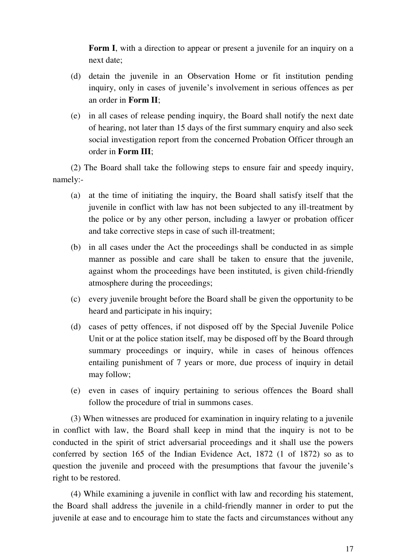**Form I**, with a direction to appear or present a juvenile for an inquiry on a next date;

- (d) detain the juvenile in an Observation Home or fit institution pending inquiry, only in cases of juvenile's involvement in serious offences as per an order in **Form II**;
- (e) in all cases of release pending inquiry, the Board shall notify the next date of hearing, not later than 15 days of the first summary enquiry and also seek social investigation report from the concerned Probation Officer through an order in **Form III**;

(2) The Board shall take the following steps to ensure fair and speedy inquiry, namely:-

- (a) at the time of initiating the inquiry, the Board shall satisfy itself that the juvenile in conflict with law has not been subjected to any ill-treatment by the police or by any other person, including a lawyer or probation officer and take corrective steps in case of such ill-treatment;
- (b) in all cases under the Act the proceedings shall be conducted in as simple manner as possible and care shall be taken to ensure that the juvenile, against whom the proceedings have been instituted, is given child-friendly atmosphere during the proceedings;
- (c) every juvenile brought before the Board shall be given the opportunity to be heard and participate in his inquiry;
- (d) cases of petty offences, if not disposed off by the Special Juvenile Police Unit or at the police station itself, may be disposed off by the Board through summary proceedings or inquiry, while in cases of heinous offences entailing punishment of 7 years or more, due process of inquiry in detail may follow;
- (e) even in cases of inquiry pertaining to serious offences the Board shall follow the procedure of trial in summons cases.

(3) When witnesses are produced for examination in inquiry relating to a juvenile in conflict with law, the Board shall keep in mind that the inquiry is not to be conducted in the spirit of strict adversarial proceedings and it shall use the powers conferred by section 165 of the Indian Evidence Act, 1872 (1 of 1872) so as to question the juvenile and proceed with the presumptions that favour the juvenile's right to be restored.

(4) While examining a juvenile in conflict with law and recording his statement, the Board shall address the juvenile in a child-friendly manner in order to put the juvenile at ease and to encourage him to state the facts and circumstances without any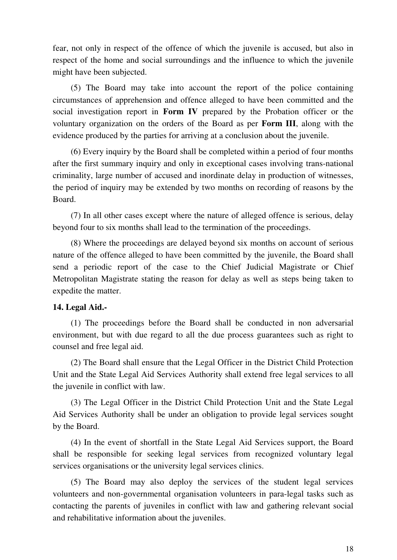fear, not only in respect of the offence of which the juvenile is accused, but also in respect of the home and social surroundings and the influence to which the juvenile might have been subjected.

(5) The Board may take into account the report of the police containing circumstances of apprehension and offence alleged to have been committed and the social investigation report in **Form IV** prepared by the Probation officer or the voluntary organization on the orders of the Board as per **Form III**, along with the evidence produced by the parties for arriving at a conclusion about the juvenile.

(6) Every inquiry by the Board shall be completed within a period of four months after the first summary inquiry and only in exceptional cases involving trans-national criminality, large number of accused and inordinate delay in production of witnesses, the period of inquiry may be extended by two months on recording of reasons by the Board.

(7) In all other cases except where the nature of alleged offence is serious, delay beyond four to six months shall lead to the termination of the proceedings.

(8) Where the proceedings are delayed beyond six months on account of serious nature of the offence alleged to have been committed by the juvenile, the Board shall send a periodic report of the case to the Chief Judicial Magistrate or Chief Metropolitan Magistrate stating the reason for delay as well as steps being taken to expedite the matter.

## **14. Legal Aid.-**

(1) The proceedings before the Board shall be conducted in non adversarial environment, but with due regard to all the due process guarantees such as right to counsel and free legal aid.

(2) The Board shall ensure that the Legal Officer in the District Child Protection Unit and the State Legal Aid Services Authority shall extend free legal services to all the juvenile in conflict with law.

(3) The Legal Officer in the District Child Protection Unit and the State Legal Aid Services Authority shall be under an obligation to provide legal services sought by the Board.

(4) In the event of shortfall in the State Legal Aid Services support, the Board shall be responsible for seeking legal services from recognized voluntary legal services organisations or the university legal services clinics.

(5) The Board may also deploy the services of the student legal services volunteers and non-governmental organisation volunteers in para-legal tasks such as contacting the parents of juveniles in conflict with law and gathering relevant social and rehabilitative information about the juveniles.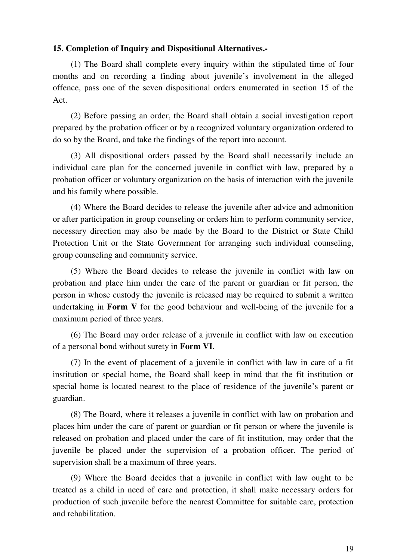## **15. Completion of Inquiry and Dispositional Alternatives.-**

(1) The Board shall complete every inquiry within the stipulated time of four months and on recording a finding about juvenile's involvement in the alleged offence, pass one of the seven dispositional orders enumerated in section 15 of the Act.

(2) Before passing an order, the Board shall obtain a social investigation report prepared by the probation officer or by a recognized voluntary organization ordered to do so by the Board, and take the findings of the report into account.

(3) All dispositional orders passed by the Board shall necessarily include an individual care plan for the concerned juvenile in conflict with law, prepared by a probation officer or voluntary organization on the basis of interaction with the juvenile and his family where possible.

(4) Where the Board decides to release the juvenile after advice and admonition or after participation in group counseling or orders him to perform community service, necessary direction may also be made by the Board to the District or State Child Protection Unit or the State Government for arranging such individual counseling, group counseling and community service.

(5) Where the Board decides to release the juvenile in conflict with law on probation and place him under the care of the parent or guardian or fit person, the person in whose custody the juvenile is released may be required to submit a written undertaking in **Form V** for the good behaviour and well-being of the juvenile for a maximum period of three years.

(6) The Board may order release of a juvenile in conflict with law on execution of a personal bond without surety in **Form VI**.

(7) In the event of placement of a juvenile in conflict with law in care of a fit institution or special home, the Board shall keep in mind that the fit institution or special home is located nearest to the place of residence of the juvenile's parent or guardian.

(8) The Board, where it releases a juvenile in conflict with law on probation and places him under the care of parent or guardian or fit person or where the juvenile is released on probation and placed under the care of fit institution, may order that the juvenile be placed under the supervision of a probation officer. The period of supervision shall be a maximum of three years.

(9) Where the Board decides that a juvenile in conflict with law ought to be treated as a child in need of care and protection, it shall make necessary orders for production of such juvenile before the nearest Committee for suitable care, protection and rehabilitation.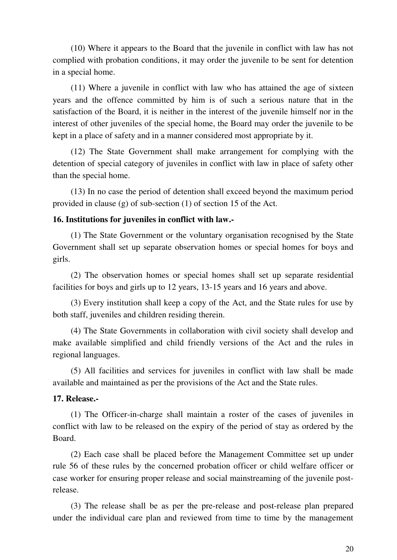(10) Where it appears to the Board that the juvenile in conflict with law has not complied with probation conditions, it may order the juvenile to be sent for detention in a special home.

(11) Where a juvenile in conflict with law who has attained the age of sixteen years and the offence committed by him is of such a serious nature that in the satisfaction of the Board, it is neither in the interest of the juvenile himself nor in the interest of other juveniles of the special home, the Board may order the juvenile to be kept in a place of safety and in a manner considered most appropriate by it.

(12) The State Government shall make arrangement for complying with the detention of special category of juveniles in conflict with law in place of safety other than the special home.

(13) In no case the period of detention shall exceed beyond the maximum period provided in clause (g) of sub-section (1) of section 15 of the Act.

## **16. Institutions for juveniles in conflict with law.-**

(1) The State Government or the voluntary organisation recognised by the State Government shall set up separate observation homes or special homes for boys and girls.

(2) The observation homes or special homes shall set up separate residential facilities for boys and girls up to 12 years, 13-15 years and 16 years and above.

(3) Every institution shall keep a copy of the Act, and the State rules for use by both staff, juveniles and children residing therein.

(4) The State Governments in collaboration with civil society shall develop and make available simplified and child friendly versions of the Act and the rules in regional languages.

(5) All facilities and services for juveniles in conflict with law shall be made available and maintained as per the provisions of the Act and the State rules.

## **17. Release.-**

(1) The Officer-in-charge shall maintain a roster of the cases of juveniles in conflict with law to be released on the expiry of the period of stay as ordered by the Board.

(2) Each case shall be placed before the Management Committee set up under rule 56 of these rules by the concerned probation officer or child welfare officer or case worker for ensuring proper release and social mainstreaming of the juvenile postrelease.

(3) The release shall be as per the pre-release and post-release plan prepared under the individual care plan and reviewed from time to time by the management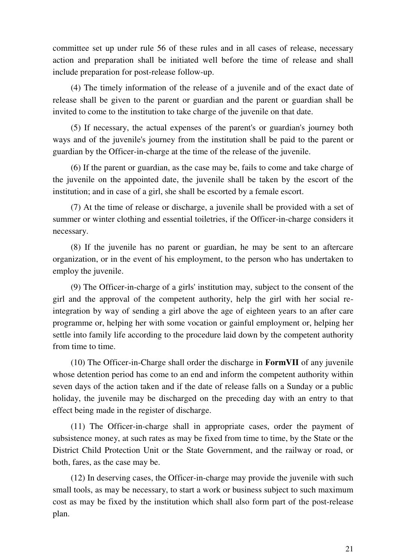committee set up under rule 56 of these rules and in all cases of release, necessary action and preparation shall be initiated well before the time of release and shall include preparation for post-release follow-up.

(4) The timely information of the release of a juvenile and of the exact date of release shall be given to the parent or guardian and the parent or guardian shall be invited to come to the institution to take charge of the juvenile on that date.

(5) If necessary, the actual expenses of the parent's or guardian's journey both ways and of the juvenile's journey from the institution shall be paid to the parent or guardian by the Officer-in-charge at the time of the release of the juvenile.

(6) If the parent or guardian, as the case may be, fails to come and take charge of the juvenile on the appointed date, the juvenile shall be taken by the escort of the institution; and in case of a girl, she shall be escorted by a female escort.

(7) At the time of release or discharge, a juvenile shall be provided with a set of summer or winter clothing and essential toiletries, if the Officer-in-charge considers it necessary.

(8) If the juvenile has no parent or guardian, he may be sent to an aftercare organization, or in the event of his employment, to the person who has undertaken to employ the juvenile.

(9) The Officer-in-charge of a girls' institution may, subject to the consent of the girl and the approval of the competent authority, help the girl with her social reintegration by way of sending a girl above the age of eighteen years to an after care programme or, helping her with some vocation or gainful employment or, helping her settle into family life according to the procedure laid down by the competent authority from time to time.

(10) The Officer-in-Charge shall order the discharge in **FormVII** of any juvenile whose detention period has come to an end and inform the competent authority within seven days of the action taken and if the date of release falls on a Sunday or a public holiday, the juvenile may be discharged on the preceding day with an entry to that effect being made in the register of discharge.

(11) The Officer-in-charge shall in appropriate cases, order the payment of subsistence money, at such rates as may be fixed from time to time, by the State or the District Child Protection Unit or the State Government, and the railway or road, or both, fares, as the case may be.

(12) In deserving cases, the Officer-in-charge may provide the juvenile with such small tools, as may be necessary, to start a work or business subject to such maximum cost as may be fixed by the institution which shall also form part of the post-release plan.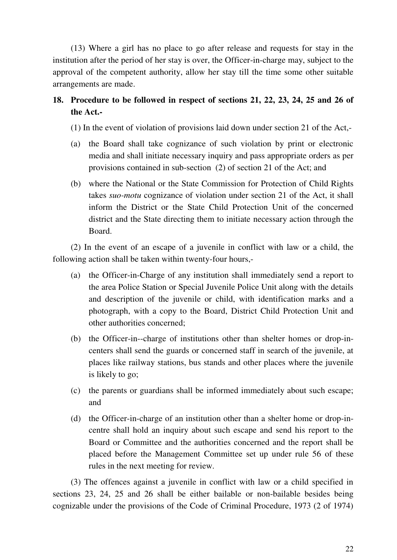(13) Where a girl has no place to go after release and requests for stay in the institution after the period of her stay is over, the Officer-in-charge may, subject to the approval of the competent authority, allow her stay till the time some other suitable arrangements are made.

# **18. Procedure to be followed in respect of sections 21, 22, 23, 24, 25 and 26 of the Act.-**

(1) In the event of violation of provisions laid down under section 21 of the Act,-

- (a) the Board shall take cognizance of such violation by print or electronic media and shall initiate necessary inquiry and pass appropriate orders as per provisions contained in sub-section (2) of section 21 of the Act; and
- (b) where the National or the State Commission for Protection of Child Rights takes *suo-motu* cognizance of violation under section 21 of the Act, it shall inform the District or the State Child Protection Unit of the concerned district and the State directing them to initiate necessary action through the Board.

(2) In the event of an escape of a juvenile in conflict with law or a child, the following action shall be taken within twenty-four hours,-

- (a) the Officer-in-Charge of any institution shall immediately send a report to the area Police Station or Special Juvenile Police Unit along with the details and description of the juvenile or child, with identification marks and a photograph, with a copy to the Board, District Child Protection Unit and other authorities concerned;
- (b) the Officer-in--charge of institutions other than shelter homes or drop-incenters shall send the guards or concerned staff in search of the juvenile, at places like railway stations, bus stands and other places where the juvenile is likely to go;
- (c) the parents or guardians shall be informed immediately about such escape; and
- (d) the Officer-in-charge of an institution other than a shelter home or drop-incentre shall hold an inquiry about such escape and send his report to the Board or Committee and the authorities concerned and the report shall be placed before the Management Committee set up under rule 56 of these rules in the next meeting for review.

(3) The offences against a juvenile in conflict with law or a child specified in sections 23, 24, 25 and 26 shall be either bailable or non-bailable besides being cognizable under the provisions of the Code of Criminal Procedure, 1973 (2 of 1974)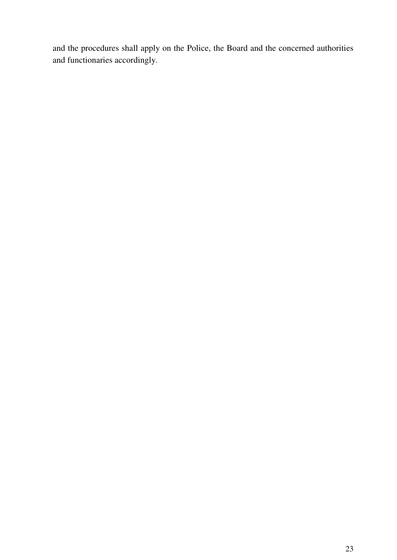and the procedures shall apply on the Police, the Board and the concerned authorities and functionaries accordingly.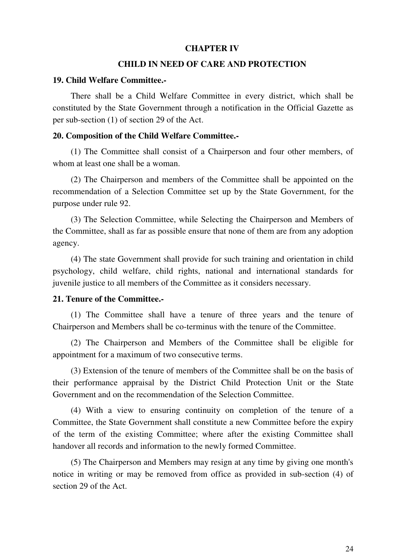## **CHAPTER IV**

#### **CHILD IN NEED OF CARE AND PROTECTION**

#### **19. Child Welfare Committee.-**

There shall be a Child Welfare Committee in every district, which shall be constituted by the State Government through a notification in the Official Gazette as per sub-section (1) of section 29 of the Act.

#### **20. Composition of the Child Welfare Committee.-**

(1) The Committee shall consist of a Chairperson and four other members, of whom at least one shall be a woman.

(2) The Chairperson and members of the Committee shall be appointed on the recommendation of a Selection Committee set up by the State Government, for the purpose under rule 92.

(3) The Selection Committee, while Selecting the Chairperson and Members of the Committee, shall as far as possible ensure that none of them are from any adoption agency.

(4) The state Government shall provide for such training and orientation in child psychology, child welfare, child rights, national and international standards for juvenile justice to all members of the Committee as it considers necessary.

#### **21. Tenure of the Committee.-**

(1) The Committee shall have a tenure of three years and the tenure of Chairperson and Members shall be co-terminus with the tenure of the Committee.

(2) The Chairperson and Members of the Committee shall be eligible for appointment for a maximum of two consecutive terms.

(3) Extension of the tenure of members of the Committee shall be on the basis of their performance appraisal by the District Child Protection Unit or the State Government and on the recommendation of the Selection Committee.

(4) With a view to ensuring continuity on completion of the tenure of a Committee, the State Government shall constitute a new Committee before the expiry of the term of the existing Committee; where after the existing Committee shall handover all records and information to the newly formed Committee.

(5) The Chairperson and Members may resign at any time by giving one month's notice in writing or may be removed from office as provided in sub-section (4) of section 29 of the Act.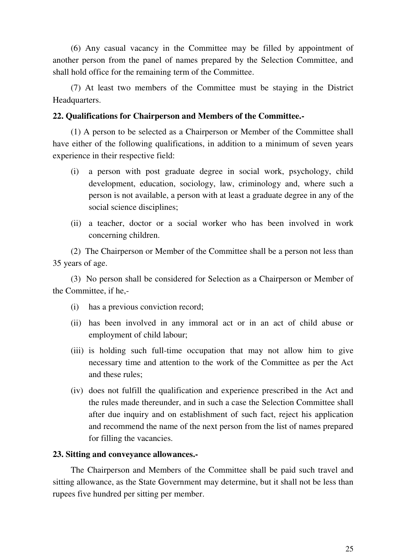(6) Any casual vacancy in the Committee may be filled by appointment of another person from the panel of names prepared by the Selection Committee, and shall hold office for the remaining term of the Committee.

(7) At least two members of the Committee must be staying in the District Headquarters.

# **22. Qualifications for Chairperson and Members of the Committee.-**

(1) A person to be selected as a Chairperson or Member of the Committee shall have either of the following qualifications, in addition to a minimum of seven years experience in their respective field:

- (i) a person with post graduate degree in social work, psychology, child development, education, sociology, law, criminology and, where such a person is not available, a person with at least a graduate degree in any of the social science disciplines;
- (ii) a teacher, doctor or a social worker who has been involved in work concerning children.

(2) The Chairperson or Member of the Committee shall be a person not less than 35 years of age.

(3) No person shall be considered for Selection as a Chairperson or Member of the Committee, if he,-

- (i) has a previous conviction record;
- (ii) has been involved in any immoral act or in an act of child abuse or employment of child labour;
- (iii) is holding such full-time occupation that may not allow him to give necessary time and attention to the work of the Committee as per the Act and these rules;
- (iv) does not fulfill the qualification and experience prescribed in the Act and the rules made thereunder, and in such a case the Selection Committee shall after due inquiry and on establishment of such fact, reject his application and recommend the name of the next person from the list of names prepared for filling the vacancies.

## **23. Sitting and conveyance allowances.-**

The Chairperson and Members of the Committee shall be paid such travel and sitting allowance, as the State Government may determine, but it shall not be less than rupees five hundred per sitting per member.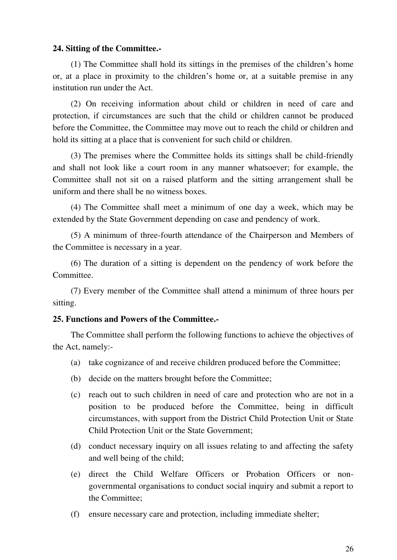## **24. Sitting of the Committee.-**

(1) The Committee shall hold its sittings in the premises of the children's home or, at a place in proximity to the children's home or, at a suitable premise in any institution run under the Act.

(2) On receiving information about child or children in need of care and protection, if circumstances are such that the child or children cannot be produced before the Committee, the Committee may move out to reach the child or children and hold its sitting at a place that is convenient for such child or children.

(3) The premises where the Committee holds its sittings shall be child-friendly and shall not look like a court room in any manner whatsoever; for example, the Committee shall not sit on a raised platform and the sitting arrangement shall be uniform and there shall be no witness boxes.

(4) The Committee shall meet a minimum of one day a week, which may be extended by the State Government depending on case and pendency of work.

(5) A minimum of three-fourth attendance of the Chairperson and Members of the Committee is necessary in a year.

(6) The duration of a sitting is dependent on the pendency of work before the Committee.

(7) Every member of the Committee shall attend a minimum of three hours per sitting.

## **25. Functions and Powers of the Committee.-**

The Committee shall perform the following functions to achieve the objectives of the Act, namely:-

- (a) take cognizance of and receive children produced before the Committee;
- (b) decide on the matters brought before the Committee;
- (c) reach out to such children in need of care and protection who are not in a position to be produced before the Committee, being in difficult circumstances, with support from the District Child Protection Unit or State Child Protection Unit or the State Government;
- (d) conduct necessary inquiry on all issues relating to and affecting the safety and well being of the child;
- (e) direct the Child Welfare Officers or Probation Officers or nongovernmental organisations to conduct social inquiry and submit a report to the Committee;
- (f) ensure necessary care and protection, including immediate shelter;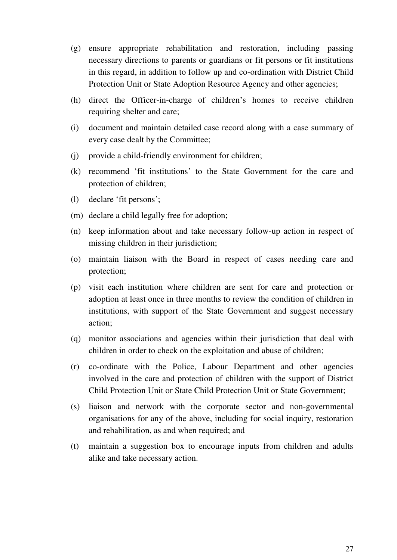- (g) ensure appropriate rehabilitation and restoration, including passing necessary directions to parents or guardians or fit persons or fit institutions in this regard, in addition to follow up and co-ordination with District Child Protection Unit or State Adoption Resource Agency and other agencies;
- (h) direct the Officer-in-charge of children's homes to receive children requiring shelter and care;
- (i) document and maintain detailed case record along with a case summary of every case dealt by the Committee;
- (j) provide a child-friendly environment for children;
- (k) recommend 'fit institutions' to the State Government for the care and protection of children;
- (l) declare 'fit persons';
- (m) declare a child legally free for adoption;
- (n) keep information about and take necessary follow-up action in respect of missing children in their jurisdiction;
- (o) maintain liaison with the Board in respect of cases needing care and protection;
- (p) visit each institution where children are sent for care and protection or adoption at least once in three months to review the condition of children in institutions, with support of the State Government and suggest necessary action;
- (q) monitor associations and agencies within their jurisdiction that deal with children in order to check on the exploitation and abuse of children;
- (r) co-ordinate with the Police, Labour Department and other agencies involved in the care and protection of children with the support of District Child Protection Unit or State Child Protection Unit or State Government;
- (s) liaison and network with the corporate sector and non-governmental organisations for any of the above, including for social inquiry, restoration and rehabilitation, as and when required; and
- (t) maintain a suggestion box to encourage inputs from children and adults alike and take necessary action.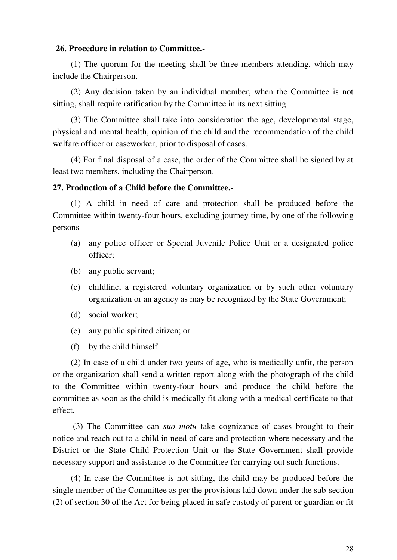#### **26. Procedure in relation to Committee.-**

(1) The quorum for the meeting shall be three members attending, which may include the Chairperson.

(2) Any decision taken by an individual member, when the Committee is not sitting, shall require ratification by the Committee in its next sitting.

(3) The Committee shall take into consideration the age, developmental stage, physical and mental health, opinion of the child and the recommendation of the child welfare officer or caseworker, prior to disposal of cases.

(4) For final disposal of a case, the order of the Committee shall be signed by at least two members, including the Chairperson.

#### **27. Production of a Child before the Committee.-**

(1) A child in need of care and protection shall be produced before the Committee within twenty-four hours, excluding journey time, by one of the following persons -

- (a) any police officer or Special Juvenile Police Unit or a designated police officer;
- (b) any public servant;
- (c) childline, a registered voluntary organization or by such other voluntary organization or an agency as may be recognized by the State Government;
- (d) social worker;
- (e) any public spirited citizen; or
- (f) by the child himself.

(2) In case of a child under two years of age, who is medically unfit, the person or the organization shall send a written report along with the photograph of the child to the Committee within twenty-four hours and produce the child before the committee as soon as the child is medically fit along with a medical certificate to that effect.

(3) The Committee can *suo motu* take cognizance of cases brought to their notice and reach out to a child in need of care and protection where necessary and the District or the State Child Protection Unit or the State Government shall provide necessary support and assistance to the Committee for carrying out such functions.

(4) In case the Committee is not sitting, the child may be produced before the single member of the Committee as per the provisions laid down under the sub-section (2) of section 30 of the Act for being placed in safe custody of parent or guardian or fit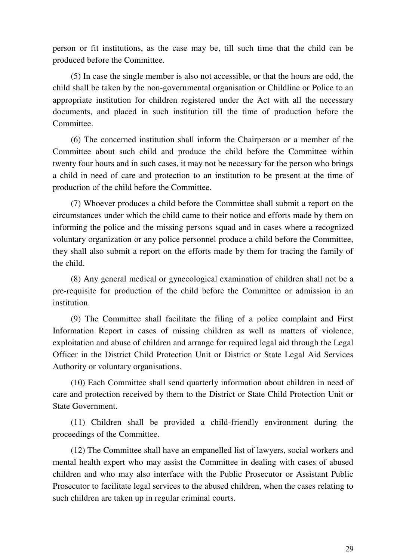person or fit institutions, as the case may be, till such time that the child can be produced before the Committee.

(5) In case the single member is also not accessible, or that the hours are odd, the child shall be taken by the non-governmental organisation or Childline or Police to an appropriate institution for children registered under the Act with all the necessary documents, and placed in such institution till the time of production before the Committee.

(6) The concerned institution shall inform the Chairperson or a member of the Committee about such child and produce the child before the Committee within twenty four hours and in such cases, it may not be necessary for the person who brings a child in need of care and protection to an institution to be present at the time of production of the child before the Committee.

(7) Whoever produces a child before the Committee shall submit a report on the circumstances under which the child came to their notice and efforts made by them on informing the police and the missing persons squad and in cases where a recognized voluntary organization or any police personnel produce a child before the Committee, they shall also submit a report on the efforts made by them for tracing the family of the child.

(8) Any general medical or gynecological examination of children shall not be a pre-requisite for production of the child before the Committee or admission in an institution.

(9) The Committee shall facilitate the filing of a police complaint and First Information Report in cases of missing children as well as matters of violence, exploitation and abuse of children and arrange for required legal aid through the Legal Officer in the District Child Protection Unit or District or State Legal Aid Services Authority or voluntary organisations.

(10) Each Committee shall send quarterly information about children in need of care and protection received by them to the District or State Child Protection Unit or State Government.

(11) Children shall be provided a child-friendly environment during the proceedings of the Committee.

(12) The Committee shall have an empanelled list of lawyers, social workers and mental health expert who may assist the Committee in dealing with cases of abused children and who may also interface with the Public Prosecutor or Assistant Public Prosecutor to facilitate legal services to the abused children, when the cases relating to such children are taken up in regular criminal courts.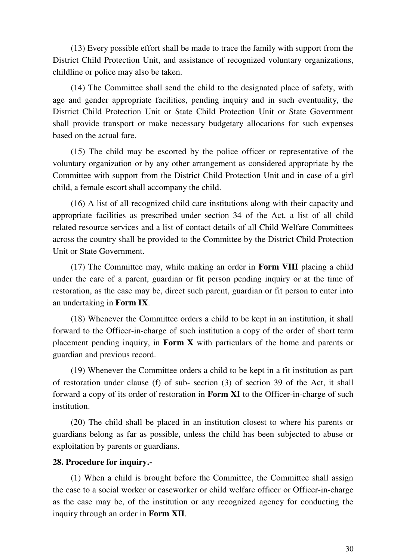(13) Every possible effort shall be made to trace the family with support from the District Child Protection Unit, and assistance of recognized voluntary organizations, childline or police may also be taken.

(14) The Committee shall send the child to the designated place of safety, with age and gender appropriate facilities, pending inquiry and in such eventuality, the District Child Protection Unit or State Child Protection Unit or State Government shall provide transport or make necessary budgetary allocations for such expenses based on the actual fare.

(15) The child may be escorted by the police officer or representative of the voluntary organization or by any other arrangement as considered appropriate by the Committee with support from the District Child Protection Unit and in case of a girl child, a female escort shall accompany the child.

(16) A list of all recognized child care institutions along with their capacity and appropriate facilities as prescribed under section 34 of the Act, a list of all child related resource services and a list of contact details of all Child Welfare Committees across the country shall be provided to the Committee by the District Child Protection Unit or State Government.

(17) The Committee may, while making an order in **Form VIII** placing a child under the care of a parent, guardian or fit person pending inquiry or at the time of restoration, as the case may be, direct such parent, guardian or fit person to enter into an undertaking in **Form IX**.

(18) Whenever the Committee orders a child to be kept in an institution, it shall forward to the Officer-in-charge of such institution a copy of the order of short term placement pending inquiry, in **Form X** with particulars of the home and parents or guardian and previous record.

(19) Whenever the Committee orders a child to be kept in a fit institution as part of restoration under clause (f) of sub- section (3) of section 39 of the Act, it shall forward a copy of its order of restoration in **Form XI** to the Officer-in-charge of such institution.

(20) The child shall be placed in an institution closest to where his parents or guardians belong as far as possible, unless the child has been subjected to abuse or exploitation by parents or guardians.

## **28. Procedure for inquiry.-**

(1) When a child is brought before the Committee, the Committee shall assign the case to a social worker or caseworker or child welfare officer or Officer-in-charge as the case may be, of the institution or any recognized agency for conducting the inquiry through an order in **Form XII**.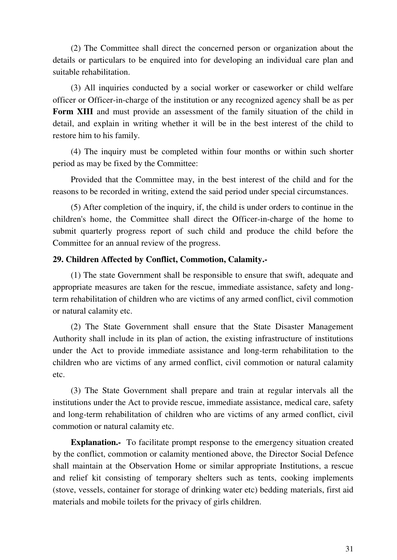(2) The Committee shall direct the concerned person or organization about the details or particulars to be enquired into for developing an individual care plan and suitable rehabilitation.

(3) All inquiries conducted by a social worker or caseworker or child welfare officer or Officer-in-charge of the institution or any recognized agency shall be as per **Form XIII** and must provide an assessment of the family situation of the child in detail, and explain in writing whether it will be in the best interest of the child to restore him to his family.

(4) The inquiry must be completed within four months or within such shorter period as may be fixed by the Committee:

Provided that the Committee may, in the best interest of the child and for the reasons to be recorded in writing, extend the said period under special circumstances.

(5) After completion of the inquiry, if, the child is under orders to continue in the children's home, the Committee shall direct the Officer-in-charge of the home to submit quarterly progress report of such child and produce the child before the Committee for an annual review of the progress.

# **29. Children Affected by Conflict, Commotion, Calamity.-**

(1) The state Government shall be responsible to ensure that swift, adequate and appropriate measures are taken for the rescue, immediate assistance, safety and longterm rehabilitation of children who are victims of any armed conflict, civil commotion or natural calamity etc.

(2) The State Government shall ensure that the State Disaster Management Authority shall include in its plan of action, the existing infrastructure of institutions under the Act to provide immediate assistance and long-term rehabilitation to the children who are victims of any armed conflict, civil commotion or natural calamity etc.

(3) The State Government shall prepare and train at regular intervals all the institutions under the Act to provide rescue, immediate assistance, medical care, safety and long-term rehabilitation of children who are victims of any armed conflict, civil commotion or natural calamity etc.

**Explanation.**- To facilitate prompt response to the emergency situation created by the conflict, commotion or calamity mentioned above, the Director Social Defence shall maintain at the Observation Home or similar appropriate Institutions, a rescue and relief kit consisting of temporary shelters such as tents, cooking implements (stove, vessels, container for storage of drinking water etc) bedding materials, first aid materials and mobile toilets for the privacy of girls children.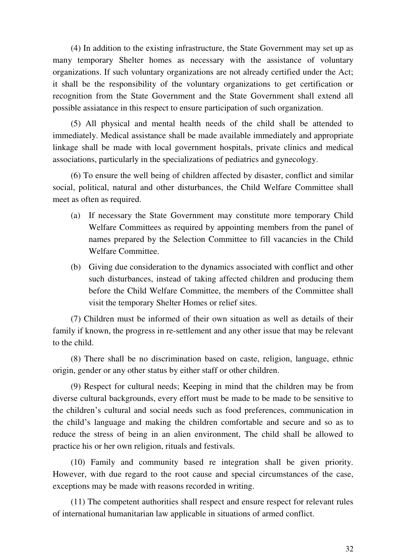(4) In addition to the existing infrastructure, the State Government may set up as many temporary Shelter homes as necessary with the assistance of voluntary organizations. If such voluntary organizations are not already certified under the Act; it shall be the responsibility of the voluntary organizations to get certification or recognition from the State Government and the State Government shall extend all possible assiatance in this respect to ensure participation of such organization.

(5) All physical and mental health needs of the child shall be attended to immediately. Medical assistance shall be made available immediately and appropriate linkage shall be made with local government hospitals, private clinics and medical associations, particularly in the specializations of pediatrics and gynecology.

(6) To ensure the well being of children affected by disaster, conflict and similar social, political, natural and other disturbances, the Child Welfare Committee shall meet as often as required.

- (a) If necessary the State Government may constitute more temporary Child Welfare Committees as required by appointing members from the panel of names prepared by the Selection Committee to fill vacancies in the Child Welfare Committee.
- (b) Giving due consideration to the dynamics associated with conflict and other such disturbances, instead of taking affected children and producing them before the Child Welfare Committee, the members of the Committee shall visit the temporary Shelter Homes or relief sites.

(7) Children must be informed of their own situation as well as details of their family if known, the progress in re-settlement and any other issue that may be relevant to the child.

(8) There shall be no discrimination based on caste, religion, language, ethnic origin, gender or any other status by either staff or other children.

(9) Respect for cultural needs; Keeping in mind that the children may be from diverse cultural backgrounds, every effort must be made to be made to be sensitive to the children's cultural and social needs such as food preferences, communication in the child's language and making the children comfortable and secure and so as to reduce the stress of being in an alien environment, The child shall be allowed to practice his or her own religion, rituals and festivals.

(10) Family and community based re integration shall be given priority. However, with due regard to the root cause and special circumstances of the case, exceptions may be made with reasons recorded in writing.

(11) The competent authorities shall respect and ensure respect for relevant rules of international humanitarian law applicable in situations of armed conflict.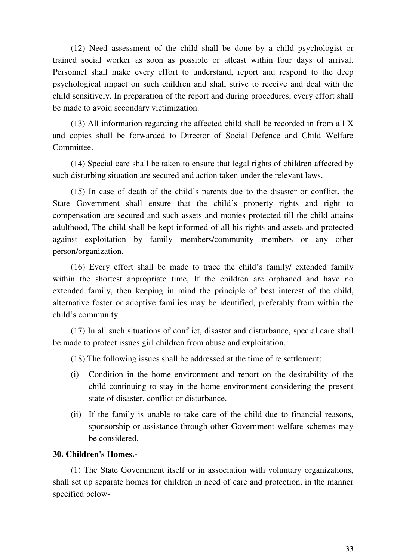(12) Need assessment of the child shall be done by a child psychologist or trained social worker as soon as possible or atleast within four days of arrival. Personnel shall make every effort to understand, report and respond to the deep psychological impact on such children and shall strive to receive and deal with the child sensitively. In preparation of the report and during procedures, every effort shall be made to avoid secondary victimization.

(13) All information regarding the affected child shall be recorded in from all X and copies shall be forwarded to Director of Social Defence and Child Welfare Committee.

(14) Special care shall be taken to ensure that legal rights of children affected by such disturbing situation are secured and action taken under the relevant laws.

(15) In case of death of the child's parents due to the disaster or conflict, the State Government shall ensure that the child's property rights and right to compensation are secured and such assets and monies protected till the child attains adulthood, The child shall be kept informed of all his rights and assets and protected against exploitation by family members/community members or any other person/organization.

(16) Every effort shall be made to trace the child's family/ extended family within the shortest appropriate time, If the children are orphaned and have no extended family, then keeping in mind the principle of best interest of the child, alternative foster or adoptive families may be identified, preferably from within the child's community.

(17) In all such situations of conflict, disaster and disturbance, special care shall be made to protect issues girl children from abuse and exploitation.

(18) The following issues shall be addressed at the time of re settlement:

- (i) Condition in the home environment and report on the desirability of the child continuing to stay in the home environment considering the present state of disaster, conflict or disturbance.
- (ii) If the family is unable to take care of the child due to financial reasons, sponsorship or assistance through other Government welfare schemes may be considered.

#### **30. Children's Homes.-**

(1) The State Government itself or in association with voluntary organizations, shall set up separate homes for children in need of care and protection, in the manner specified below-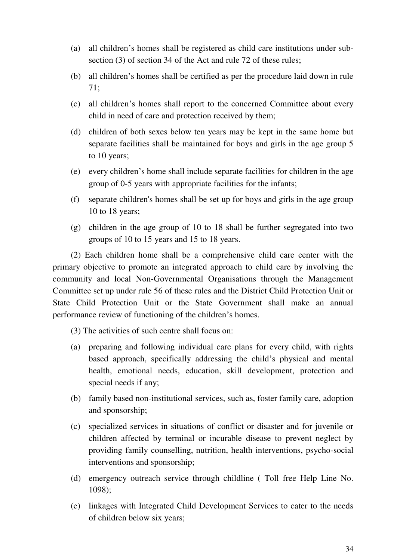- (a) all children's homes shall be registered as child care institutions under subsection (3) of section 34 of the Act and rule 72 of these rules;
- (b) all children's homes shall be certified as per the procedure laid down in rule 71;
- (c) all children's homes shall report to the concerned Committee about every child in need of care and protection received by them;
- (d) children of both sexes below ten years may be kept in the same home but separate facilities shall be maintained for boys and girls in the age group 5 to 10 years;
- (e) every children's home shall include separate facilities for children in the age group of 0-5 years with appropriate facilities for the infants;
- (f) separate children's homes shall be set up for boys and girls in the age group 10 to 18 years;
- (g) children in the age group of 10 to 18 shall be further segregated into two groups of 10 to 15 years and 15 to 18 years.

(2) Each children home shall be a comprehensive child care center with the primary objective to promote an integrated approach to child care by involving the community and local Non-Governmental Organisations through the Management Committee set up under rule 56 of these rules and the District Child Protection Unit or State Child Protection Unit or the State Government shall make an annual performance review of functioning of the children's homes.

- (3) The activities of such centre shall focus on:
- (a) preparing and following individual care plans for every child, with rights based approach, specifically addressing the child's physical and mental health, emotional needs, education, skill development, protection and special needs if any;
- (b) family based non-institutional services, such as, foster family care, adoption and sponsorship;
- (c) specialized services in situations of conflict or disaster and for juvenile or children affected by terminal or incurable disease to prevent neglect by providing family counselling, nutrition, health interventions, psycho-social interventions and sponsorship;
- (d) emergency outreach service through childline ( Toll free Help Line No. 1098);
- (e) linkages with Integrated Child Development Services to cater to the needs of children below six years;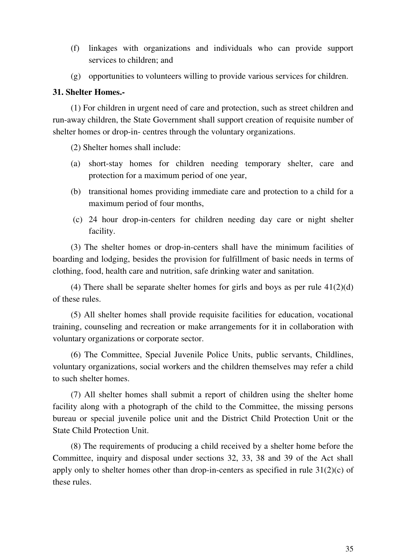- (f) linkages with organizations and individuals who can provide support services to children; and
- (g) opportunities to volunteers willing to provide various services for children.

## **31. Shelter Homes.-**

(1) For children in urgent need of care and protection, such as street children and run-away children, the State Government shall support creation of requisite number of shelter homes or drop-in- centres through the voluntary organizations.

(2) Shelter homes shall include:

- (a) short-stay homes for children needing temporary shelter, care and protection for a maximum period of one year,
- (b) transitional homes providing immediate care and protection to a child for a maximum period of four months,
- (c) 24 hour drop-in-centers for children needing day care or night shelter facility.

(3) The shelter homes or drop-in-centers shall have the minimum facilities of boarding and lodging, besides the provision for fulfillment of basic needs in terms of clothing, food, health care and nutrition, safe drinking water and sanitation.

(4) There shall be separate shelter homes for girls and boys as per rule  $41(2)(d)$ of these rules.

(5) All shelter homes shall provide requisite facilities for education, vocational training, counseling and recreation or make arrangements for it in collaboration with voluntary organizations or corporate sector.

(6) The Committee, Special Juvenile Police Units, public servants, Childlines, voluntary organizations, social workers and the children themselves may refer a child to such shelter homes.

(7) All shelter homes shall submit a report of children using the shelter home facility along with a photograph of the child to the Committee, the missing persons bureau or special juvenile police unit and the District Child Protection Unit or the State Child Protection Unit.

(8) The requirements of producing a child received by a shelter home before the Committee, inquiry and disposal under sections 32, 33, 38 and 39 of the Act shall apply only to shelter homes other than drop-in-centers as specified in rule  $31(2)(c)$  of these rules.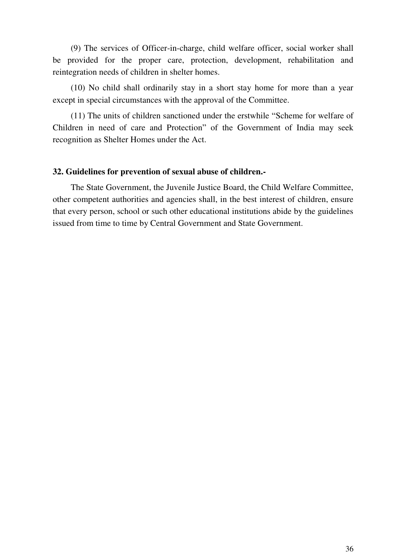(9) The services of Officer-in-charge, child welfare officer, social worker shall be provided for the proper care, protection, development, rehabilitation and reintegration needs of children in shelter homes.

(10) No child shall ordinarily stay in a short stay home for more than a year except in special circumstances with the approval of the Committee.

(11) The units of children sanctioned under the erstwhile "Scheme for welfare of Children in need of care and Protection" of the Government of India may seek recognition as Shelter Homes under the Act.

#### **32. Guidelines for prevention of sexual abuse of children.-**

The State Government, the Juvenile Justice Board, the Child Welfare Committee, other competent authorities and agencies shall, in the best interest of children, ensure that every person, school or such other educational institutions abide by the guidelines issued from time to time by Central Government and State Government.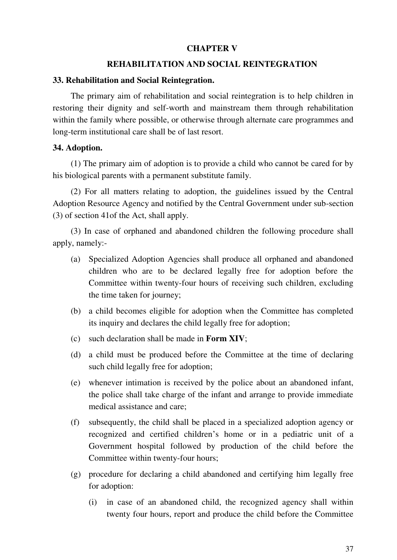## **CHAPTER V**

### **REHABILITATION AND SOCIAL REINTEGRATION**

#### **33. Rehabilitation and Social Reintegration.**

The primary aim of rehabilitation and social reintegration is to help children in restoring their dignity and self-worth and mainstream them through rehabilitation within the family where possible, or otherwise through alternate care programmes and long-term institutional care shall be of last resort.

### **34. Adoption.**

(1) The primary aim of adoption is to provide a child who cannot be cared for by his biological parents with a permanent substitute family.

(2) For all matters relating to adoption, the guidelines issued by the Central Adoption Resource Agency and notified by the Central Government under sub-section (3) of section 41of the Act, shall apply.

(3) In case of orphaned and abandoned children the following procedure shall apply, namely:-

- (a) Specialized Adoption Agencies shall produce all orphaned and abandoned children who are to be declared legally free for adoption before the Committee within twenty-four hours of receiving such children, excluding the time taken for journey;
- (b) a child becomes eligible for adoption when the Committee has completed its inquiry and declares the child legally free for adoption;
- (c) such declaration shall be made in **Form XIV**;
- (d) a child must be produced before the Committee at the time of declaring such child legally free for adoption;
- (e) whenever intimation is received by the police about an abandoned infant, the police shall take charge of the infant and arrange to provide immediate medical assistance and care;
- (f) subsequently, the child shall be placed in a specialized adoption agency or recognized and certified children's home or in a pediatric unit of a Government hospital followed by production of the child before the Committee within twenty-four hours;
- (g) procedure for declaring a child abandoned and certifying him legally free for adoption:
	- (i) in case of an abandoned child, the recognized agency shall within twenty four hours, report and produce the child before the Committee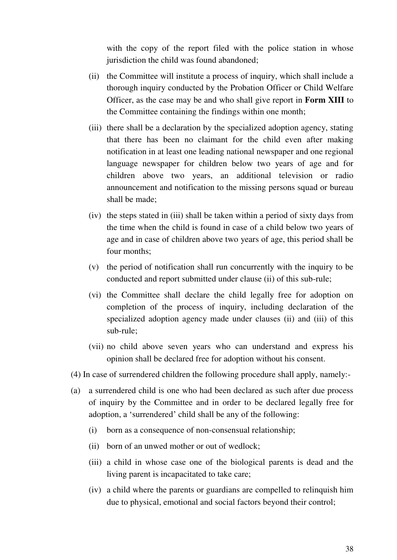with the copy of the report filed with the police station in whose jurisdiction the child was found abandoned;

- (ii) the Committee will institute a process of inquiry, which shall include a thorough inquiry conducted by the Probation Officer or Child Welfare Officer, as the case may be and who shall give report in **Form XIII** to the Committee containing the findings within one month;
- (iii) there shall be a declaration by the specialized adoption agency, stating that there has been no claimant for the child even after making notification in at least one leading national newspaper and one regional language newspaper for children below two years of age and for children above two years, an additional television or radio announcement and notification to the missing persons squad or bureau shall be made;
- (iv) the steps stated in (iii) shall be taken within a period of sixty days from the time when the child is found in case of a child below two years of age and in case of children above two years of age, this period shall be four months;
- (v) the period of notification shall run concurrently with the inquiry to be conducted and report submitted under clause (ii) of this sub-rule;
- (vi) the Committee shall declare the child legally free for adoption on completion of the process of inquiry, including declaration of the specialized adoption agency made under clauses (ii) and (iii) of this sub-rule;
- (vii) no child above seven years who can understand and express his opinion shall be declared free for adoption without his consent.
- (4) In case of surrendered children the following procedure shall apply, namely:-
- (a) a surrendered child is one who had been declared as such after due process of inquiry by the Committee and in order to be declared legally free for adoption, a 'surrendered' child shall be any of the following:
	- (i) born as a consequence of non-consensual relationship;
	- (ii) born of an unwed mother or out of wedlock;
	- (iii) a child in whose case one of the biological parents is dead and the living parent is incapacitated to take care;
	- (iv) a child where the parents or guardians are compelled to relinquish him due to physical, emotional and social factors beyond their control;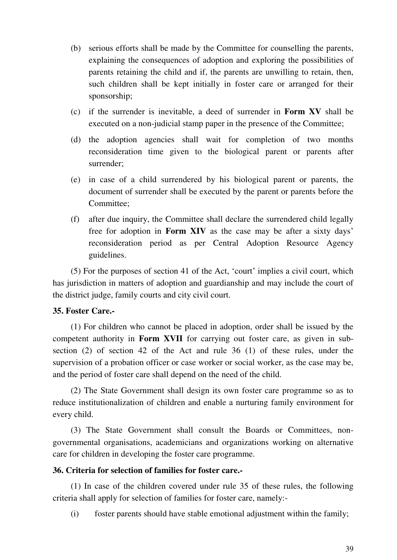- (b) serious efforts shall be made by the Committee for counselling the parents, explaining the consequences of adoption and exploring the possibilities of parents retaining the child and if, the parents are unwilling to retain, then, such children shall be kept initially in foster care or arranged for their sponsorship;
- (c) if the surrender is inevitable, a deed of surrender in **Form XV** shall be executed on a non-judicial stamp paper in the presence of the Committee;
- (d) the adoption agencies shall wait for completion of two months reconsideration time given to the biological parent or parents after surrender;
- (e) in case of a child surrendered by his biological parent or parents, the document of surrender shall be executed by the parent or parents before the Committee;
- (f) after due inquiry, the Committee shall declare the surrendered child legally free for adoption in **Form XIV** as the case may be after a sixty days' reconsideration period as per Central Adoption Resource Agency guidelines.

(5) For the purposes of section 41 of the Act, 'court' implies a civil court, which has jurisdiction in matters of adoption and guardianship and may include the court of the district judge, family courts and city civil court.

## **35. Foster Care.-**

(1) For children who cannot be placed in adoption, order shall be issued by the competent authority in **Form XVII** for carrying out foster care, as given in subsection (2) of section 42 of the Act and rule 36 (1) of these rules, under the supervision of a probation officer or case worker or social worker, as the case may be, and the period of foster care shall depend on the need of the child.

(2) The State Government shall design its own foster care programme so as to reduce institutionalization of children and enable a nurturing family environment for every child.

(3) The State Government shall consult the Boards or Committees, nongovernmental organisations, academicians and organizations working on alternative care for children in developing the foster care programme.

## **36. Criteria for selection of families for foster care.-**

(1) In case of the children covered under rule 35 of these rules, the following criteria shall apply for selection of families for foster care, namely:-

(i) foster parents should have stable emotional adjustment within the family;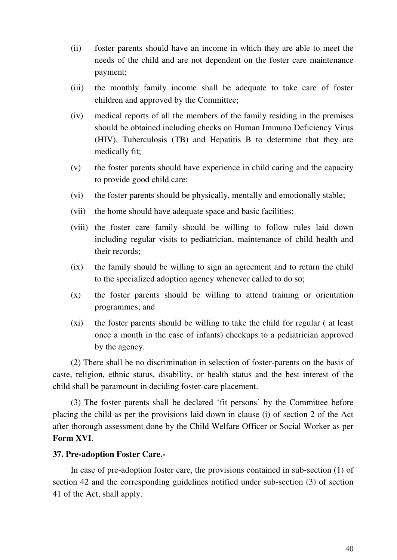- (ii) foster parents should have an income in which they are able to meet the needs of the child and are not dependent on the foster care maintenance payment;
- (iii) the monthly family income shall be adequate to take care of foster children and approved by the Committee;
- (iv) medical reports of all the members of the family residing in the premises should be obtained including checks on Human Immuno Deficiency Virus (HIV), Tuberculosis (TB) and Hepatitis B to determine that they are medically fit;
- (v) the foster parents should have experience in child caring and the capacity to provide good child care;
- (vi) the foster parents should be physically, mentally and emotionally stable;
- (vii) the home should have adequate space and basic facilities;
- (viii) the foster care family should be willing to follow rules laid down including regular visits to pediatrician, maintenance of child health and their records;
- (ix) the family should be willing to sign an agreement and to return the child to the specialized adoption agency whenever called to do so;
- (x) the foster parents should be willing to attend training or orientation programmes; and
- (xi) the foster parents should be willing to take the child for regular ( at least once a month in the case of infants) checkups to a pediatrician approved by the agency.

(2) There shall be no discrimination in selection of foster-parents on the basis of caste, religion, ethnic status, disability, or health status and the best interest of the child shall be paramount in deciding foster-care placement.

(3) The foster parents shall be declared 'fit persons' by the Committee before placing the child as per the provisions laid down in clause (i) of section 2 of the Act after thorough assessment done by the Child Welfare Officer or Social Worker as per **Form XVI**.

#### **37. Pre-adoption Foster Care.-**

In case of pre-adoption foster care, the provisions contained in sub-section (1) of section 42 and the corresponding guidelines notified under sub-section (3) of section 41 of the Act, shall apply.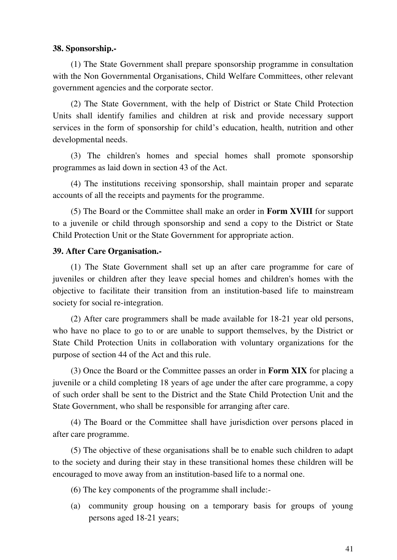#### **38. Sponsorship.-**

(1) The State Government shall prepare sponsorship programme in consultation with the Non Governmental Organisations, Child Welfare Committees, other relevant government agencies and the corporate sector.

(2) The State Government, with the help of District or State Child Protection Units shall identify families and children at risk and provide necessary support services in the form of sponsorship for child's education, health, nutrition and other developmental needs.

(3) The children's homes and special homes shall promote sponsorship programmes as laid down in section 43 of the Act.

(4) The institutions receiving sponsorship, shall maintain proper and separate accounts of all the receipts and payments for the programme.

(5) The Board or the Committee shall make an order in **Form XVIII** for support to a juvenile or child through sponsorship and send a copy to the District or State Child Protection Unit or the State Government for appropriate action.

#### **39. After Care Organisation.-**

(1) The State Government shall set up an after care programme for care of juveniles or children after they leave special homes and children's homes with the objective to facilitate their transition from an institution-based life to mainstream society for social re-integration.

(2) After care programmers shall be made available for 18-21 year old persons, who have no place to go to or are unable to support themselves, by the District or State Child Protection Units in collaboration with voluntary organizations for the purpose of section 44 of the Act and this rule.

(3) Once the Board or the Committee passes an order in **Form XIX** for placing a juvenile or a child completing 18 years of age under the after care programme, a copy of such order shall be sent to the District and the State Child Protection Unit and the State Government, who shall be responsible for arranging after care.

(4) The Board or the Committee shall have jurisdiction over persons placed in after care programme.

(5) The objective of these organisations shall be to enable such children to adapt to the society and during their stay in these transitional homes these children will be encouraged to move away from an institution-based life to a normal one.

- (6) The key components of the programme shall include:-
- (a) community group housing on a temporary basis for groups of young persons aged 18-21 years;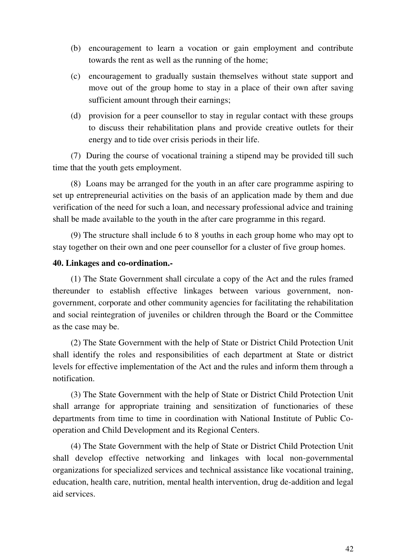- (b) encouragement to learn a vocation or gain employment and contribute towards the rent as well as the running of the home;
- (c) encouragement to gradually sustain themselves without state support and move out of the group home to stay in a place of their own after saving sufficient amount through their earnings;
- (d) provision for a peer counsellor to stay in regular contact with these groups to discuss their rehabilitation plans and provide creative outlets for their energy and to tide over crisis periods in their life.

(7) During the course of vocational training a stipend may be provided till such time that the youth gets employment.

(8) Loans may be arranged for the youth in an after care programme aspiring to set up entrepreneurial activities on the basis of an application made by them and due verification of the need for such a loan, and necessary professional advice and training shall be made available to the youth in the after care programme in this regard.

(9) The structure shall include 6 to 8 youths in each group home who may opt to stay together on their own and one peer counsellor for a cluster of five group homes.

### **40. Linkages and co-ordination.-**

(1) The State Government shall circulate a copy of the Act and the rules framed thereunder to establish effective linkages between various government, nongovernment, corporate and other community agencies for facilitating the rehabilitation and social reintegration of juveniles or children through the Board or the Committee as the case may be.

(2) The State Government with the help of State or District Child Protection Unit shall identify the roles and responsibilities of each department at State or district levels for effective implementation of the Act and the rules and inform them through a notification.

(3) The State Government with the help of State or District Child Protection Unit shall arrange for appropriate training and sensitization of functionaries of these departments from time to time in coordination with National Institute of Public Cooperation and Child Development and its Regional Centers.

(4) The State Government with the help of State or District Child Protection Unit shall develop effective networking and linkages with local non-governmental organizations for specialized services and technical assistance like vocational training, education, health care, nutrition, mental health intervention, drug de-addition and legal aid services.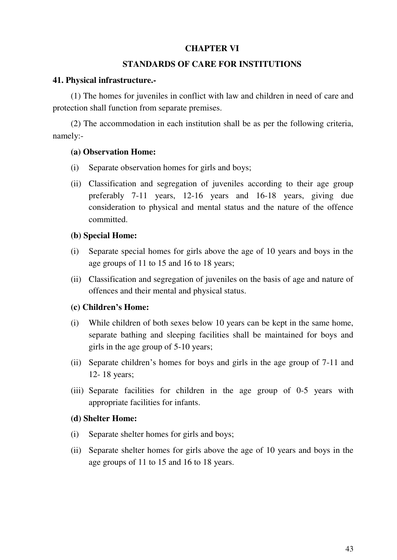## **CHAPTER VI**

### **STANDARDS OF CARE FOR INSTITUTIONS**

### **41. Physical infrastructure.-**

(1) The homes for juveniles in conflict with law and children in need of care and protection shall function from separate premises.

(2) The accommodation in each institution shall be as per the following criteria, namely:-

### **(a) Observation Home:**

- (i) Separate observation homes for girls and boys;
- (ii) Classification and segregation of juveniles according to their age group preferably 7-11 years, 12-16 years and 16-18 years, giving due consideration to physical and mental status and the nature of the offence committed.

### **(b) Special Home:**

- (i) Separate special homes for girls above the age of 10 years and boys in the age groups of 11 to 15 and 16 to 18 years;
- (ii) Classification and segregation of juveniles on the basis of age and nature of offences and their mental and physical status.

## **(c) Children's Home:**

- (i) While children of both sexes below 10 years can be kept in the same home, separate bathing and sleeping facilities shall be maintained for boys and girls in the age group of 5-10 years;
- (ii) Separate children's homes for boys and girls in the age group of 7-11 and 12- 18 years;
- (iii) Separate facilities for children in the age group of 0-5 years with appropriate facilities for infants.

## **(d) Shelter Home:**

- (i) Separate shelter homes for girls and boys;
- (ii) Separate shelter homes for girls above the age of 10 years and boys in the age groups of 11 to 15 and 16 to 18 years.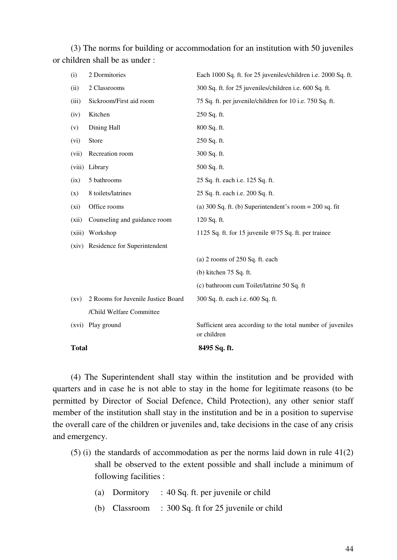(3) The norms for building or accommodation for an institution with 50 juveniles or children shall be as under :

| <b>Total</b>       |                                    | 8495 Sq. ft.                                                              |
|--------------------|------------------------------------|---------------------------------------------------------------------------|
| (xvi)              | Play ground                        | Sufficient area according to the total number of juveniles<br>or children |
|                    | /Child Welfare Committee           |                                                                           |
| $\left( xy\right)$ | 2 Rooms for Juvenile Justice Board | 300 Sq. ft. each i.e. 600 Sq. ft.                                         |
|                    |                                    | (c) bathroom cum Toilet/latrine 50 Sq. ft                                 |
|                    |                                    | (b) kitchen $75$ Sq. ft.                                                  |
|                    |                                    | (a) $2$ rooms of $250$ Sq. ft. each                                       |
| (xiv)              | Residence for Superintendent       |                                                                           |
| (xiii)             | Workshop                           | 1125 Sq. ft. for 15 juvenile @75 Sq. ft. per trainee                      |
| (xii)              | Counseling and guidance room       | 120 Sq. ft.                                                               |
| (xi)               | Office rooms                       | (a) 300 Sq. ft. (b) Superintendent's room = $200$ sq. fit                 |
| (x)                | 8 toilets/latrines                 | 25 Sq. ft. each i.e. 200 Sq. ft.                                          |
| (ix)               | 5 bathrooms                        | 25 Sq. ft. each i.e. 125 Sq. ft.                                          |
| (viii)             | Library                            | 500 Sq. ft.                                                               |
| (vii)              | Recreation room                    | 300 Sq. ft.                                                               |
| (vi)               | Store                              | 250 Sq. ft.                                                               |
| (v)                | Dining Hall                        | 800 Sq. ft.                                                               |
| (iv)               | Kitchen                            | 250 Sq. ft.                                                               |
| (iii)              | Sickroom/First aid room            | 75 Sq. ft. per juvenile/children for 10 i.e. 750 Sq. ft.                  |
| (ii)               | 2 Classrooms                       | 300 Sq. ft. for 25 juveniles/children i.e. 600 Sq. ft.                    |
| (i)                | 2 Dormitories                      | Each 1000 Sq. ft. for 25 juveniles/children i.e. 2000 Sq. ft.             |

(4) The Superintendent shall stay within the institution and be provided with quarters and in case he is not able to stay in the home for legitimate reasons (to be permitted by Director of Social Defence, Child Protection), any other senior staff member of the institution shall stay in the institution and be in a position to supervise the overall care of the children or juveniles and, take decisions in the case of any crisis and emergency.

- (5) (i) the standards of accommodation as per the norms laid down in rule  $41(2)$ shall be observed to the extent possible and shall include a minimum of following facilities :
	- (a) Dormitory : 40 Sq. ft. per juvenile or child
	- (b) Classroom : 300 Sq. ft for 25 juvenile or child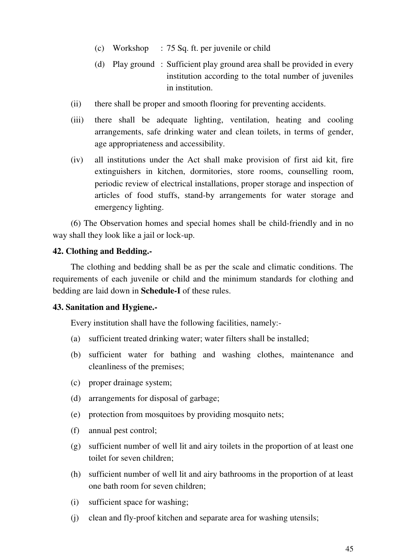- (c) Workshop : 75 Sq. ft. per juvenile or child
- (d) Play ground : Sufficient play ground area shall be provided in every institution according to the total number of juveniles in institution.
- (ii) there shall be proper and smooth flooring for preventing accidents.
- (iii) there shall be adequate lighting, ventilation, heating and cooling arrangements, safe drinking water and clean toilets, in terms of gender, age appropriateness and accessibility.
- (iv) all institutions under the Act shall make provision of first aid kit, fire extinguishers in kitchen, dormitories, store rooms, counselling room, periodic review of electrical installations, proper storage and inspection of articles of food stuffs, stand-by arrangements for water storage and emergency lighting.

(6) The Observation homes and special homes shall be child-friendly and in no way shall they look like a jail or lock-up.

### **42. Clothing and Bedding.-**

The clothing and bedding shall be as per the scale and climatic conditions. The requirements of each juvenile or child and the minimum standards for clothing and bedding are laid down in **Schedule-I** of these rules.

#### **43. Sanitation and Hygiene.-**

Every institution shall have the following facilities, namely:-

- (a) sufficient treated drinking water; water filters shall be installed;
- (b) sufficient water for bathing and washing clothes, maintenance and cleanliness of the premises;
- (c) proper drainage system;
- (d) arrangements for disposal of garbage;
- (e) protection from mosquitoes by providing mosquito nets;
- (f) annual pest control;
- (g) sufficient number of well lit and airy toilets in the proportion of at least one toilet for seven children;
- (h) sufficient number of well lit and airy bathrooms in the proportion of at least one bath room for seven children;
- (i) sufficient space for washing;
- (j) clean and fly-proof kitchen and separate area for washing utensils;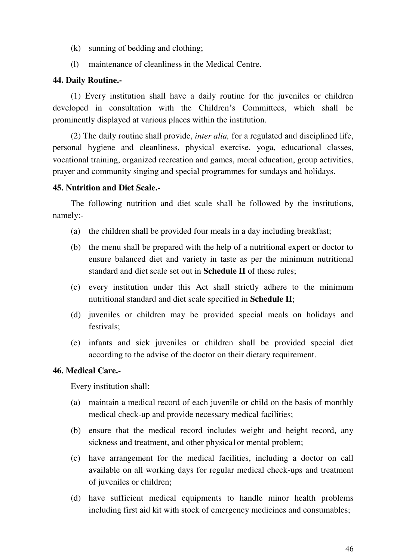- (k) sunning of bedding and clothing;
- (l) maintenance of cleanliness in the Medical Centre.

## **44. Daily Routine.-**

(1) Every institution shall have a daily routine for the juveniles or children developed in consultation with the Children's Committees, which shall be prominently displayed at various places within the institution.

(2) The daily routine shall provide, *inter alia,* for a regulated and disciplined life, personal hygiene and cleanliness, physical exercise, yoga, educational classes, vocational training, organized recreation and games, moral education, group activities, prayer and community singing and special programmes for sundays and holidays.

## **45. Nutrition and Diet Scale.-**

The following nutrition and diet scale shall be followed by the institutions, namely:-

- (a) the children shall be provided four meals in a day including breakfast;
- (b) the menu shall be prepared with the help of a nutritional expert or doctor to ensure balanced diet and variety in taste as per the minimum nutritional standard and diet scale set out in **Schedule II** of these rules;
- (c) every institution under this Act shall strictly adhere to the minimum nutritional standard and diet scale specified in **Schedule II**;
- (d) juveniles or children may be provided special meals on holidays and festivals;
- (e) infants and sick juveniles or children shall be provided special diet according to the advise of the doctor on their dietary requirement.

#### **46. Medical Care.-**

Every institution shall:

- (a) maintain a medical record of each juvenile or child on the basis of monthly medical check-up and provide necessary medical facilities;
- (b) ensure that the medical record includes weight and height record, any sickness and treatment, and other physica1or mental problem;
- (c) have arrangement for the medical facilities, including a doctor on call available on all working days for regular medical check-ups and treatment of juveniles or children;
- (d) have sufficient medical equipments to handle minor health problems including first aid kit with stock of emergency medicines and consumables;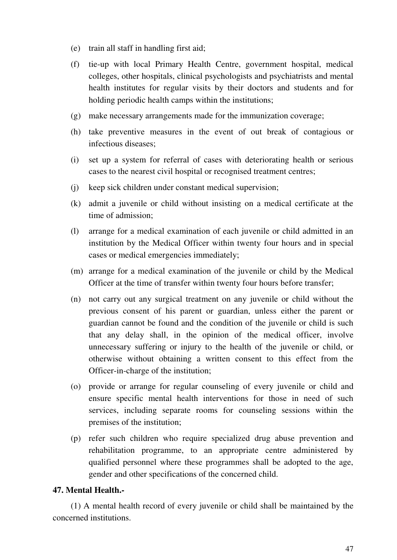- (e) train all staff in handling first aid;
- (f) tie-up with local Primary Health Centre, government hospital, medical colleges, other hospitals, clinical psychologists and psychiatrists and mental health institutes for regular visits by their doctors and students and for holding periodic health camps within the institutions;
- (g) make necessary arrangements made for the immunization coverage;
- (h) take preventive measures in the event of out break of contagious or infectious diseases;
- (i) set up a system for referral of cases with deteriorating health or serious cases to the nearest civil hospital or recognised treatment centres;
- (j) keep sick children under constant medical supervision;
- (k) admit a juvenile or child without insisting on a medical certificate at the time of admission;
- (l) arrange for a medical examination of each juvenile or child admitted in an institution by the Medical Officer within twenty four hours and in special cases or medical emergencies immediately;
- (m) arrange for a medical examination of the juvenile or child by the Medical Officer at the time of transfer within twenty four hours before transfer;
- (n) not carry out any surgical treatment on any juvenile or child without the previous consent of his parent or guardian, unless either the parent or guardian cannot be found and the condition of the juvenile or child is such that any delay shall, in the opinion of the medical officer, involve unnecessary suffering or injury to the health of the juvenile or child, or otherwise without obtaining a written consent to this effect from the Officer-in-charge of the institution;
- (o) provide or arrange for regular counseling of every juvenile or child and ensure specific mental health interventions for those in need of such services, including separate rooms for counseling sessions within the premises of the institution;
- (p) refer such children who require specialized drug abuse prevention and rehabilitation programme, to an appropriate centre administered by qualified personnel where these programmes shall be adopted to the age, gender and other specifications of the concerned child.

# **47. Mental Health.-**

(1) A mental health record of every juvenile or child shall be maintained by the concerned institutions.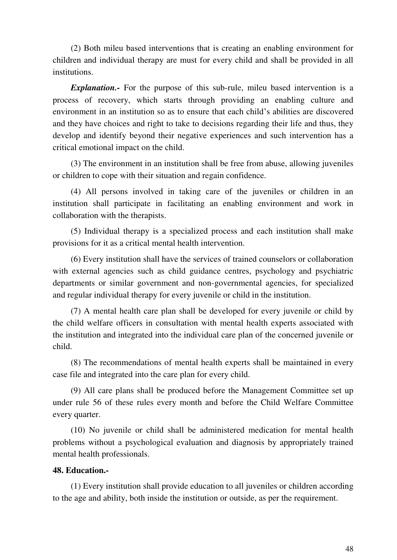(2) Both mileu based interventions that is creating an enabling environment for children and individual therapy are must for every child and shall be provided in all institutions.

*Explanation.-* For the purpose of this sub-rule, mileu based intervention is a process of recovery, which starts through providing an enabling culture and environment in an institution so as to ensure that each child's abilities are discovered and they have choices and right to take to decisions regarding their life and thus, they develop and identify beyond their negative experiences and such intervention has a critical emotional impact on the child.

(3) The environment in an institution shall be free from abuse, allowing juveniles or children to cope with their situation and regain confidence.

(4) All persons involved in taking care of the juveniles or children in an institution shall participate in facilitating an enabling environment and work in collaboration with the therapists.

(5) Individual therapy is a specialized process and each institution shall make provisions for it as a critical mental health intervention.

(6) Every institution shall have the services of trained counselors or collaboration with external agencies such as child guidance centres, psychology and psychiatric departments or similar government and non-governmental agencies, for specialized and regular individual therapy for every juvenile or child in the institution.

(7) A mental health care plan shall be developed for every juvenile or child by the child welfare officers in consultation with mental health experts associated with the institution and integrated into the individual care plan of the concerned juvenile or child.

(8) The recommendations of mental health experts shall be maintained in every case file and integrated into the care plan for every child.

(9) All care plans shall be produced before the Management Committee set up under rule 56 of these rules every month and before the Child Welfare Committee every quarter.

(10) No juvenile or child shall be administered medication for mental health problems without a psychological evaluation and diagnosis by appropriately trained mental health professionals.

#### **48. Education.-**

(1) Every institution shall provide education to all juveniles or children according to the age and ability, both inside the institution or outside, as per the requirement.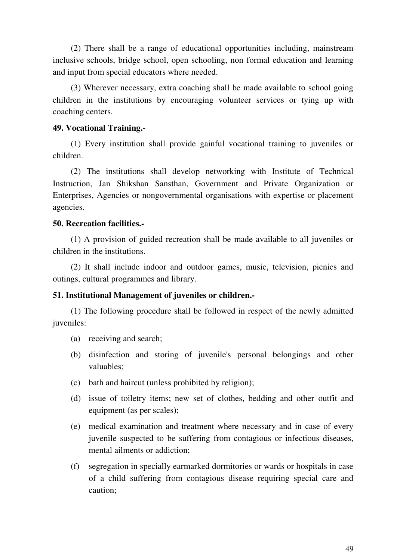(2) There shall be a range of educational opportunities including, mainstream inclusive schools, bridge school, open schooling, non formal education and learning and input from special educators where needed.

(3) Wherever necessary, extra coaching shall be made available to school going children in the institutions by encouraging volunteer services or tying up with coaching centers.

### **49. Vocational Training.-**

(1) Every institution shall provide gainful vocational training to juveniles or children.

(2) The institutions shall develop networking with Institute of Technical Instruction, Jan Shikshan Sansthan, Government and Private Organization or Enterprises, Agencies or nongovernmental organisations with expertise or placement agencies.

## **50. Recreation facilities.-**

(1) A provision of guided recreation shall be made available to all juveniles or children in the institutions.

(2) It shall include indoor and outdoor games, music, television, picnics and outings, cultural programmes and library.

## **51. Institutional Management of juveniles or children.-**

(1) The following procedure shall be followed in respect of the newly admitted juveniles:

- (a) receiving and search;
- (b) disinfection and storing of juvenile's personal belongings and other valuables;
- (c) bath and haircut (unless prohibited by religion);
- (d) issue of toiletry items; new set of clothes, bedding and other outfit and equipment (as per scales);
- (e) medical examination and treatment where necessary and in case of every juvenile suspected to be suffering from contagious or infectious diseases, mental ailments or addiction;
- (f) segregation in specially earmarked dormitories or wards or hospitals in case of a child suffering from contagious disease requiring special care and caution;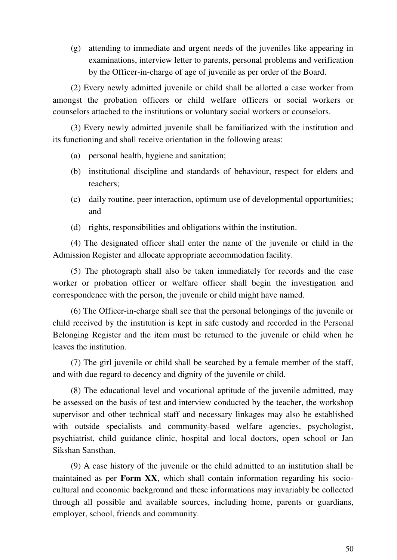(g) attending to immediate and urgent needs of the juveniles like appearing in examinations, interview letter to parents, personal problems and verification by the Officer-in-charge of age of juvenile as per order of the Board.

(2) Every newly admitted juvenile or child shall be allotted a case worker from amongst the probation officers or child welfare officers or social workers or counselors attached to the institutions or voluntary social workers or counselors.

(3) Every newly admitted juvenile shall be familiarized with the institution and its functioning and shall receive orientation in the following areas:

- (a) personal health, hygiene and sanitation;
- (b) institutional discipline and standards of behaviour, respect for elders and teachers;
- (c) daily routine, peer interaction, optimum use of developmental opportunities; and
- (d) rights, responsibilities and obligations within the institution.

(4) The designated officer shall enter the name of the juvenile or child in the Admission Register and allocate appropriate accommodation facility.

(5) The photograph shall also be taken immediately for records and the case worker or probation officer or welfare officer shall begin the investigation and correspondence with the person, the juvenile or child might have named.

(6) The Officer-in-charge shall see that the personal belongings of the juvenile or child received by the institution is kept in safe custody and recorded in the Personal Belonging Register and the item must be returned to the juvenile or child when he leaves the institution.

(7) The girl juvenile or child shall be searched by a female member of the staff, and with due regard to decency and dignity of the juvenile or child.

(8) The educational level and vocational aptitude of the juvenile admitted, may be assessed on the basis of test and interview conducted by the teacher, the workshop supervisor and other technical staff and necessary linkages may also be established with outside specialists and community-based welfare agencies, psychologist, psychiatrist, child guidance clinic, hospital and local doctors, open school or Jan Sikshan Sansthan.

(9) A case history of the juvenile or the child admitted to an institution shall be maintained as per **Form XX**, which shall contain information regarding his sociocultural and economic background and these informations may invariably be collected through all possible and available sources, including home, parents or guardians, employer, school, friends and community.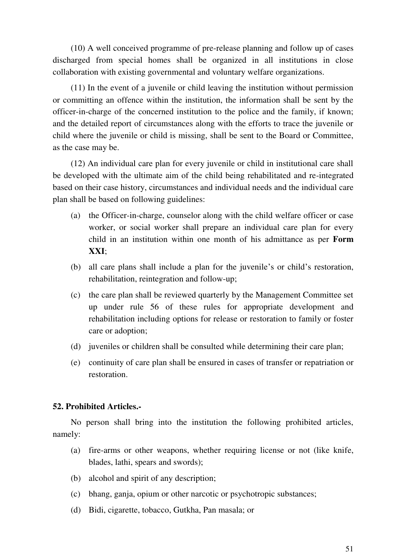(10) A well conceived programme of pre-release planning and follow up of cases discharged from special homes shall be organized in all institutions in close collaboration with existing governmental and voluntary welfare organizations.

(11) In the event of a juvenile or child leaving the institution without permission or committing an offence within the institution, the information shall be sent by the officer-in-charge of the concerned institution to the police and the family, if known; and the detailed report of circumstances along with the efforts to trace the juvenile or child where the juvenile or child is missing, shall be sent to the Board or Committee, as the case may be.

(12) An individual care plan for every juvenile or child in institutional care shall be developed with the ultimate aim of the child being rehabilitated and re-integrated based on their case history, circumstances and individual needs and the individual care plan shall be based on following guidelines:

- (a) the Officer-in-charge, counselor along with the child welfare officer or case worker, or social worker shall prepare an individual care plan for every child in an institution within one month of his admittance as per **Form XXI**;
- (b) all care plans shall include a plan for the juvenile's or child's restoration, rehabilitation, reintegration and follow-up;
- (c) the care plan shall be reviewed quarterly by the Management Committee set up under rule 56 of these rules for appropriate development and rehabilitation including options for release or restoration to family or foster care or adoption;
- (d) juveniles or children shall be consulted while determining their care plan;
- (e) continuity of care plan shall be ensured in cases of transfer or repatriation or restoration.

#### **52. Prohibited Articles.-**

No person shall bring into the institution the following prohibited articles, namely:

- (a) fire-arms or other weapons, whether requiring license or not (like knife, blades, lathi, spears and swords);
- (b) alcohol and spirit of any description;
- (c) bhang, ganja, opium or other narcotic or psychotropic substances;
- (d) Bidi, cigarette, tobacco, Gutkha, Pan masala; or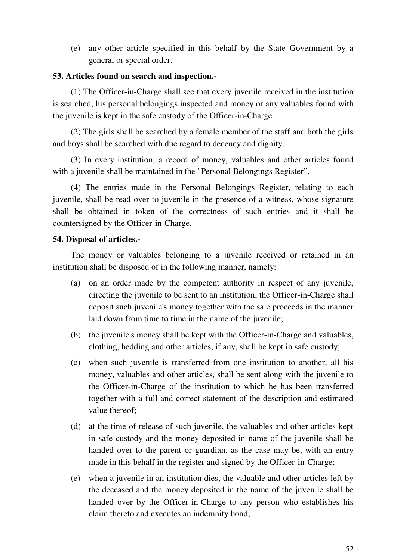(e) any other article specified in this behalf by the State Government by a general or special order.

## **53. Articles found on search and inspection.-**

(1) The Officer-in-Charge shall see that every juvenile received in the institution is searched, his personal belongings inspected and money or any valuables found with the juvenile is kept in the safe custody of the Officer-in-Charge.

(2) The girls shall be searched by a female member of the staff and both the girls and boys shall be searched with due regard to decency and dignity.

(3) In every institution, a record of money, valuables and other articles found with a juvenile shall be maintained in the "Personal Belongings Register".

(4) The entries made in the Personal Belongings Register, relating to each juvenile, shall be read over to juvenile in the presence of a witness, whose signature shall be obtained in token of the correctness of such entries and it shall be countersigned by the Officer-in-Charge.

#### **54. Disposal of articles.-**

The money or valuables belonging to a juvenile received or retained in an institution shall be disposed of in the following manner, namely:

- (a) on an order made by the competent authority in respect of any juvenile, directing the juvenile to be sent to an institution, the Officer-in-Charge shall deposit such juvenile's money together with the sale proceeds in the manner laid down from time to time in the name of the juvenile;
- (b) the juvenile's money shall be kept with the Officer-in-Charge and valuables, clothing, bedding and other articles, if any, shall be kept in safe custody;
- (c) when such juvenile is transferred from one institution to another, all his money, valuables and other articles, shall be sent along with the juvenile to the Officer-in-Charge of the institution to which he has been transferred together with a full and correct statement of the description and estimated value thereof;
- (d) at the time of release of such juvenile, the valuables and other articles kept in safe custody and the money deposited in name of the juvenile shall be handed over to the parent or guardian, as the case may be, with an entry made in this behalf in the register and signed by the Officer-in-Charge;
- (e) when a juvenile in an institution dies, the valuable and other articles left by the deceased and the money deposited in the name of the juvenile shall be handed over by the Officer-in-Charge to any person who establishes his claim thereto and executes an indemnity bond;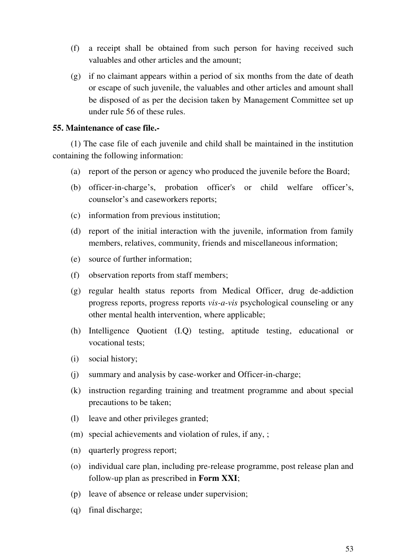- (f) a receipt shall be obtained from such person for having received such valuables and other articles and the amount;
- (g) if no claimant appears within a period of six months from the date of death or escape of such juvenile, the valuables and other articles and amount shall be disposed of as per the decision taken by Management Committee set up under rule 56 of these rules.

### **55. Maintenance of case file.-**

(1) The case file of each juvenile and child shall be maintained in the institution containing the following information:

- (a) report of the person or agency who produced the juvenile before the Board;
- (b) officer-in-charge's, probation officer's or child welfare officer's, counselor's and caseworkers reports;
- (c) information from previous institution;
- (d) report of the initial interaction with the juvenile, information from family members, relatives, community, friends and miscellaneous information;
- (e) source of further information;
- (f) observation reports from staff members;
- (g) regular health status reports from Medical Officer, drug de-addiction progress reports, progress reports *vis-a-vis* psychological counseling or any other mental health intervention, where applicable;
- (h) Intelligence Quotient (I.Q) testing, aptitude testing, educational or vocational tests;
- (i) social history;
- (j) summary and analysis by case-worker and Officer-in-charge;
- (k) instruction regarding training and treatment programme and about special precautions to be taken;
- (l) leave and other privileges granted;
- (m) special achievements and violation of rules, if any, ;
- (n) quarterly progress report;
- (o) individual care plan, including pre-release programme, post release plan and follow-up plan as prescribed in **Form XXI**;
- (p) leave of absence or release under supervision;
- (q) final discharge;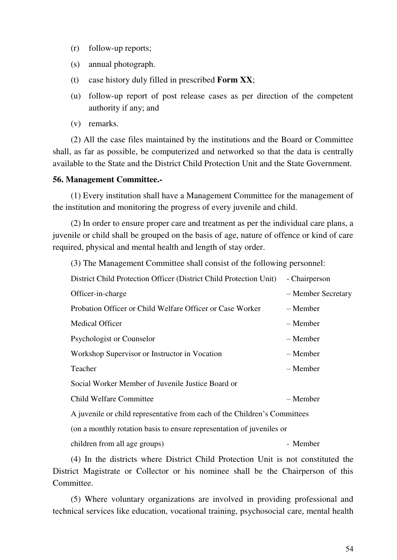- (r) follow-up reports;
- (s) annual photograph.
- (t) case history duly filled in prescribed **Form XX**;
- (u) follow-up report of post release cases as per direction of the competent authority if any; and
- (v) remarks.

(2) All the case files maintained by the institutions and the Board or Committee shall, as far as possible, be computerized and networked so that the data is centrally available to the State and the District Child Protection Unit and the State Government.

#### **56. Management Committee.-**

(1) Every institution shall have a Management Committee for the management of the institution and monitoring the progress of every juvenile and child.

(2) In order to ensure proper care and treatment as per the individual care plans, a juvenile or child shall be grouped on the basis of age, nature of offence or kind of care required, physical and mental health and length of stay order.

(3) The Management Committee shall consist of the following personnel:

| District Child Protection Officer (District Child Protection Unit)        | - Chairperson      |  |  |
|---------------------------------------------------------------------------|--------------------|--|--|
| Officer-in-charge                                                         | - Member Secretary |  |  |
| Probation Officer or Child Welfare Officer or Case Worker                 | – Member           |  |  |
| <b>Medical Officer</b>                                                    | – Member           |  |  |
| Psychologist or Counselor                                                 | – Member           |  |  |
| Workshop Supervisor or Instructor in Vocation                             | – Member           |  |  |
| Teacher                                                                   | – Member           |  |  |
| Social Worker Member of Juvenile Justice Board or                         |                    |  |  |
| <b>Child Welfare Committee</b>                                            | – Member           |  |  |
| A juvenile or child representative from each of the Children's Committees |                    |  |  |
| (on a monthly rotation basis to ensure representation of juveniles or     |                    |  |  |
| children from all age groups)                                             | - Member           |  |  |

(4) In the districts where District Child Protection Unit is not constituted the District Magistrate or Collector or his nominee shall be the Chairperson of this Committee.

(5) Where voluntary organizations are involved in providing professional and technical services like education, vocational training, psychosocial care, mental health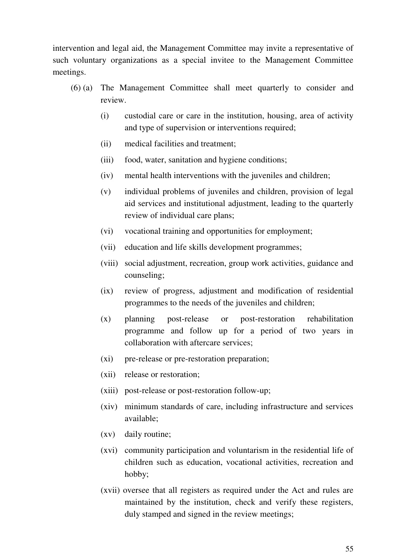intervention and legal aid, the Management Committee may invite a representative of such voluntary organizations as a special invitee to the Management Committee meetings.

- (6) (a) The Management Committee shall meet quarterly to consider and review.
	- (i) custodial care or care in the institution, housing, area of activity and type of supervision or interventions required;
	- (ii) medical facilities and treatment;
	- (iii) food, water, sanitation and hygiene conditions;
	- (iv) mental health interventions with the juveniles and children;
	- (v) individual problems of juveniles and children, provision of legal aid services and institutional adjustment, leading to the quarterly review of individual care plans;
	- (vi) vocational training and opportunities for employment;
	- (vii) education and life skills development programmes;
	- (viii) social adjustment, recreation, group work activities, guidance and counseling;
	- (ix) review of progress, adjustment and modification of residential programmes to the needs of the juveniles and children;
	- (x) planning post-release or post-restoration rehabilitation programme and follow up for a period of two years in collaboration with aftercare services;
	- (xi) pre-release or pre-restoration preparation;
	- (xii) release or restoration;
	- (xiii) post-release or post-restoration follow-up;
	- (xiv) minimum standards of care, including infrastructure and services available;
	- (xv) daily routine;
	- (xvi) community participation and voluntarism in the residential life of children such as education, vocational activities, recreation and hobby;
	- (xvii) oversee that all registers as required under the Act and rules are maintained by the institution, check and verify these registers, duly stamped and signed in the review meetings;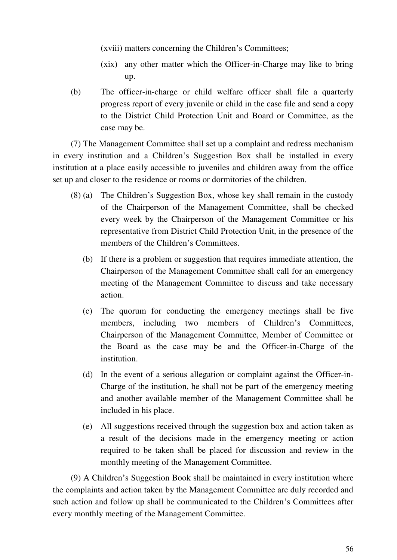(xviii) matters concerning the Children's Committees;

- (xix) any other matter which the Officer-in-Charge may like to bring up.
- (b) The officer-in-charge or child welfare officer shall file a quarterly progress report of every juvenile or child in the case file and send a copy to the District Child Protection Unit and Board or Committee, as the case may be.

(7) The Management Committee shall set up a complaint and redress mechanism in every institution and a Children's Suggestion Box shall be installed in every institution at a place easily accessible to juveniles and children away from the office set up and closer to the residence or rooms or dormitories of the children.

- (8) (a) The Children's Suggestion Box, whose key shall remain in the custody of the Chairperson of the Management Committee, shall be checked every week by the Chairperson of the Management Committee or his representative from District Child Protection Unit, in the presence of the members of the Children's Committees.
	- (b) If there is a problem or suggestion that requires immediate attention, the Chairperson of the Management Committee shall call for an emergency meeting of the Management Committee to discuss and take necessary action.
	- (c) The quorum for conducting the emergency meetings shall be five members, including two members of Children's Committees, Chairperson of the Management Committee, Member of Committee or the Board as the case may be and the Officer-in-Charge of the institution.
	- (d) In the event of a serious allegation or complaint against the Officer-in-Charge of the institution, he shall not be part of the emergency meeting and another available member of the Management Committee shall be included in his place.
	- (e) All suggestions received through the suggestion box and action taken as a result of the decisions made in the emergency meeting or action required to be taken shall be placed for discussion and review in the monthly meeting of the Management Committee.

(9) A Children's Suggestion Book shall be maintained in every institution where the complaints and action taken by the Management Committee are duly recorded and such action and follow up shall be communicated to the Children's Committees after every monthly meeting of the Management Committee.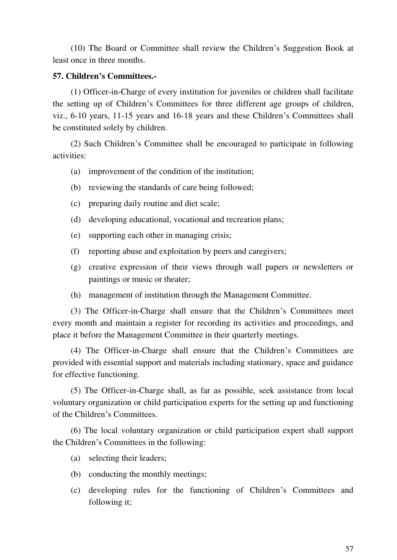(10) The Board or Committee shall review the Children's Suggestion Book at least once in three months.

### **57. Children's Committees.-**

(1) Officer-in-Charge of every institution for juveniles or children shall facilitate the setting up of Children's Committees for three different age groups of children, viz., 6-10 years, 11-15 years and 16-18 years and these Children's Committees shall be constituted solely by children.

(2) Such Children's Committee shall be encouraged to participate in following activities:

(a) improvement of the condition of the institution;

- (b) reviewing the standards of care being followed;
- (c) preparing daily routine and diet scale;
- (d) developing educational, vocational and recreation plans;
- (e) supporting each other in managing crisis;
- (f) reporting abuse and exploitation by peers and caregivers;
- (g) creative expression of their views through wall papers or newsletters or paintings or music or theater;
- (h) management of institution through the Management Committee.

(3) The Officer-in-Charge shall ensure that the Children's Committees meet every month and maintain a register for recording its activities and proceedings, and place it before the Management Committee in their quarterly meetings.

(4) The Officer-in-Charge shall ensure that the Children's Committees are provided with essential support and materials including stationary, space and guidance for effective functioning.

(5) The Officer-in-Charge shall, as far as possible, seek assistance from local voluntary organization or child participation experts for the setting up and functioning of the Children's Committees.

(6) The local voluntary organization or child participation expert shall support the Children's Committees in the following:

- (a) selecting their leaders;
- (b) conducting the monthly meetings;
- (c) developing rules for the functioning of Children's Committees and following it;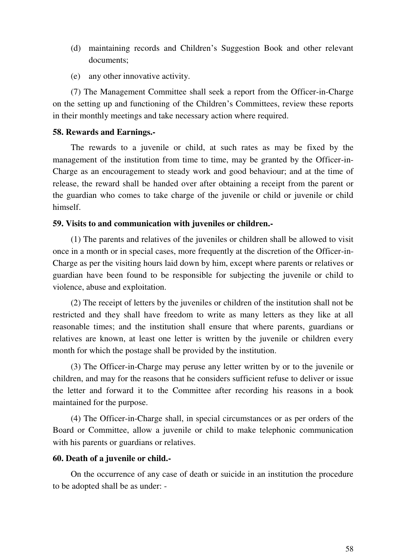- (d) maintaining records and Children's Suggestion Book and other relevant documents;
- (e) any other innovative activity.

(7) The Management Committee shall seek a report from the Officer-in-Charge on the setting up and functioning of the Children's Committees, review these reports in their monthly meetings and take necessary action where required.

#### **58. Rewards and Earnings.-**

The rewards to a juvenile or child, at such rates as may be fixed by the management of the institution from time to time, may be granted by the Officer-in-Charge as an encouragement to steady work and good behaviour; and at the time of release, the reward shall be handed over after obtaining a receipt from the parent or the guardian who comes to take charge of the juvenile or child or juvenile or child himself.

#### **59. Visits to and communication with juveniles or children.-**

(1) The parents and relatives of the juveniles or children shall be allowed to visit once in a month or in special cases, more frequently at the discretion of the Officer-in-Charge as per the visiting hours laid down by him, except where parents or relatives or guardian have been found to be responsible for subjecting the juvenile or child to violence, abuse and exploitation.

(2) The receipt of letters by the juveniles or children of the institution shall not be restricted and they shall have freedom to write as many letters as they like at all reasonable times; and the institution shall ensure that where parents, guardians or relatives are known, at least one letter is written by the juvenile or children every month for which the postage shall be provided by the institution.

(3) The Officer-in-Charge may peruse any letter written by or to the juvenile or children, and may for the reasons that he considers sufficient refuse to deliver or issue the letter and forward it to the Committee after recording his reasons in a book maintained for the purpose.

(4) The Officer-in-Charge shall, in special circumstances or as per orders of the Board or Committee, allow a juvenile or child to make telephonic communication with his parents or guardians or relatives.

#### **60. Death of a juvenile or child.-**

On the occurrence of any case of death or suicide in an institution the procedure to be adopted shall be as under: -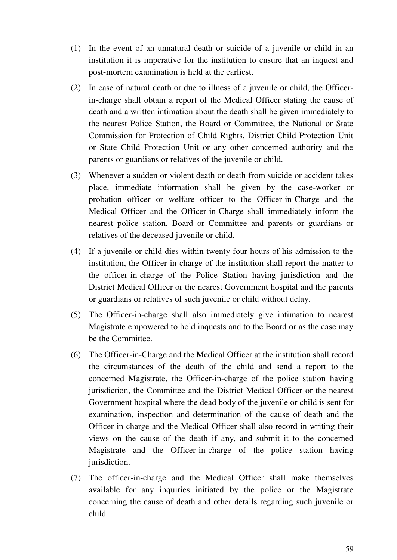- (1) In the event of an unnatural death or suicide of a juvenile or child in an institution it is imperative for the institution to ensure that an inquest and post-mortem examination is held at the earliest.
- (2) In case of natural death or due to illness of a juvenile or child, the Officerin-charge shall obtain a report of the Medical Officer stating the cause of death and a written intimation about the death shall be given immediately to the nearest Police Station, the Board or Committee, the National or State Commission for Protection of Child Rights, District Child Protection Unit or State Child Protection Unit or any other concerned authority and the parents or guardians or relatives of the juvenile or child.
- (3) Whenever a sudden or violent death or death from suicide or accident takes place, immediate information shall be given by the case-worker or probation officer or welfare officer to the Officer-in-Charge and the Medical Officer and the Officer-in-Charge shall immediately inform the nearest police station, Board or Committee and parents or guardians or relatives of the deceased juvenile or child.
- (4) If a juvenile or child dies within twenty four hours of his admission to the institution, the Officer-in-charge of the institution shall report the matter to the officer-in-charge of the Police Station having jurisdiction and the District Medical Officer or the nearest Government hospital and the parents or guardians or relatives of such juvenile or child without delay.
- (5) The Officer-in-charge shall also immediately give intimation to nearest Magistrate empowered to hold inquests and to the Board or as the case may be the Committee.
- (6) The Officer-in-Charge and the Medical Officer at the institution shall record the circumstances of the death of the child and send a report to the concerned Magistrate, the Officer-in-charge of the police station having jurisdiction, the Committee and the District Medical Officer or the nearest Government hospital where the dead body of the juvenile or child is sent for examination, inspection and determination of the cause of death and the Officer-in-charge and the Medical Officer shall also record in writing their views on the cause of the death if any, and submit it to the concerned Magistrate and the Officer-in-charge of the police station having jurisdiction.
- (7) The officer-in-charge and the Medical Officer shall make themselves available for any inquiries initiated by the police or the Magistrate concerning the cause of death and other details regarding such juvenile or child.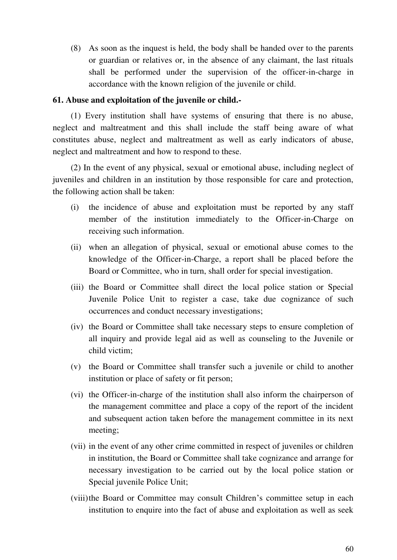(8) As soon as the inquest is held, the body shall be handed over to the parents or guardian or relatives or, in the absence of any claimant, the last rituals shall be performed under the supervision of the officer-in-charge in accordance with the known religion of the juvenile or child.

### **61. Abuse and exploitation of the juvenile or child.-**

(1) Every institution shall have systems of ensuring that there is no abuse, neglect and maltreatment and this shall include the staff being aware of what constitutes abuse, neglect and maltreatment as well as early indicators of abuse, neglect and maltreatment and how to respond to these.

(2) In the event of any physical, sexual or emotional abuse, including neglect of juveniles and children in an institution by those responsible for care and protection, the following action shall be taken:

- (i) the incidence of abuse and exploitation must be reported by any staff member of the institution immediately to the Officer-in-Charge on receiving such information.
- (ii) when an allegation of physical, sexual or emotional abuse comes to the knowledge of the Officer-in-Charge, a report shall be placed before the Board or Committee, who in turn, shall order for special investigation.
- (iii) the Board or Committee shall direct the local police station or Special Juvenile Police Unit to register a case, take due cognizance of such occurrences and conduct necessary investigations;
- (iv) the Board or Committee shall take necessary steps to ensure completion of all inquiry and provide legal aid as well as counseling to the Juvenile or child victim;
- (v) the Board or Committee shall transfer such a juvenile or child to another institution or place of safety or fit person;
- (vi) the Officer-in-charge of the institution shall also inform the chairperson of the management committee and place a copy of the report of the incident and subsequent action taken before the management committee in its next meeting;
- (vii) in the event of any other crime committed in respect of juveniles or children in institution, the Board or Committee shall take cognizance and arrange for necessary investigation to be carried out by the local police station or Special juvenile Police Unit;
- (viii) the Board or Committee may consult Children's committee setup in each institution to enquire into the fact of abuse and exploitation as well as seek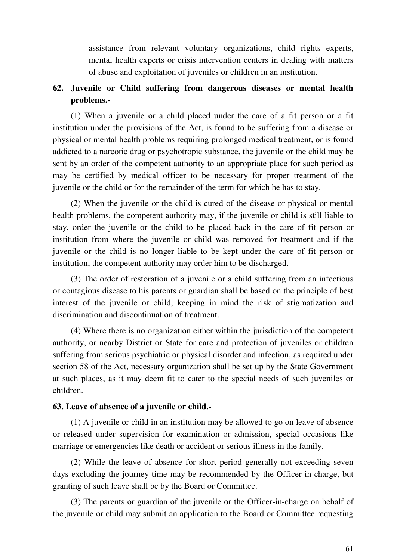assistance from relevant voluntary organizations, child rights experts, mental health experts or crisis intervention centers in dealing with matters of abuse and exploitation of juveniles or children in an institution.

# **62. Juvenile or Child suffering from dangerous diseases or mental health problems.-**

(1) When a juvenile or a child placed under the care of a fit person or a fit institution under the provisions of the Act, is found to be suffering from a disease or physical or mental health problems requiring prolonged medical treatment, or is found addicted to a narcotic drug or psychotropic substance, the juvenile or the child may be sent by an order of the competent authority to an appropriate place for such period as may be certified by medical officer to be necessary for proper treatment of the juvenile or the child or for the remainder of the term for which he has to stay.

(2) When the juvenile or the child is cured of the disease or physical or mental health problems, the competent authority may, if the juvenile or child is still liable to stay, order the juvenile or the child to be placed back in the care of fit person or institution from where the juvenile or child was removed for treatment and if the juvenile or the child is no longer liable to be kept under the care of fit person or institution, the competent authority may order him to be discharged.

(3) The order of restoration of a juvenile or a child suffering from an infectious or contagious disease to his parents or guardian shall be based on the principle of best interest of the juvenile or child, keeping in mind the risk of stigmatization and discrimination and discontinuation of treatment.

(4) Where there is no organization either within the jurisdiction of the competent authority, or nearby District or State for care and protection of juveniles or children suffering from serious psychiatric or physical disorder and infection, as required under section 58 of the Act, necessary organization shall be set up by the State Government at such places, as it may deem fit to cater to the special needs of such juveniles or children.

## **63. Leave of absence of a juvenile or child.-**

(1) A juvenile or child in an institution may be allowed to go on leave of absence or released under supervision for examination or admission, special occasions like marriage or emergencies like death or accident or serious illness in the family.

(2) While the leave of absence for short period generally not exceeding seven days excluding the journey time may be recommended by the Officer-in-charge, but granting of such leave shall be by the Board or Committee.

(3) The parents or guardian of the juvenile or the Officer-in-charge on behalf of the juvenile or child may submit an application to the Board or Committee requesting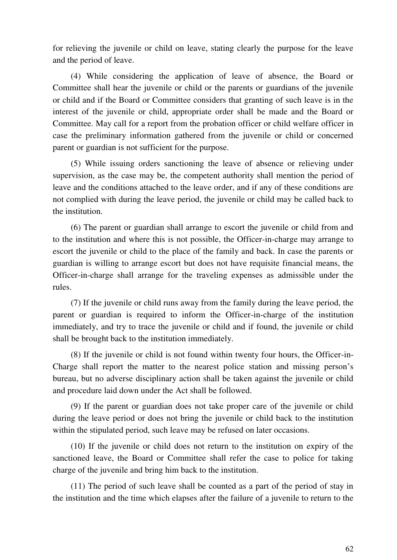for relieving the juvenile or child on leave, stating clearly the purpose for the leave and the period of leave.

(4) While considering the application of leave of absence, the Board or Committee shall hear the juvenile or child or the parents or guardians of the juvenile or child and if the Board or Committee considers that granting of such leave is in the interest of the juvenile or child, appropriate order shall be made and the Board or Committee. May call for a report from the probation officer or child welfare officer in case the preliminary information gathered from the juvenile or child or concerned parent or guardian is not sufficient for the purpose.

(5) While issuing orders sanctioning the leave of absence or relieving under supervision, as the case may be, the competent authority shall mention the period of leave and the conditions attached to the leave order, and if any of these conditions are not complied with during the leave period, the juvenile or child may be called back to the institution.

(6) The parent or guardian shall arrange to escort the juvenile or child from and to the institution and where this is not possible, the Officer-in-charge may arrange to escort the juvenile or child to the place of the family and back. In case the parents or guardian is willing to arrange escort but does not have requisite financial means, the Officer-in-charge shall arrange for the traveling expenses as admissible under the rules.

(7) If the juvenile or child runs away from the family during the leave period, the parent or guardian is required to inform the Officer-in-charge of the institution immediately, and try to trace the juvenile or child and if found, the juvenile or child shall be brought back to the institution immediately.

(8) If the juvenile or child is not found within twenty four hours, the Officer-in-Charge shall report the matter to the nearest police station and missing person's bureau, but no adverse disciplinary action shall be taken against the juvenile or child and procedure laid down under the Act shall be followed.

(9) If the parent or guardian does not take proper care of the juvenile or child during the leave period or does not bring the juvenile or child back to the institution within the stipulated period, such leave may be refused on later occasions.

(10) If the juvenile or child does not return to the institution on expiry of the sanctioned leave, the Board or Committee shall refer the case to police for taking charge of the juvenile and bring him back to the institution.

(11) The period of such leave shall be counted as a part of the period of stay in the institution and the time which elapses after the failure of a juvenile to return to the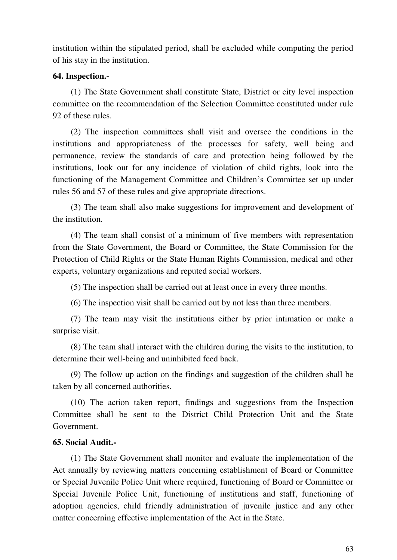institution within the stipulated period, shall be excluded while computing the period of his stay in the institution.

#### **64. Inspection.-**

(1) The State Government shall constitute State, District or city level inspection committee on the recommendation of the Selection Committee constituted under rule 92 of these rules.

(2) The inspection committees shall visit and oversee the conditions in the institutions and appropriateness of the processes for safety, well being and permanence, review the standards of care and protection being followed by the institutions, look out for any incidence of violation of child rights, look into the functioning of the Management Committee and Children's Committee set up under rules 56 and 57 of these rules and give appropriate directions.

(3) The team shall also make suggestions for improvement and development of the institution.

(4) The team shall consist of a minimum of five members with representation from the State Government, the Board or Committee, the State Commission for the Protection of Child Rights or the State Human Rights Commission, medical and other experts, voluntary organizations and reputed social workers.

(5) The inspection shall be carried out at least once in every three months.

(6) The inspection visit shall be carried out by not less than three members.

(7) The team may visit the institutions either by prior intimation or make a surprise visit.

(8) The team shall interact with the children during the visits to the institution, to determine their well-being and uninhibited feed back.

(9) The follow up action on the findings and suggestion of the children shall be taken by all concerned authorities.

(10) The action taken report, findings and suggestions from the Inspection Committee shall be sent to the District Child Protection Unit and the State Government.

#### **65. Social Audit.-**

(1) The State Government shall monitor and evaluate the implementation of the Act annually by reviewing matters concerning establishment of Board or Committee or Special Juvenile Police Unit where required, functioning of Board or Committee or Special Juvenile Police Unit, functioning of institutions and staff, functioning of adoption agencies, child friendly administration of juvenile justice and any other matter concerning effective implementation of the Act in the State.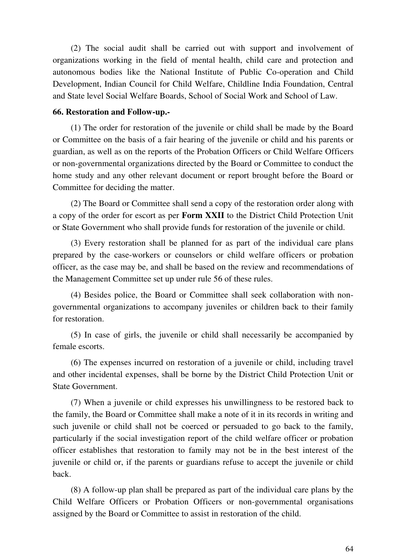(2) The social audit shall be carried out with support and involvement of organizations working in the field of mental health, child care and protection and autonomous bodies like the National Institute of Public Co-operation and Child Development, Indian Council for Child Welfare, Childline India Foundation, Central and State level Social Welfare Boards, School of Social Work and School of Law.

#### **66. Restoration and Follow-up.-**

(1) The order for restoration of the juvenile or child shall be made by the Board or Committee on the basis of a fair hearing of the juvenile or child and his parents or guardian, as well as on the reports of the Probation Officers or Child Welfare Officers or non-governmental organizations directed by the Board or Committee to conduct the home study and any other relevant document or report brought before the Board or Committee for deciding the matter.

(2) The Board or Committee shall send a copy of the restoration order along with a copy of the order for escort as per **Form XXII** to the District Child Protection Unit or State Government who shall provide funds for restoration of the juvenile or child.

(3) Every restoration shall be planned for as part of the individual care plans prepared by the case-workers or counselors or child welfare officers or probation officer, as the case may be, and shall be based on the review and recommendations of the Management Committee set up under rule 56 of these rules.

(4) Besides police, the Board or Committee shall seek collaboration with nongovernmental organizations to accompany juveniles or children back to their family for restoration.

(5) In case of girls, the juvenile or child shall necessarily be accompanied by female escorts.

(6) The expenses incurred on restoration of a juvenile or child, including travel and other incidental expenses, shall be borne by the District Child Protection Unit or State Government.

(7) When a juvenile or child expresses his unwillingness to be restored back to the family, the Board or Committee shall make a note of it in its records in writing and such juvenile or child shall not be coerced or persuaded to go back to the family, particularly if the social investigation report of the child welfare officer or probation officer establishes that restoration to family may not be in the best interest of the juvenile or child or, if the parents or guardians refuse to accept the juvenile or child back.

(8) A follow-up plan shall be prepared as part of the individual care plans by the Child Welfare Officers or Probation Officers or non-governmental organisations assigned by the Board or Committee to assist in restoration of the child.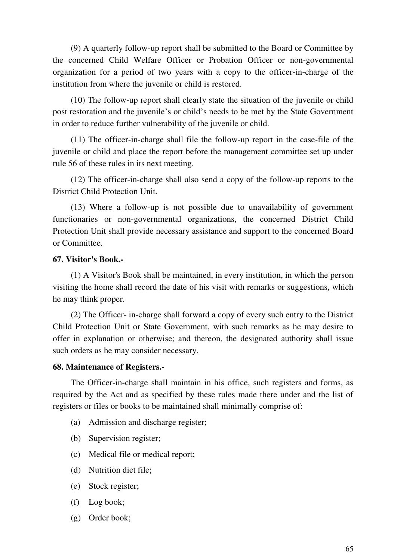(9) A quarterly follow-up report shall be submitted to the Board or Committee by the concerned Child Welfare Officer or Probation Officer or non-governmental organization for a period of two years with a copy to the officer-in-charge of the institution from where the juvenile or child is restored.

(10) The follow-up report shall clearly state the situation of the juvenile or child post restoration and the juvenile's or child's needs to be met by the State Government in order to reduce further vulnerability of the juvenile or child.

(11) The officer-in-charge shall file the follow-up report in the case-file of the juvenile or child and place the report before the management committee set up under rule 56 of these rules in its next meeting.

(12) The officer-in-charge shall also send a copy of the follow-up reports to the District Child Protection Unit.

(13) Where a follow-up is not possible due to unavailability of government functionaries or non-governmental organizations, the concerned District Child Protection Unit shall provide necessary assistance and support to the concerned Board or Committee.

#### **67. Visitor's Book.-**

(1) A Visitor's Book shall be maintained, in every institution, in which the person visiting the home shall record the date of his visit with remarks or suggestions, which he may think proper.

(2) The Officer- in-charge shall forward a copy of every such entry to the District Child Protection Unit or State Government, with such remarks as he may desire to offer in explanation or otherwise; and thereon, the designated authority shall issue such orders as he may consider necessary.

#### **68. Maintenance of Registers.-**

The Officer-in-charge shall maintain in his office, such registers and forms, as required by the Act and as specified by these rules made there under and the list of registers or files or books to be maintained shall minimally comprise of:

- (a) Admission and discharge register;
- (b) Supervision register;
- (c) Medical file or medical report;
- (d) Nutrition diet file;
- (e) Stock register;
- (f) Log book;
- (g) Order book;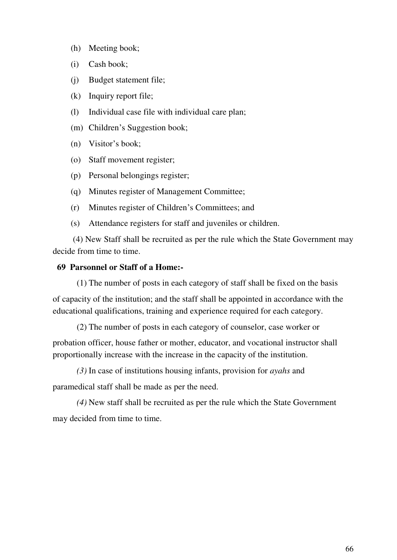- (h) Meeting book;
- (i) Cash book;
- (j) Budget statement file;
- (k) Inquiry report file;
- (l) Individual case file with individual care plan;
- (m) Children's Suggestion book;
- (n) Visitor's book;
- (o) Staff movement register;
- (p) Personal belongings register;
- (q) Minutes register of Management Committee;
- (r) Minutes register of Children's Committees; and
- (s) Attendance registers for staff and juveniles or children.

(4) New Staff shall be recruited as per the rule which the State Government may decide from time to time.

### **69 Parsonnel or Staff of a Home:-**

(1) The number of posts in each category of staff shall be fixed on the basis

of capacity of the institution; and the staff shall be appointed in accordance with the educational qualifications, training and experience required for each category.

(2) The number of posts in each category of counselor, case worker or

probation officer, house father or mother, educator, and vocational instructor shall proportionally increase with the increase in the capacity of the institution.

*(3)* In case of institutions housing infants, provision for *ayahs* and paramedical staff shall be made as per the need.

*(4)* New staff shall be recruited as per the rule which the State Government may decided from time to time.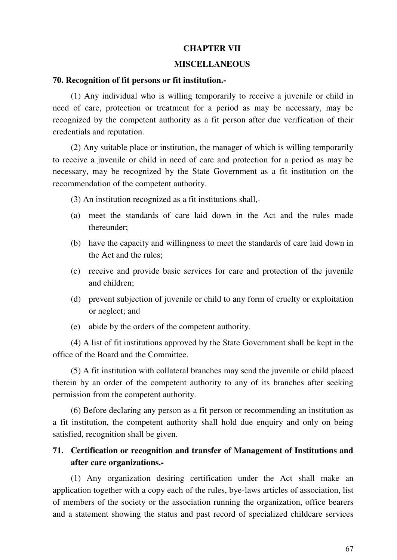### **CHAPTER VII**

#### **MISCELLANEOUS**

#### **70. Recognition of fit persons or fit institution.-**

(1) Any individual who is willing temporarily to receive a juvenile or child in need of care, protection or treatment for a period as may be necessary, may be recognized by the competent authority as a fit person after due verification of their credentials and reputation.

(2) Any suitable place or institution, the manager of which is willing temporarily to receive a juvenile or child in need of care and protection for a period as may be necessary, may be recognized by the State Government as a fit institution on the recommendation of the competent authority.

(3) An institution recognized as a fit institutions shall,-

- (a) meet the standards of care laid down in the Act and the rules made thereunder;
- (b) have the capacity and willingness to meet the standards of care laid down in the Act and the rules;
- (c) receive and provide basic services for care and protection of the juvenile and children;
- (d) prevent subjection of juvenile or child to any form of cruelty or exploitation or neglect; and
- (e) abide by the orders of the competent authority.

(4) A list of fit institutions approved by the State Government shall be kept in the office of the Board and the Committee.

(5) A fit institution with collateral branches may send the juvenile or child placed therein by an order of the competent authority to any of its branches after seeking permission from the competent authority.

(6) Before declaring any person as a fit person or recommending an institution as a fit institution, the competent authority shall hold due enquiry and only on being satisfied, recognition shall be given.

# **71. Certification or recognition and transfer of Management of Institutions and after care organizations.-**

(1) Any organization desiring certification under the Act shall make an application together with a copy each of the rules, bye-laws articles of association, list of members of the society or the association running the organization, office bearers and a statement showing the status and past record of specialized childcare services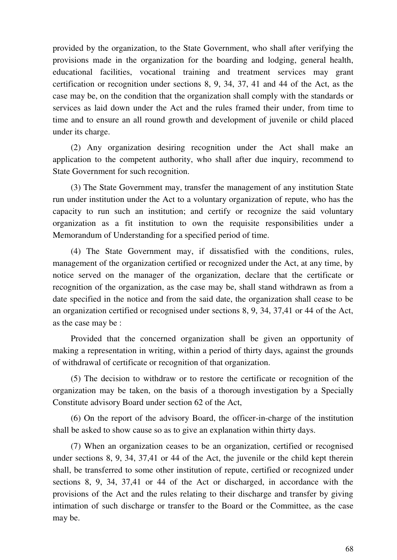provided by the organization, to the State Government, who shall after verifying the provisions made in the organization for the boarding and lodging, general health, educational facilities, vocational training and treatment services may grant certification or recognition under sections 8, 9, 34, 37, 41 and 44 of the Act, as the case may be, on the condition that the organization shall comply with the standards or services as laid down under the Act and the rules framed their under, from time to time and to ensure an all round growth and development of juvenile or child placed under its charge.

(2) Any organization desiring recognition under the Act shall make an application to the competent authority, who shall after due inquiry, recommend to State Government for such recognition.

(3) The State Government may, transfer the management of any institution State run under institution under the Act to a voluntary organization of repute, who has the capacity to run such an institution; and certify or recognize the said voluntary organization as a fit institution to own the requisite responsibilities under a Memorandum of Understanding for a specified period of time.

(4) The State Government may, if dissatisfied with the conditions, rules, management of the organization certified or recognized under the Act, at any time, by notice served on the manager of the organization, declare that the certificate or recognition of the organization, as the case may be, shall stand withdrawn as from a date specified in the notice and from the said date, the organization shall cease to be an organization certified or recognised under sections 8, 9, 34, 37,41 or 44 of the Act, as the case may be :

Provided that the concerned organization shall be given an opportunity of making a representation in writing, within a period of thirty days, against the grounds of withdrawal of certificate or recognition of that organization.

(5) The decision to withdraw or to restore the certificate or recognition of the organization may be taken, on the basis of a thorough investigation by a Specially Constitute advisory Board under section 62 of the Act,

(6) On the report of the advisory Board, the officer-in-charge of the institution shall be asked to show cause so as to give an explanation within thirty days.

(7) When an organization ceases to be an organization, certified or recognised under sections 8, 9, 34, 37,41 or 44 of the Act, the juvenile or the child kept therein shall, be transferred to some other institution of repute, certified or recognized under sections 8, 9, 34, 37,41 or 44 of the Act or discharged, in accordance with the provisions of the Act and the rules relating to their discharge and transfer by giving intimation of such discharge or transfer to the Board or the Committee, as the case may be.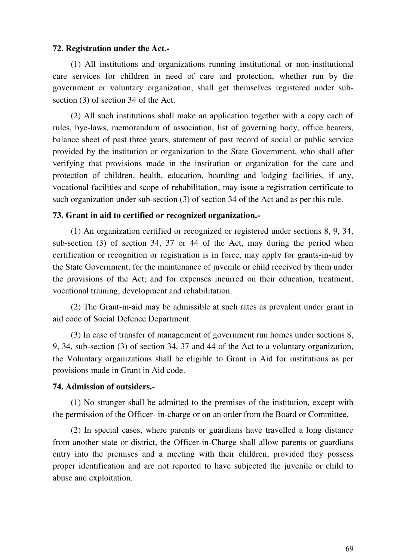#### **72. Registration under the Act.-**

(1) All institutions and organizations running institutional or non-institutional care services for children in need of care and protection, whether run by the government or voluntary organization, shall get themselves registered under subsection (3) of section 34 of the Act.

(2) All such institutions shall make an application together with a copy each of rules, bye-laws, memorandum of association, list of governing body, office bearers, balance sheet of past three years, statement of past record of social or public service provided by the institution or organization to the State Government, who shall after verifying that provisions made in the institution or organization for the care and protection of children, health, education, boarding and lodging facilities, if any, vocational facilities and scope of rehabilitation, may issue a registration certificate to such organization under sub-section (3) of section 34 of the Act and as per this rule.

### **73. Grant in aid to certified or recognized organization.-**

(1) An organization certified or recognized or registered under sections 8, 9, 34, sub-section (3) of section 34, 37 or 44 of the Act, may during the period when certification or recognition or registration is in force, may apply for grants-in-aid by the State Government, for the maintenance of juvenile or child received by them under the provisions of the Act; and for expenses incurred on their education, treatment, vocational training, development and rehabilitation.

(2) The Grant-in-aid may be admissible at such rates as prevalent under grant in aid code of Social Defence Department.

(3) In case of transfer of management of government run homes under sections 8, 9, 34, sub-section (3) of section 34, 37 and 44 of the Act to a voluntary organization, the Voluntary organizations shall be eligible to Grant in Aid for institutions as per provisions made in Grant in Aid code.

#### **74. Admission of outsiders.-**

(1) No stranger shall be admitted to the premises of the institution, except with the permission of the Officer- in-charge or on an order from the Board or Committee.

(2) In special cases, where parents or guardians have travelled a long distance from another state or district, the Officer-in-Charge shall allow parents or guardians entry into the premises and a meeting with their children, provided they possess proper identification and are not reported to have subjected the juvenile or child to abuse and exploitation.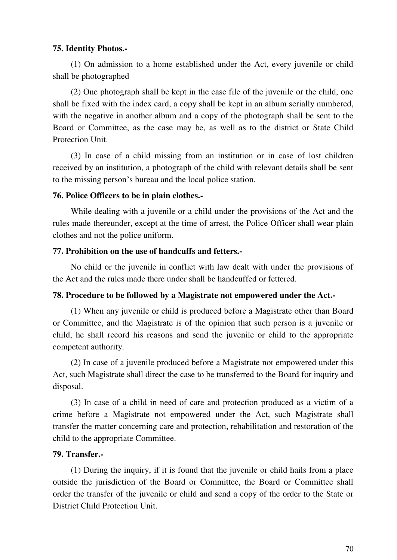## **75. Identity Photos.-**

(1) On admission to a home established under the Act, every juvenile or child shall be photographed

(2) One photograph shall be kept in the case file of the juvenile or the child, one shall be fixed with the index card, a copy shall be kept in an album serially numbered, with the negative in another album and a copy of the photograph shall be sent to the Board or Committee, as the case may be, as well as to the district or State Child Protection Unit.

(3) In case of a child missing from an institution or in case of lost children received by an institution, a photograph of the child with relevant details shall be sent to the missing person's bureau and the local police station.

#### **76. Police Officers to be in plain clothes.-**

While dealing with a juvenile or a child under the provisions of the Act and the rules made thereunder, except at the time of arrest, the Police Officer shall wear plain clothes and not the police uniform.

### **77. Prohibition on the use of handcuffs and fetters.-**

No child or the juvenile in conflict with law dealt with under the provisions of the Act and the rules made there under shall be handcuffed or fettered.

## **78. Procedure to be followed by a Magistrate not empowered under the Act.-**

(1) When any juvenile or child is produced before a Magistrate other than Board or Committee, and the Magistrate is of the opinion that such person is a juvenile or child, he shall record his reasons and send the juvenile or child to the appropriate competent authority.

(2) In case of a juvenile produced before a Magistrate not empowered under this Act, such Magistrate shall direct the case to be transferred to the Board for inquiry and disposal.

(3) In case of a child in need of care and protection produced as a victim of a crime before a Magistrate not empowered under the Act, such Magistrate shall transfer the matter concerning care and protection, rehabilitation and restoration of the child to the appropriate Committee.

## **79. Transfer.-**

(1) During the inquiry, if it is found that the juvenile or child hails from a place outside the jurisdiction of the Board or Committee, the Board or Committee shall order the transfer of the juvenile or child and send a copy of the order to the State or District Child Protection Unit.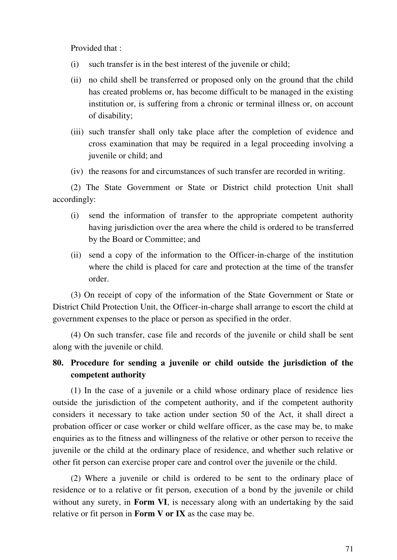Provided that :

- (i) such transfer is in the best interest of the juvenile or child;
- (ii) no child shell be transferred or proposed only on the ground that the child has created problems or, has become difficult to be managed in the existing institution or, is suffering from a chronic or terminal illness or, on account of disability;
- (iii) such transfer shall only take place after the completion of evidence and cross examination that may be required in a legal proceeding involving a juvenile or child; and
- (iv) the reasons for and circumstances of such transfer are recorded in writing.

(2) The State Government or State or District child protection Unit shall accordingly:

- (i) send the information of transfer to the appropriate competent authority having jurisdiction over the area where the child is ordered to be transferred by the Board or Committee; and
- (ii) send a copy of the information to the Officer-in-charge of the institution where the child is placed for care and protection at the time of the transfer order.

(3) On receipt of copy of the information of the State Government or State or District Child Protection Unit, the Officer-in-charge shall arrange to escort the child at government expenses to the place or person as specified in the order.

(4) On such transfer, case file and records of the juvenile or child shall be sent along with the juvenile or child.

# **80. Procedure for sending a juvenile or child outside the jurisdiction of the competent authority**

(1) In the case of a juvenile or a child whose ordinary place of residence lies outside the jurisdiction of the competent authority, and if the competent authority considers it necessary to take action under section 50 of the Act, it shall direct a probation officer or case worker or child welfare officer, as the case may be, to make enquiries as to the fitness and willingness of the relative or other person to receive the juvenile or the child at the ordinary place of residence, and whether such relative or other fit person can exercise proper care and control over the juvenile or the child.

(2) Where a juvenile or child is ordered to be sent to the ordinary place of residence or to a relative or fit person, execution of a bond by the juvenile or child without any surety, in **Form VI**, is necessary along with an undertaking by the said relative or fit person in **Form V or IX** as the case may be.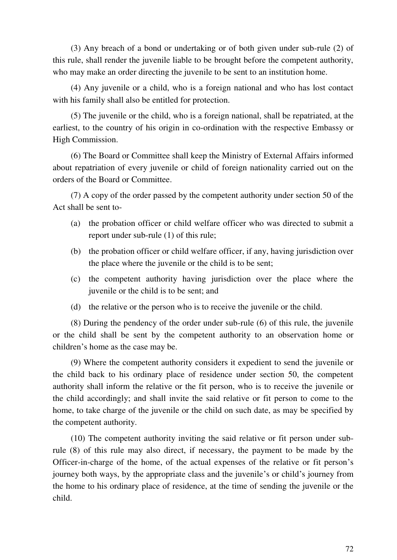(3) Any breach of a bond or undertaking or of both given under sub-rule (2) of this rule, shall render the juvenile liable to be brought before the competent authority, who may make an order directing the juvenile to be sent to an institution home.

(4) Any juvenile or a child, who is a foreign national and who has lost contact with his family shall also be entitled for protection.

(5) The juvenile or the child, who is a foreign national, shall be repatriated, at the earliest, to the country of his origin in co-ordination with the respective Embassy or High Commission.

(6) The Board or Committee shall keep the Ministry of External Affairs informed about repatriation of every juvenile or child of foreign nationality carried out on the orders of the Board or Committee.

(7) A copy of the order passed by the competent authority under section 50 of the Act shall be sent to-

- (a) the probation officer or child welfare officer who was directed to submit a report under sub-rule (1) of this rule;
- (b) the probation officer or child welfare officer, if any, having jurisdiction over the place where the juvenile or the child is to be sent;
- (c) the competent authority having jurisdiction over the place where the juvenile or the child is to be sent; and
- (d) the relative or the person who is to receive the juvenile or the child.

(8) During the pendency of the order under sub-rule (6) of this rule, the juvenile or the child shall be sent by the competent authority to an observation home or children's home as the case may be.

(9) Where the competent authority considers it expedient to send the juvenile or the child back to his ordinary place of residence under section 50, the competent authority shall inform the relative or the fit person, who is to receive the juvenile or the child accordingly; and shall invite the said relative or fit person to come to the home, to take charge of the juvenile or the child on such date, as may be specified by the competent authority.

(10) The competent authority inviting the said relative or fit person under subrule (8) of this rule may also direct, if necessary, the payment to be made by the Officer-in-charge of the home, of the actual expenses of the relative or fit person's journey both ways, by the appropriate class and the juvenile's or child's journey from the home to his ordinary place of residence, at the time of sending the juvenile or the child.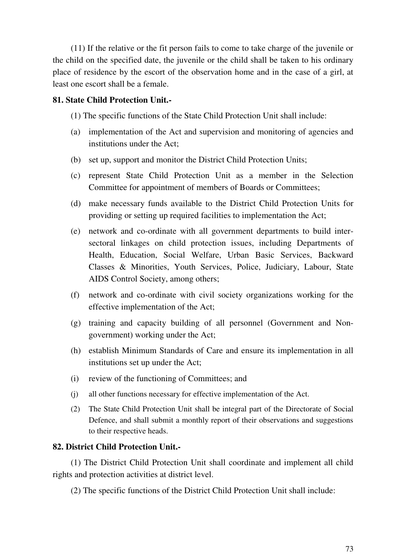(11) If the relative or the fit person fails to come to take charge of the juvenile or the child on the specified date, the juvenile or the child shall be taken to his ordinary place of residence by the escort of the observation home and in the case of a girl, at least one escort shall be a female.

### **81. State Child Protection Unit.-**

(1) The specific functions of the State Child Protection Unit shall include:

- (a) implementation of the Act and supervision and monitoring of agencies and institutions under the Act;
- (b) set up, support and monitor the District Child Protection Units;
- (c) represent State Child Protection Unit as a member in the Selection Committee for appointment of members of Boards or Committees;
- (d) make necessary funds available to the District Child Protection Units for providing or setting up required facilities to implementation the Act;
- (e) network and co-ordinate with all government departments to build intersectoral linkages on child protection issues, including Departments of Health, Education, Social Welfare, Urban Basic Services, Backward Classes & Minorities, Youth Services, Police, Judiciary, Labour, State AIDS Control Society, among others;
- (f) network and co-ordinate with civil society organizations working for the effective implementation of the Act;
- (g) training and capacity building of all personnel (Government and Nongovernment) working under the Act;
- (h) establish Minimum Standards of Care and ensure its implementation in all institutions set up under the Act;
- (i) review of the functioning of Committees; and
- (j) all other functions necessary for effective implementation of the Act.
- (2) The State Child Protection Unit shall be integral part of the Directorate of Social Defence, and shall submit a monthly report of their observations and suggestions to their respective heads.

### **82. District Child Protection Unit.-**

(1) The District Child Protection Unit shall coordinate and implement all child rights and protection activities at district level.

(2) The specific functions of the District Child Protection Unit shall include: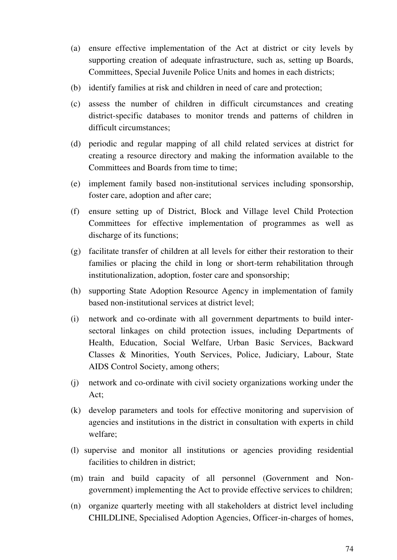- (a) ensure effective implementation of the Act at district or city levels by supporting creation of adequate infrastructure, such as, setting up Boards, Committees, Special Juvenile Police Units and homes in each districts;
- (b) identify families at risk and children in need of care and protection;
- (c) assess the number of children in difficult circumstances and creating district-specific databases to monitor trends and patterns of children in difficult circumstances;
- (d) periodic and regular mapping of all child related services at district for creating a resource directory and making the information available to the Committees and Boards from time to time;
- (e) implement family based non-institutional services including sponsorship, foster care, adoption and after care;
- (f) ensure setting up of District, Block and Village level Child Protection Committees for effective implementation of programmes as well as discharge of its functions;
- (g) facilitate transfer of children at all levels for either their restoration to their families or placing the child in long or short-term rehabilitation through institutionalization, adoption, foster care and sponsorship;
- (h) supporting State Adoption Resource Agency in implementation of family based non-institutional services at district level;
- (i) network and co-ordinate with all government departments to build intersectoral linkages on child protection issues, including Departments of Health, Education, Social Welfare, Urban Basic Services, Backward Classes & Minorities, Youth Services, Police, Judiciary, Labour, State AIDS Control Society, among others;
- (j) network and co-ordinate with civil society organizations working under the Act;
- (k) develop parameters and tools for effective monitoring and supervision of agencies and institutions in the district in consultation with experts in child welfare;
- (l) supervise and monitor all institutions or agencies providing residential facilities to children in district;
- (m) train and build capacity of all personnel (Government and Nongovernment) implementing the Act to provide effective services to children;
- (n) organize quarterly meeting with all stakeholders at district level including CHILDLINE, Specialised Adoption Agencies, Officer-in-charges of homes,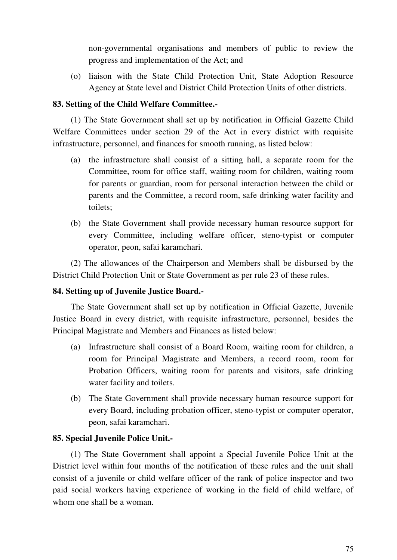non-governmental organisations and members of public to review the progress and implementation of the Act; and

(o) liaison with the State Child Protection Unit, State Adoption Resource Agency at State level and District Child Protection Units of other districts.

### **83. Setting of the Child Welfare Committee.-**

(1) The State Government shall set up by notification in Official Gazette Child Welfare Committees under section 29 of the Act in every district with requisite infrastructure, personnel, and finances for smooth running, as listed below:

- (a) the infrastructure shall consist of a sitting hall, a separate room for the Committee, room for office staff, waiting room for children, waiting room for parents or guardian, room for personal interaction between the child or parents and the Committee, a record room, safe drinking water facility and toilets;
- (b) the State Government shall provide necessary human resource support for every Committee, including welfare officer, steno-typist or computer operator, peon, safai karamchari.

(2) The allowances of the Chairperson and Members shall be disbursed by the District Child Protection Unit or State Government as per rule 23 of these rules.

### **84. Setting up of Juvenile Justice Board.-**

The State Government shall set up by notification in Official Gazette, Juvenile Justice Board in every district, with requisite infrastructure, personnel, besides the Principal Magistrate and Members and Finances as listed below:

- (a) Infrastructure shall consist of a Board Room, waiting room for children, a room for Principal Magistrate and Members, a record room, room for Probation Officers, waiting room for parents and visitors, safe drinking water facility and toilets.
- (b) The State Government shall provide necessary human resource support for every Board, including probation officer, steno-typist or computer operator, peon, safai karamchari.

### **85. Special Juvenile Police Unit.-**

(1) The State Government shall appoint a Special Juvenile Police Unit at the District level within four months of the notification of these rules and the unit shall consist of a juvenile or child welfare officer of the rank of police inspector and two paid social workers having experience of working in the field of child welfare, of whom one shall be a woman.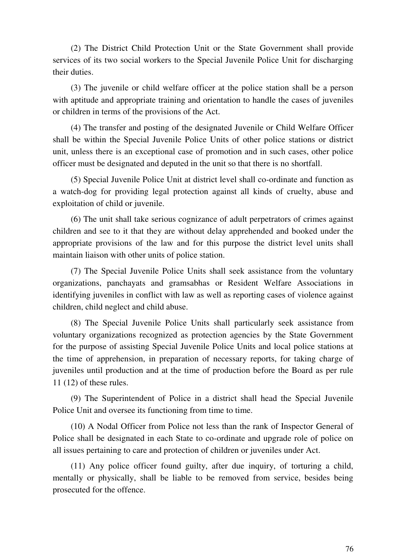(2) The District Child Protection Unit or the State Government shall provide services of its two social workers to the Special Juvenile Police Unit for discharging their duties.

(3) The juvenile or child welfare officer at the police station shall be a person with aptitude and appropriate training and orientation to handle the cases of juveniles or children in terms of the provisions of the Act.

(4) The transfer and posting of the designated Juvenile or Child Welfare Officer shall be within the Special Juvenile Police Units of other police stations or district unit, unless there is an exceptional case of promotion and in such cases, other police officer must be designated and deputed in the unit so that there is no shortfall.

(5) Special Juvenile Police Unit at district level shall co-ordinate and function as a watch-dog for providing legal protection against all kinds of cruelty, abuse and exploitation of child or juvenile.

(6) The unit shall take serious cognizance of adult perpetrators of crimes against children and see to it that they are without delay apprehended and booked under the appropriate provisions of the law and for this purpose the district level units shall maintain liaison with other units of police station.

(7) The Special Juvenile Police Units shall seek assistance from the voluntary organizations, panchayats and gramsabhas or Resident Welfare Associations in identifying juveniles in conflict with law as well as reporting cases of violence against children, child neglect and child abuse.

(8) The Special Juvenile Police Units shall particularly seek assistance from voluntary organizations recognized as protection agencies by the State Government for the purpose of assisting Special Juvenile Police Units and local police stations at the time of apprehension, in preparation of necessary reports, for taking charge of juveniles until production and at the time of production before the Board as per rule 11 (12) of these rules.

(9) The Superintendent of Police in a district shall head the Special Juvenile Police Unit and oversee its functioning from time to time.

(10) A Nodal Officer from Police not less than the rank of Inspector General of Police shall be designated in each State to co-ordinate and upgrade role of police on all issues pertaining to care and protection of children or juveniles under Act.

(11) Any police officer found guilty, after due inquiry, of torturing a child, mentally or physically, shall be liable to be removed from service, besides being prosecuted for the offence.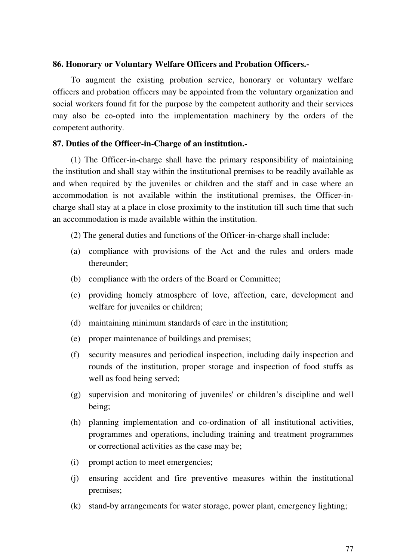#### **86. Honorary or Voluntary Welfare Officers and Probation Officers.-**

To augment the existing probation service, honorary or voluntary welfare officers and probation officers may be appointed from the voluntary organization and social workers found fit for the purpose by the competent authority and their services may also be co-opted into the implementation machinery by the orders of the competent authority.

#### **87. Duties of the Officer-in-Charge of an institution.-**

(1) The Officer-in-charge shall have the primary responsibility of maintaining the institution and shall stay within the institutional premises to be readily available as and when required by the juveniles or children and the staff and in case where an accommodation is not available within the institutional premises, the Officer-incharge shall stay at a place in close proximity to the institution till such time that such an accommodation is made available within the institution.

- (2) The general duties and functions of the Officer-in-charge shall include:
- (a) compliance with provisions of the Act and the rules and orders made thereunder;
- (b) compliance with the orders of the Board or Committee;
- (c) providing homely atmosphere of love, affection, care, development and welfare for juveniles or children;
- (d) maintaining minimum standards of care in the institution;
- (e) proper maintenance of buildings and premises;
- (f) security measures and periodical inspection, including daily inspection and rounds of the institution, proper storage and inspection of food stuffs as well as food being served;
- (g) supervision and monitoring of juveniles' or children's discipline and well being;
- (h) planning implementation and co-ordination of all institutional activities, programmes and operations, including training and treatment programmes or correctional activities as the case may be;
- (i) prompt action to meet emergencies;
- (j) ensuring accident and fire preventive measures within the institutional premises;
- (k) stand-by arrangements for water storage, power plant, emergency lighting;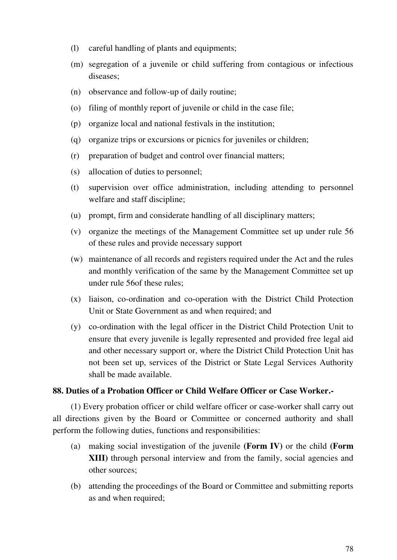- (l) careful handling of plants and equipments;
- (m) segregation of a juvenile or child suffering from contagious or infectious diseases;
- (n) observance and follow-up of daily routine;
- (o) filing of monthly report of juvenile or child in the case file;
- (p) organize local and national festivals in the institution;
- (q) organize trips or excursions or picnics for juveniles or children;
- (r) preparation of budget and control over financial matters;
- (s) allocation of duties to personnel;
- (t) supervision over office administration, including attending to personnel welfare and staff discipline;
- (u) prompt, firm and considerate handling of all disciplinary matters;
- (v) organize the meetings of the Management Committee set up under rule 56 of these rules and provide necessary support
- (w) maintenance of all records and registers required under the Act and the rules and monthly verification of the same by the Management Committee set up under rule 56of these rules;
- (x) liaison, co-ordination and co-operation with the District Child Protection Unit or State Government as and when required; and
- (y) co-ordination with the legal officer in the District Child Protection Unit to ensure that every juvenile is legally represented and provided free legal aid and other necessary support or, where the District Child Protection Unit has not been set up, services of the District or State Legal Services Authority shall be made available.

### **88. Duties of a Probation Officer or Child Welfare Officer or Case Worker.-**

(1) Every probation officer or child welfare officer or case-worker shall carry out all directions given by the Board or Committee or concerned authority and shall perform the following duties, functions and responsibilities:

- (a) making social investigation of the juvenile **(Form IV)** or the child **(Form XIII)** through personal interview and from the family, social agencies and other sources;
- (b) attending the proceedings of the Board or Committee and submitting reports as and when required;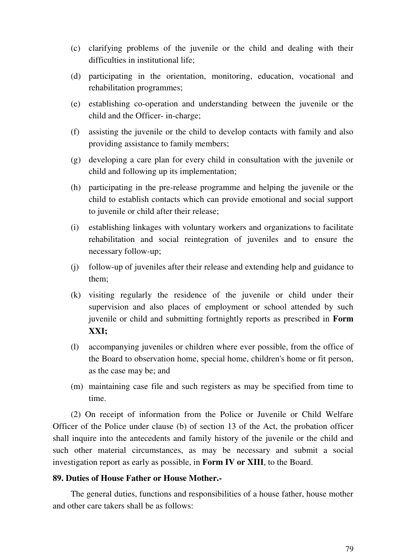- (c) clarifying problems of the juvenile or the child and dealing with their difficulties in institutional life;
- (d) participating in the orientation, monitoring, education, vocational and rehabilitation programmes;
- (e) establishing co-operation and understanding between the juvenile or the child and the Officer- in-charge;
- (f) assisting the juvenile or the child to develop contacts with family and also providing assistance to family members;
- (g) developing a care plan for every child in consultation with the juvenile or child and following up its implementation;
- (h) participating in the pre-release programme and helping the juvenile or the child to establish contacts which can provide emotional and social support to juvenile or child after their release;
- (i) establishing linkages with voluntary workers and organizations to facilitate rehabilitation and social reintegration of juveniles and to ensure the necessary follow-up;
- (j) follow-up of juveniles after their release and extending help and guidance to them;
- (k) visiting regularly the residence of the juvenile or child under their supervision and also places of employment or school attended by such juvenile or child and submitting fortnightly reports as prescribed in **Form XXI;**
- (l) accompanying juveniles or children where ever possible, from the office of the Board to observation home, special home, children's home or fit person, as the case may be; and
- (m) maintaining case file and such registers as may be specified from time to time.

(2) On receipt of information from the Police or Juvenile or Child Welfare Officer of the Police under clause (b) of section 13 of the Act, the probation officer shall inquire into the antecedents and family history of the juvenile or the child and such other material circumstances, as may be necessary and submit a social investigation report as early as possible, in **Form IV or XIII**, to the Board.

#### **89. Duties of House Father or House Mother.-**

The general duties, functions and responsibilities of a house father, house mother and other care takers shall be as follows: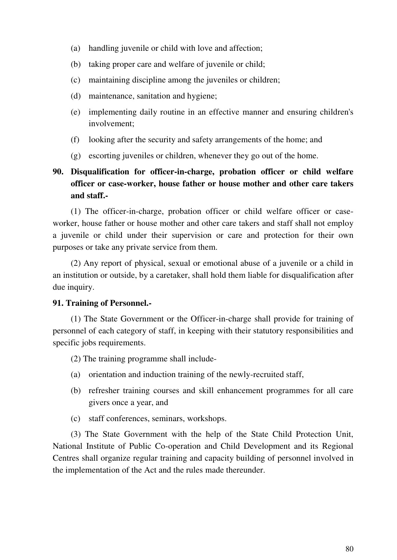- (a) handling juvenile or child with love and affection;
- (b) taking proper care and welfare of juvenile or child;
- (c) maintaining discipline among the juveniles or children;
- (d) maintenance, sanitation and hygiene;
- (e) implementing daily routine in an effective manner and ensuring children's involvement;
- (f) looking after the security and safety arrangements of the home; and
- (g) escorting juveniles or children, whenever they go out of the home.

# **90. Disqualification for officer-in-charge, probation officer or child welfare officer or case-worker, house father or house mother and other care takers and staff.-**

(1) The officer-in-charge, probation officer or child welfare officer or caseworker, house father or house mother and other care takers and staff shall not employ a juvenile or child under their supervision or care and protection for their own purposes or take any private service from them.

(2) Any report of physical, sexual or emotional abuse of a juvenile or a child in an institution or outside, by a caretaker, shall hold them liable for disqualification after due inquiry.

### **91. Training of Personnel.-**

(1) The State Government or the Officer-in-charge shall provide for training of personnel of each category of staff, in keeping with their statutory responsibilities and specific jobs requirements.

- (2) The training programme shall include-
- (a) orientation and induction training of the newly-recruited staff,
- (b) refresher training courses and skill enhancement programmes for all care givers once a year, and
- (c) staff conferences, seminars, workshops.

(3) The State Government with the help of the State Child Protection Unit, National Institute of Public Co-operation and Child Development and its Regional Centres shall organize regular training and capacity building of personnel involved in the implementation of the Act and the rules made thereunder.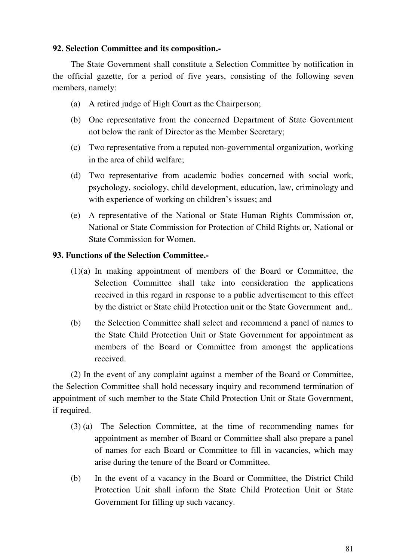### **92. Selection Committee and its composition.-**

The State Government shall constitute a Selection Committee by notification in the official gazette, for a period of five years, consisting of the following seven members, namely:

- (a) A retired judge of High Court as the Chairperson;
- (b) One representative from the concerned Department of State Government not below the rank of Director as the Member Secretary;
- (c) Two representative from a reputed non-governmental organization, working in the area of child welfare;
- (d) Two representative from academic bodies concerned with social work, psychology, sociology, child development, education, law, criminology and with experience of working on children's issues; and
- (e) A representative of the National or State Human Rights Commission or, National or State Commission for Protection of Child Rights or, National or State Commission for Women.

### **93. Functions of the Selection Committee.-**

- (1)(a) In making appointment of members of the Board or Committee, the Selection Committee shall take into consideration the applications received in this regard in response to a public advertisement to this effect by the district or State child Protection unit or the State Government and,.
- (b) the Selection Committee shall select and recommend a panel of names to the State Child Protection Unit or State Government for appointment as members of the Board or Committee from amongst the applications received.

(2) In the event of any complaint against a member of the Board or Committee, the Selection Committee shall hold necessary inquiry and recommend termination of appointment of such member to the State Child Protection Unit or State Government, if required.

- (3) (a) The Selection Committee, at the time of recommending names for appointment as member of Board or Committee shall also prepare a panel of names for each Board or Committee to fill in vacancies, which may arise during the tenure of the Board or Committee.
- (b) In the event of a vacancy in the Board or Committee, the District Child Protection Unit shall inform the State Child Protection Unit or State Government for filling up such vacancy.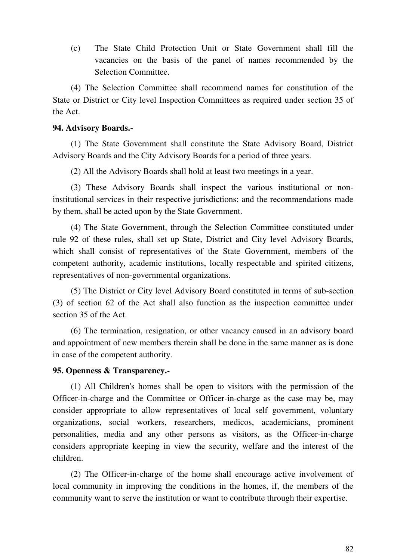(c) The State Child Protection Unit or State Government shall fill the vacancies on the basis of the panel of names recommended by the Selection Committee.

(4) The Selection Committee shall recommend names for constitution of the State or District or City level Inspection Committees as required under section 35 of the Act.

#### **94. Advisory Boards.-**

(1) The State Government shall constitute the State Advisory Board, District Advisory Boards and the City Advisory Boards for a period of three years.

(2) All the Advisory Boards shall hold at least two meetings in a year.

(3) These Advisory Boards shall inspect the various institutional or noninstitutional services in their respective jurisdictions; and the recommendations made by them, shall be acted upon by the State Government.

(4) The State Government, through the Selection Committee constituted under rule 92 of these rules, shall set up State, District and City level Advisory Boards, which shall consist of representatives of the State Government, members of the competent authority, academic institutions, locally respectable and spirited citizens, representatives of non-governmental organizations.

(5) The District or City level Advisory Board constituted in terms of sub-section (3) of section 62 of the Act shall also function as the inspection committee under section 35 of the Act.

(6) The termination, resignation, or other vacancy caused in an advisory board and appointment of new members therein shall be done in the same manner as is done in case of the competent authority.

#### **95. Openness & Transparency.-**

(1) All Children's homes shall be open to visitors with the permission of the Officer-in-charge and the Committee or Officer-in-charge as the case may be, may consider appropriate to allow representatives of local self government, voluntary organizations, social workers, researchers, medicos, academicians, prominent personalities, media and any other persons as visitors, as the Officer-in-charge considers appropriate keeping in view the security, welfare and the interest of the children.

(2) The Officer-in-charge of the home shall encourage active involvement of local community in improving the conditions in the homes, if, the members of the community want to serve the institution or want to contribute through their expertise.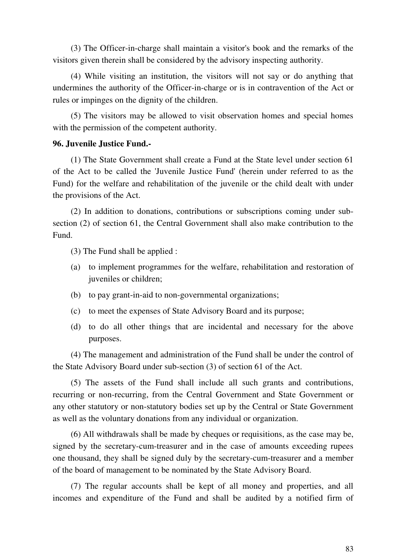(3) The Officer-in-charge shall maintain a visitor's book and the remarks of the visitors given therein shall be considered by the advisory inspecting authority.

(4) While visiting an institution, the visitors will not say or do anything that undermines the authority of the Officer-in-charge or is in contravention of the Act or rules or impinges on the dignity of the children.

(5) The visitors may be allowed to visit observation homes and special homes with the permission of the competent authority.

#### **96. Juvenile Justice Fund.-**

(1) The State Government shall create a Fund at the State level under section 61 of the Act to be called the 'Juvenile Justice Fund' (herein under referred to as the Fund) for the welfare and rehabilitation of the juvenile or the child dealt with under the provisions of the Act.

(2) In addition to donations, contributions or subscriptions coming under subsection (2) of section 61, the Central Government shall also make contribution to the Fund.

(3) The Fund shall be applied :

- (a) to implement programmes for the welfare, rehabilitation and restoration of juveniles or children;
- (b) to pay grant-in-aid to non-governmental organizations;
- (c) to meet the expenses of State Advisory Board and its purpose;
- (d) to do all other things that are incidental and necessary for the above purposes.

(4) The management and administration of the Fund shall be under the control of the State Advisory Board under sub-section (3) of section 61 of the Act.

(5) The assets of the Fund shall include all such grants and contributions, recurring or non-recurring, from the Central Government and State Government or any other statutory or non-statutory bodies set up by the Central or State Government as well as the voluntary donations from any individual or organization.

(6) All withdrawals shall be made by cheques or requisitions, as the case may be, signed by the secretary-cum-treasurer and in the case of amounts exceeding rupees one thousand, they shall be signed duly by the secretary-cum-treasurer and a member of the board of management to be nominated by the State Advisory Board.

(7) The regular accounts shall be kept of all money and properties, and all incomes and expenditure of the Fund and shall be audited by a notified firm of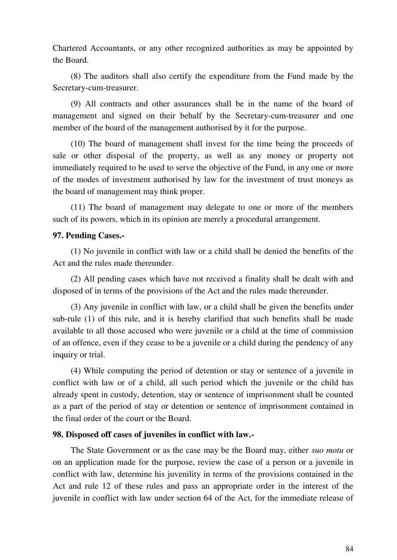Chartered Accountants, or any other recognized authorities as may be appointed by the Board.

(8) The auditors shall also certify the expenditure from the Fund made by the Secretary-cum-treasurer.

(9) All contracts and other assurances shall be in the name of the board of management and signed on their behalf by the Secretary-cum-treasurer and one member of the board of the management authorised by it for the purpose.

(10) The board of management shall invest for the time being the proceeds of sale or other disposal of the property, as well as any money or property not immediately required to be used to serve the objective of the Fund, in any one or more of the modes of investment authorised by law for the investment of trust moneys as the board of management may think proper.

(11) The board of management may delegate to one or more of the members such of its powers, which in its opinion are merely a procedural arrangement.

### **97. Pending Cases.-**

(1) No juvenile in conflict with law or a child shall be denied the benefits of the Act and the rules made thereunder.

(2) All pending cases which have not received a finality shall be dealt with and disposed of in terms of the provisions of the Act and the rules made thereunder.

(3) Any juvenile in conflict with law, or a child shall be given the benefits under sub-rule (1) of this rule, and it is hereby clarified that such benefits shall be made available to all those accused who were juvenile or a child at the time of commission of an offence, even if they cease to be a juvenile or a child during the pendency of any inquiry or trial.

(4) While computing the period of detention or stay or sentence of a juvenile in conflict with law or of a child, all such period which the juvenile or the child has already spent in custody, detention, stay or sentence of imprisonment shall be counted as a part of the period of stay or detention or sentence of imprisonment contained in the final order of the court or the Board.

#### **98. Disposed off cases of juveniles in conflict with law.-**

The State Government or as the case may be the Board may, either *suo motu* or on an application made for the purpose, review the case of a person or a juvenile in conflict with law, determine his juvenility in terms of the provisions contained in the Act and rule 12 of these rules and pass an appropriate order in the interest of the juvenile in conflict with law under section 64 of the Act, for the immediate release of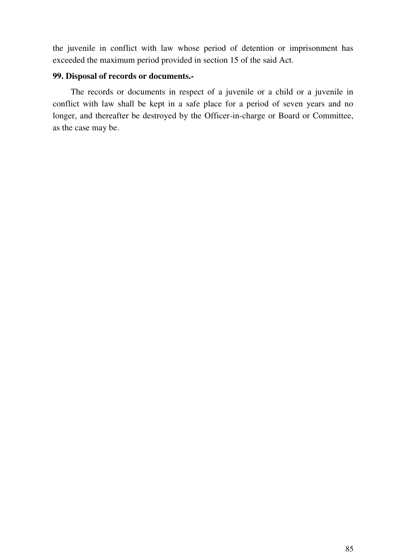the juvenile in conflict with law whose period of detention or imprisonment has exceeded the maximum period provided in section 15 of the said Act.

#### **99. Disposal of records or documents.-**

The records or documents in respect of a juvenile or a child or a juvenile in conflict with law shall be kept in a safe place for a period of seven years and no longer, and thereafter be destroyed by the Officer-in-charge or Board or Committee, as the case may be.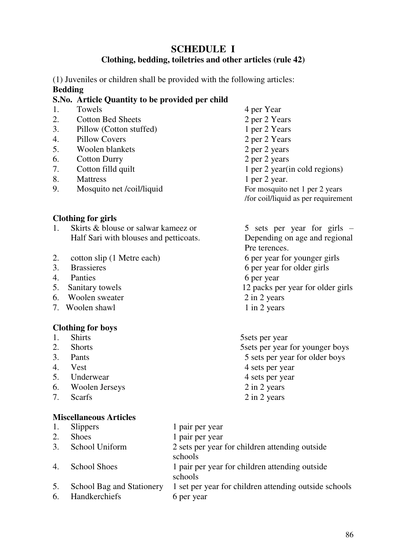# **SCHEDULE I**

### **Clothing, bedding, toiletries and other articles (rule 42)**

(1) Juveniles or children shall be provided with the following articles: **Bedding** 

### **S.No. Article Quantity to be provided per child**

- 1. Towels 4 per Year
- 2. Cotton Bed Sheets 2 per 2 Years
- 3. Pillow (Cotton stuffed) 1 per 2 Years
- 4. Pillow Covers 2 per 2 Years
- 5. Woolen blankets 2 per 2 years
- 6. Cotton Durry 2 per 2 years
- 
- 
- 8. Mattress 1 per 2 year.<br>
9. Mosquito net /coil/liquid 1 per 2 year.<br>
1 Per 2 year. 9. Mosquito net /coil/liquid For mosquito net 1 per 2 years

### **Clothing for girls**

- 1. Skirts & blouse or salwar kameez or 5 sets per year for girls Half Sari with blouses and petticoats. Depending on age and regional
- 2. cotton slip (1 Metre each) 6 per year for younger girls
- 
- 4. Panties 6 per year
- 
- 6. Woolen sweater 2 in 2 years
- 7. Woolen shawl 1 in 2 years

### **Clothing for boys**

- 
- 
- 
- 
- 5. Underwear 4 sets per year
- 6. Woolen Jerseys 2 in 2 years
- 

# **Miscellaneous Articles**

7. Cotton filld quilt 1 per 2 year(in cold regions) /for coil/liquid as per requirement

 Pre terences. 3. Brassieres 6 per year for older girls 5. Sanitary towels 12 packs per year for older girls

1. Shirts 5sets per year 2. Shorts 5sets per year for younger boys 3. Pants 5 sets per year for older boys 4. Vest 4 sets per year 7. Scarfs 2 in 2 years

| 1.       | <b>Slippers</b>                            | 1 pair per year                                                     |
|----------|--------------------------------------------|---------------------------------------------------------------------|
| 2.       | <b>Shoes</b>                               | 1 pair per year                                                     |
| 3.       | School Uniform                             | 2 sets per year for children attending outside<br>schools           |
| 4.       | <b>School Shoes</b>                        | 1 pair per year for children attending outside<br>schools           |
| 5.<br>6. | School Bag and Stationery<br>Handkerchiefs | 1 set per year for children attending outside schools<br>6 per year |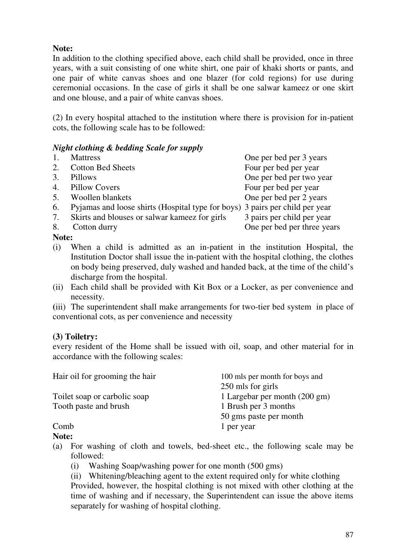# **Note:**

In addition to the clothing specified above, each child shall be provided, once in three years, with a suit consisting of one white shirt, one pair of khaki shorts or pants, and one pair of white canvas shoes and one blazer (for cold regions) for use during ceremonial occasions. In the case of girls it shall be one salwar kameez or one skirt and one blouse, and a pair of white canvas shoes.

(2) In every hospital attached to the institution where there is provision for in-patient cots, the following scale has to be followed:

# *Night clothing & bedding Scale for supply*

|    | <b>Mattress</b>                                                              | One per bed per 3 years     |
|----|------------------------------------------------------------------------------|-----------------------------|
| 2. | <b>Cotton Bed Sheets</b>                                                     | Four per bed per year       |
| 3. | Pillows                                                                      | One per bed per two year    |
| 4. | Pillow Covers                                                                | Four per bed per year       |
| 5. | Woollen blankets                                                             | One per bed per 2 years     |
| 6. | Pyjamas and loose shirts (Hospital type for boys) 3 pairs per child per year |                             |
| 7. | Skirts and blouses or salwar kameez for girls                                | 3 pairs per child per year  |
| 8. | Cotton durry                                                                 | One per bed per three years |

### **Note:**

- (i) When a child is admitted as an in-patient in the institution Hospital, the Institution Doctor shall issue the in-patient with the hospital clothing, the clothes on body being preserved, duly washed and handed back, at the time of the child's discharge from the hospital.
- (ii) Each child shall be provided with Kit Box or a Locker, as per convenience and necessity.

**(**iii)The superintendent shall make arrangements for two-tier bed system in place of conventional cots, as per convenience and necessity

# **(3) Toiletry:**

every resident of the Home shall be issued with oil, soap, and other material for in accordance with the following scales:

| Hair oil for grooming the hair | 100 mls per month for boys and |
|--------------------------------|--------------------------------|
|                                | 250 mls for girls              |
| Toilet soap or carbolic soap   | 1 Largebar per month (200 gm)  |
| Tooth paste and brush          | 1 Brush per 3 months           |
|                                | 50 gms paste per month         |
| Comb                           | 1 per year                     |

**Note:**

- (a) For washing of cloth and towels, bed-sheet etc., the following scale may be followed:
	- (i) Washing Soap/washing power for one month (500 gms)

(ii) Whitening/bleaching agent to the extent required only for white clothing Provided, however, the hospital clothing is not mixed with other clothing at the time of washing and if necessary, the Superintendent can issue the above items separately for washing of hospital clothing.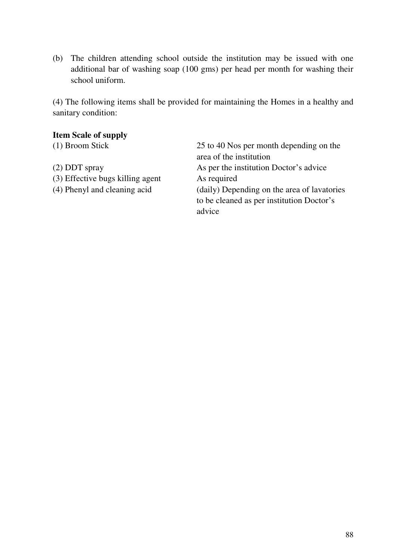(b) The children attending school outside the institution may be issued with one additional bar of washing soap (100 gms) per head per month for washing their school uniform.

(4) The following items shall be provided for maintaining the Homes in a healthy and sanitary condition:

| <b>Item Scale of supply</b>      |                                             |
|----------------------------------|---------------------------------------------|
| (1) Broom Stick                  | 25 to 40 Nos per month depending on the     |
|                                  | area of the institution                     |
| $(2)$ DDT spray                  | As per the institution Doctor's advice      |
| (3) Effective bugs killing agent | As required                                 |
| (4) Phenyl and cleaning acid     | (daily) Depending on the area of lavatories |
|                                  | to be cleaned as per institution Doctor's   |
|                                  | advice                                      |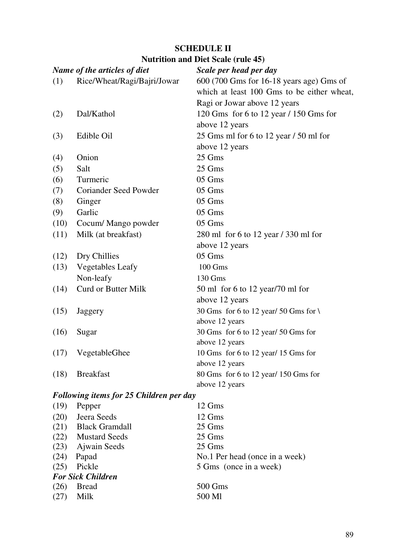|              | Name of the articles of diet                   | Scale per head per day                     |
|--------------|------------------------------------------------|--------------------------------------------|
| (1)          | Rice/Wheat/Ragi/Bajri/Jowar                    | 600 (700 Gms for 16-18 years age) Gms of   |
|              |                                                | which at least 100 Gms to be either wheat, |
|              |                                                | Ragi or Jowar above 12 years               |
| (2)          | Dal/Kathol                                     | 120 Gms for 6 to 12 year $/$ 150 Gms for   |
|              |                                                | above 12 years                             |
| (3)          | Edible Oil                                     | 25 Gms ml for 6 to 12 year / 50 ml for     |
|              |                                                | above 12 years                             |
| (4)          | Onion                                          | 25 Gms                                     |
| (5)          | Salt                                           | 25 Gms                                     |
| (6)          | Turmeric                                       | 05 Gms                                     |
| (7)          | Coriander Seed Powder                          | 05 Gms                                     |
| (8)          | Ginger                                         | 05 Gms                                     |
| (9)          | Garlic                                         | 05 Gms                                     |
| (10)         | Cocum/ Mango powder                            | 05 Gms                                     |
| (11)         | Milk (at breakfast)                            | 280 ml for 6 to 12 year / 330 ml for       |
|              |                                                | above 12 years                             |
| (12)         | Dry Chillies                                   | 05 Gms                                     |
| (13)         | <b>Vegetables Leafy</b>                        | 100 Gms                                    |
|              | Non-leafy                                      | 130 Gms                                    |
| (14)         | <b>Curd or Butter Milk</b>                     | 50 ml for 6 to 12 year/70 ml for           |
|              |                                                | above 12 years                             |
| (15)         | Jaggery                                        | 30 Gms for 6 to 12 year/ 50 Gms for \      |
|              |                                                | above 12 years                             |
| (16)         | Sugar                                          | 30 Gms for 6 to 12 year/ 50 Gms for        |
|              |                                                | above 12 years                             |
| (17)         | VegetableGhee                                  | 10 Gms for 6 to 12 year/ 15 Gms for        |
|              |                                                | above 12 years                             |
| (18)         | <b>Breakfast</b>                               | 80 Gms for 6 to 12 year/ 150 Gms for       |
|              |                                                | above 12 years                             |
|              | <b>Following items for 25 Children per day</b> |                                            |
| (19)         | Pepper                                         | 12 Gms                                     |
| (20)         | Jeera Seeds                                    | 12 Gms                                     |
| (21)         | <b>Black Gramdall</b>                          | 25 Gms                                     |
| (22)         | <b>Mustard Seeds</b>                           | 25 Gms                                     |
| (23)         | Ajwain Seeds                                   | 25 Gms                                     |
| (24)         | Papad                                          | No.1 Per head (once in a week)             |
| (25)         | Pickle                                         | 5 Gms (once in a week)                     |
|              | <b>For Sick Children</b>                       |                                            |
| (26)<br>(27) | <b>Bread</b><br>Milk                           | 500 Gms<br>500 Ml                          |
|              |                                                |                                            |

# **SCHEDULE II**

#### **Nutrition and Diet Scale (rule 45)**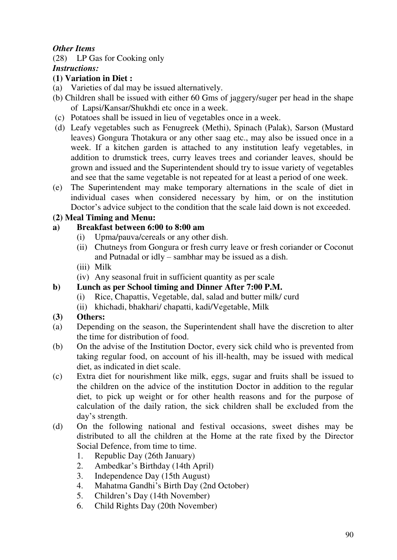# *Other Items*

(28) LP Gas for Cooking only

*Instructions:*

# **(1) Variation in Diet :**

- (a) Varieties of dal may be issued alternatively.
- (b) Children shall be issued with either 60 Gms of jaggery/suger per head in the shape of Lapsi/Kansar/Shukhdi etc once in a week.
- (c) Potatoes shall be issued in lieu of vegetables once in a week.
- (d) Leafy vegetables such as Fenugreek (Methi), Spinach (Palak), Sarson (Mustard leaves) Gongura Thotakura or any other saag etc., may also be issued once in a week. If a kitchen garden is attached to any institution leafy vegetables, in addition to drumstick trees, curry leaves trees and coriander leaves, should be grown and issued and the Superintendent should try to issue variety of vegetables and see that the same vegetable is not repeated for at least a period of one week.
- (e) The Superintendent may make temporary alternations in the scale of diet in individual cases when considered necessary by him, or on the institution Doctor's advice subject to the condition that the scale laid down is not exceeded.

# **(2) Meal Timing and Menu:**

# **a) Breakfast between 6:00 to 8:00 am**

- (i) Upma/pauva/cereals or any other dish.
- (ii) Chutneys from Gongura or fresh curry leave or fresh coriander or Coconut and Putnadal or idly – sambhar may be issued as a dish.
- (iii) Milk
- (iv) Any seasonal fruit in sufficient quantity as per scale

# **b) Lunch as per School timing and Dinner After 7:00 P.M.**

- (i) Rice, Chapattis, Vegetable, dal, salad and butter milk/ curd
- (ii) khichadi, bhakhari/ chapatti, kadi/Vegetable, Milk

# **(3) Others:**

- (a) Depending on the season, the Superintendent shall have the discretion to alter the time for distribution of food.
- (b) On the advise of the Institution Doctor, every sick child who is prevented from taking regular food, on account of his ill-health, may be issued with medical diet, as indicated in diet scale.
- (c) Extra diet for nourishment like milk, eggs, sugar and fruits shall be issued to the children on the advice of the institution Doctor in addition to the regular diet, to pick up weight or for other health reasons and for the purpose of calculation of the daily ration, the sick children shall be excluded from the day's strength.
- (d) On the following national and festival occasions, sweet dishes may be distributed to all the children at the Home at the rate fixed by the Director Social Defence, from time to time.
	- 1. Republic Day (26th January)
	- 2. Ambedkar's Birthday (14th April)
	- 3. Independence Day (15th August)
	- 4. Mahatma Gandhi's Birth Day (2nd October)
	- 5. Children's Day (14th November)
	- 6. Child Rights Day (20th November)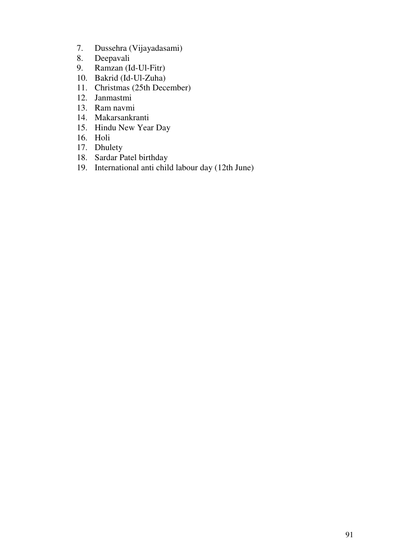- 7. Dussehra (Vijayadasami)
- 8. Deepavali
- 9. Ramzan (Id-Ul-Fitr)
- 10. Bakrid (Id-Ul-Zuha)
- 11. Christmas (25th December)
- 12. Janmastmi
- 13. Ram navmi
- 14. Makarsankranti
- 15. Hindu New Year Day
- 16. Holi
- 17. Dhulety
- 18. Sardar Patel birthday
- 19. International anti child labour day (12th June)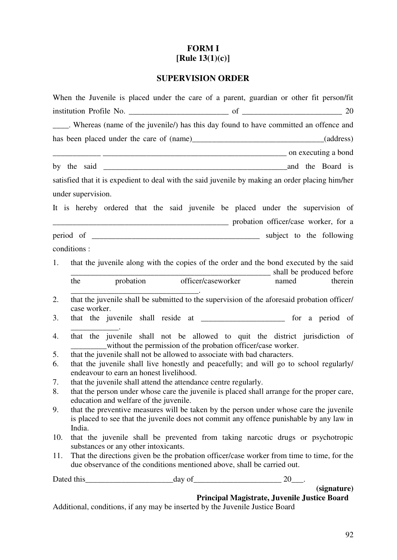# **FORM I [Rule 13(1)(c)]**

# **SUPERVISION ORDER**

|                    |                                                                          | When the Juvenile is placed under the care of a parent, guardian or other fit person/fit         |
|--------------------|--------------------------------------------------------------------------|--------------------------------------------------------------------------------------------------|
|                    |                                                                          |                                                                                                  |
|                    |                                                                          | _____. Whereas (name of the juvenile/) has this day found to have committed an offence and       |
|                    |                                                                          |                                                                                                  |
|                    |                                                                          | on executing a bond                                                                              |
|                    |                                                                          |                                                                                                  |
|                    |                                                                          | satisfied that it is expedient to deal with the said juvenile by making an order placing him/her |
| under supervision. |                                                                          |                                                                                                  |
|                    |                                                                          | It is hereby ordered that the said juvenile be placed under the supervision of                   |
|                    |                                                                          | probation officer/case worker, for a                                                             |
|                    |                                                                          |                                                                                                  |
| conditions :       |                                                                          |                                                                                                  |
| 1.                 |                                                                          | that the juvenile along with the copies of the order and the bond executed by the said           |
|                    |                                                                          | probation officer/caseworker shall be produced before<br>mamed therein                           |
| the                |                                                                          |                                                                                                  |
| 2.                 |                                                                          | that the juvenile shall be submitted to the supervision of the aforesaid probation officer/      |
| case worker.<br>3. |                                                                          | that the juvenile shall reside at ______________________ for a period of                         |
|                    |                                                                          |                                                                                                  |
| 4.                 | without the permission of the probation officer/case worker.             | that the juvenile shall not be allowed to quit the district jurisdiction of                      |
| 5.                 | that the juvenile shall not be allowed to associate with bad characters. |                                                                                                  |
| 6.                 | endeavour to earn an honest livelihood.                                  | that the juvenile shall live honestly and peacefully; and will go to school regularly/           |
| 7.                 | that the juvenile shall attend the attendance centre regularly.          |                                                                                                  |
| 8.                 | education and welfare of the juvenile.                                   | that the person under whose care the juvenile is placed shall arrange for the proper care,       |
| 9.                 |                                                                          | that the preventive measures will be taken by the person under whose care the juvenile           |
| India.             |                                                                          | is placed to see that the juvenile does not commit any offence punishable by any law in          |
| 10.                |                                                                          | that the juvenile shall be prevented from taking narcotic drugs or psychotropic                  |
|                    | substances or any other intoxicants.                                     |                                                                                                  |
| 11.                | due observance of the conditions mentioned above, shall be carried out.  | That the directions given be the probation officer/case worker from time to time, for the        |
|                    |                                                                          |                                                                                                  |
|                    |                                                                          | (signature)                                                                                      |
|                    |                                                                          | Principal Magistrate, Juvenile Justice Board                                                     |

Additional, conditions, if any may be inserted by the Juvenile Justice Board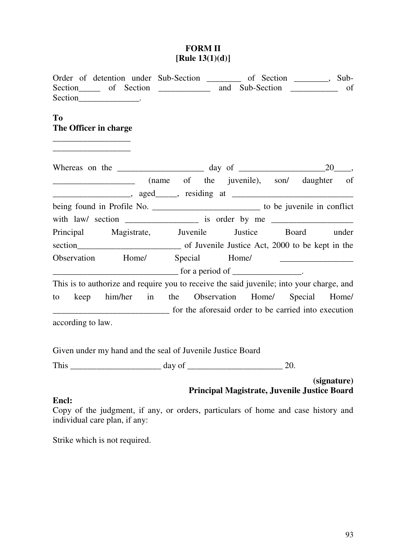### **FORM II [Rule 13(1)(d)]**

| Order of detention under Sub-Section _________ of Section _______, Sub-<br>Section__________________.                                                                                                                                                                           |                                                                                                                                                                                                                                                                                                                                    |       | of |
|---------------------------------------------------------------------------------------------------------------------------------------------------------------------------------------------------------------------------------------------------------------------------------|------------------------------------------------------------------------------------------------------------------------------------------------------------------------------------------------------------------------------------------------------------------------------------------------------------------------------------|-------|----|
| T <sub>0</sub><br>The Officer in charge<br><u> 1980 - Johann John Harry Harry Harry Harry Harry Harry Harry Harry Harry Harry Harry Harry Harry Harry Harry Harry Harry Harry Harry Harry Harry Harry Harry Harry Harry Harry Harry Harry Harry Harry Harry Harry Harry Har</u> |                                                                                                                                                                                                                                                                                                                                    |       |    |
|                                                                                                                                                                                                                                                                                 |                                                                                                                                                                                                                                                                                                                                    |       |    |
| (name of the juvenile), son/ daughter of                                                                                                                                                                                                                                        |                                                                                                                                                                                                                                                                                                                                    |       |    |
|                                                                                                                                                                                                                                                                                 |                                                                                                                                                                                                                                                                                                                                    |       |    |
| with law/ section ____________________ is order by me __________________________                                                                                                                                                                                                |                                                                                                                                                                                                                                                                                                                                    |       |    |
| Principal Magistrate, Juvenile Justice Board under                                                                                                                                                                                                                              |                                                                                                                                                                                                                                                                                                                                    |       |    |
|                                                                                                                                                                                                                                                                                 |                                                                                                                                                                                                                                                                                                                                    |       |    |
| Observation Home/ Special                                                                                                                                                                                                                                                       |                                                                                                                                                                                                                                                                                                                                    | Home/ |    |
| $\frac{1}{\sqrt{1-\frac{1}{2}}}\left\{\int_{-\infty}^{\infty} f(x) \, dx\right\}$ for a period of $\frac{1}{\sqrt{1-\frac{1}{2}}}\left\{\int_{-\infty}^{\infty} f(x) \, dx\right\}$ .                                                                                           |                                                                                                                                                                                                                                                                                                                                    |       |    |
| This is to authorize and require you to receive the said juvenile; into your charge, and                                                                                                                                                                                        |                                                                                                                                                                                                                                                                                                                                    |       |    |
| to keep him/her in the Observation Home/ Special Home/                                                                                                                                                                                                                          |                                                                                                                                                                                                                                                                                                                                    |       |    |
|                                                                                                                                                                                                                                                                                 |                                                                                                                                                                                                                                                                                                                                    |       |    |
| according to law.                                                                                                                                                                                                                                                               |                                                                                                                                                                                                                                                                                                                                    |       |    |
|                                                                                                                                                                                                                                                                                 | $\mathbf{1}$ $\mathbf{1}$ $\mathbf{1}$ $\mathbf{1}$ $\mathbf{1}$ $\mathbf{1}$ $\mathbf{1}$ $\mathbf{1}$ $\mathbf{1}$ $\mathbf{1}$ $\mathbf{1}$ $\mathbf{1}$ $\mathbf{1}$ $\mathbf{1}$ $\mathbf{1}$ $\mathbf{1}$ $\mathbf{1}$ $\mathbf{1}$ $\mathbf{1}$ $\mathbf{1}$ $\mathbf{1}$ $\mathbf{1}$ $\mathbf{1}$ $\mathbf{1}$ $\mathbf{$ |       |    |

Given under my hand and the seal of Juvenile Justice Board

This \_\_\_\_\_\_\_\_\_\_\_\_\_\_\_\_\_\_\_\_\_ day of \_\_\_\_\_\_\_\_\_\_\_\_\_\_\_\_\_\_\_\_\_\_ 20.

**(signature) Principal Magistrate, Juvenile Justice Board**

# **Encl:**

Copy of the judgment, if any, or orders, particulars of home and case history and individual care plan, if any:

Strike which is not required.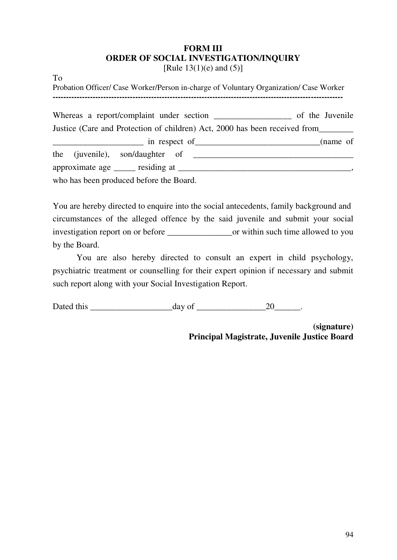# **FORM III ORDER OF SOCIAL INVESTIGATION/INQUIRY**

[Rule  $13(1)(e)$  and  $(5)$ ]

To

Probation Officer/ Case Worker/Person in-charge of Voluntary Organization/ Case Worker **-------------------------------------------------------------------------------------------------------------**  Whereas a report/complaint under section of the Juvenile Justice (Care and Protection of children) Act, 2000 has been received from\_\_\_\_\_\_\_\_ in respect of \_\_\_\_\_\_\_\_\_\_\_\_\_\_\_\_\_\_\_\_\_\_\_\_\_\_\_\_(name of the (juvenile), son/daughter of \_\_\_\_\_\_\_\_\_\_\_\_\_\_\_\_\_\_\_\_\_\_\_\_\_\_\_\_\_\_\_\_\_\_\_\_\_ approximate age essiding at example of  $\alpha$  and  $\alpha$  and  $\alpha$  and  $\alpha$  and  $\alpha$  and  $\alpha$  and  $\alpha$  and  $\alpha$  and  $\alpha$  and  $\alpha$  and  $\alpha$  and  $\alpha$  and  $\alpha$  and  $\alpha$  and  $\alpha$  and  $\alpha$  and  $\alpha$  and  $\alpha$  and  $\alpha$  and  $\alpha$  and  $\alpha$ who has been produced before the Board.

You are hereby directed to enquire into the social antecedents, family background and circumstances of the alleged offence by the said juvenile and submit your social investigation report on or before \_\_\_\_\_\_\_\_\_\_\_\_\_\_\_or within such time allowed to you by the Board.

 You are also hereby directed to consult an expert in child psychology, psychiatric treatment or counselling for their expert opinion if necessary and submit such report along with your Social Investigation Report.

Dated this day of 20 and 20

**(signature) Principal Magistrate, Juvenile Justice Board**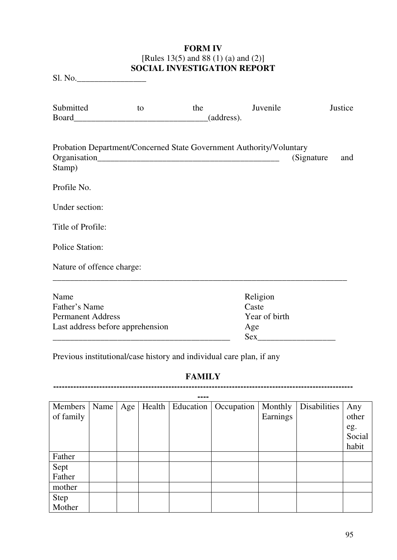### **FORM IV** [Rules 13(5) and 88 (1) (a) and (2)] **SOCIAL INVESTIGATION REPORT**

Sl. No.\_\_\_\_\_\_\_\_\_\_\_\_\_\_\_\_

| Submitted<br>Board               | to | the | Juvenile<br>(address).                                              |            | Justice |
|----------------------------------|----|-----|---------------------------------------------------------------------|------------|---------|
| Stamp)                           |    |     | Probation Department/Concerned State Government Authority/Voluntary | (Signature | and     |
| Profile No.                      |    |     |                                                                     |            |         |
| Under section:                   |    |     |                                                                     |            |         |
| Title of Profile:                |    |     |                                                                     |            |         |
| <b>Police Station:</b>           |    |     |                                                                     |            |         |
| Nature of offence charge:        |    |     |                                                                     |            |         |
| Name                             |    |     | Religion                                                            |            |         |
| Father's Name                    |    |     | Caste                                                               |            |         |
| <b>Permanent Address</b>         |    |     | Year of birth                                                       |            |         |
| Last address before apprehension |    |     | Age                                                                 |            |         |
|                                  |    |     | <b>Sex</b>                                                          |            |         |

Previous institutional/case history and individual care plan, if any

#### **FAMILY --------------------------------------------------------------------------------------------------------**

| Members   | Name | Age | Health $\vert$ | Education | Occupation | Monthly  | Disabilities | Any    |
|-----------|------|-----|----------------|-----------|------------|----------|--------------|--------|
| of family |      |     |                |           |            | Earnings |              | other  |
|           |      |     |                |           |            |          |              | eg.    |
|           |      |     |                |           |            |          |              | Social |
|           |      |     |                |           |            |          |              | habit  |
| Father    |      |     |                |           |            |          |              |        |
| Sept      |      |     |                |           |            |          |              |        |
| Father    |      |     |                |           |            |          |              |        |
| mother    |      |     |                |           |            |          |              |        |
| Step      |      |     |                |           |            |          |              |        |
| Mother    |      |     |                |           |            |          |              |        |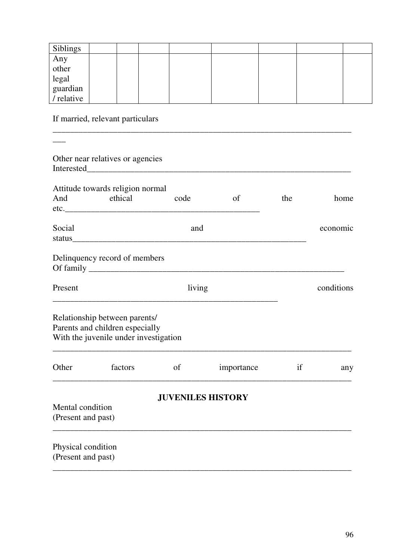| Siblings                        |  |  |  |  |
|---------------------------------|--|--|--|--|
|                                 |  |  |  |  |
| Any<br>other                    |  |  |  |  |
|                                 |  |  |  |  |
| legal<br>guardian<br>/ relative |  |  |  |  |
|                                 |  |  |  |  |

If married, relevant particulars

|                                          | Other near relatives or agencies                                                                                                                                                                                               |                          |            |     |            |
|------------------------------------------|--------------------------------------------------------------------------------------------------------------------------------------------------------------------------------------------------------------------------------|--------------------------|------------|-----|------------|
| And                                      | Attitude towards religion normal<br>ethical                                                                                                                                                                                    | code                     | of         | the | home       |
| Social                                   | status and the status of the status of the status of the status of the status of the status of the status of the status of the status of the status of the status of the status of the status of the status of the status of t | and                      |            |     | economic   |
|                                          | Delinquency record of members                                                                                                                                                                                                  |                          |            |     |            |
| Present                                  |                                                                                                                                                                                                                                | living                   |            |     | conditions |
|                                          | Relationship between parents/<br>Parents and children especially<br>With the juvenile under investigation                                                                                                                      |                          |            |     |            |
| Other                                    | factors                                                                                                                                                                                                                        | of                       | importance | if  | any        |
| Mental condition<br>(Present and past)   |                                                                                                                                                                                                                                | <b>JUVENILES HISTORY</b> |            |     |            |
| Physical condition<br>(Present and past) |                                                                                                                                                                                                                                |                          |            |     |            |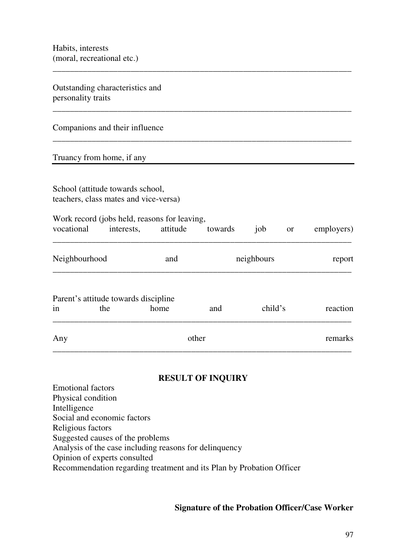Outstanding characteristics and personality traits

### Companions and their influence

#### Truancy from home, if any

School (attitude towards school, teachers, class mates and vice-versa)

| Work record (jobs held, reasons for leaving, |  |  |  |     |    |            |  |  |  |
|----------------------------------------------|--|--|--|-----|----|------------|--|--|--|
| vocational interests, attitude towards       |  |  |  | iob | or | employers) |  |  |  |

\_\_\_\_\_\_\_\_\_\_\_\_\_\_\_\_\_\_\_\_\_\_\_\_\_\_\_\_\_\_\_\_\_\_\_\_\_\_\_\_\_\_\_\_\_\_\_\_\_\_\_\_\_\_\_\_\_\_\_\_\_\_\_\_\_\_\_\_\_

\_\_\_\_\_\_\_\_\_\_\_\_\_\_\_\_\_\_\_\_\_\_\_\_\_\_\_\_\_\_\_\_\_\_\_\_\_\_\_\_\_\_\_\_\_\_\_\_\_\_\_\_\_\_\_\_\_\_\_\_\_\_\_\_\_\_\_\_\_

\_\_\_\_\_\_\_\_\_\_\_\_\_\_\_\_\_\_\_\_\_\_\_\_\_\_\_\_\_\_\_\_\_\_\_\_\_\_\_\_\_\_\_\_\_\_\_\_\_\_\_\_\_\_\_\_\_\_\_\_\_\_\_\_\_\_\_\_\_

| Neighbourhood | neighbours |  |
|---------------|------------|--|
|               |            |  |

# Parent's attitude towards discipline

| in  | the | home | and   |  | reaction |
|-----|-----|------|-------|--|----------|
| Any |     |      | other |  | remarks  |

### **RESULT OF INQUIRY**

Emotional factors Physical condition Intelligence Social and economic factors Religious factors Suggested causes of the problems Analysis of the case including reasons for delinquency Opinion of experts consulted Recommendation regarding treatment and its Plan by Probation Officer

#### **Signature of the Probation Officer/Case Worker**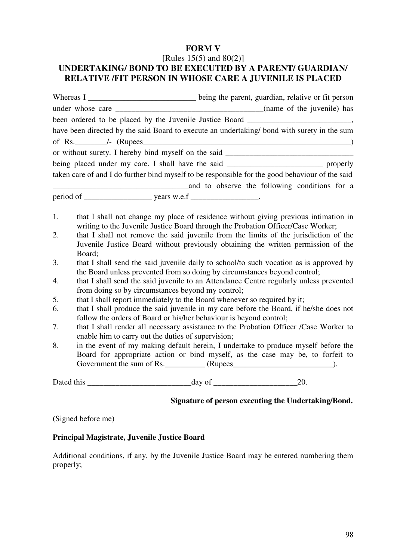### **FORM V**  [Rules 15(5) and 80(2)] **UNDERTAKING/ BOND TO BE EXECUTED BY A PARENT/ GUARDIAN/ RELATIVE /FIT PERSON IN WHOSE CARE A JUVENILE IS PLACED**

|    | Whereas I _____________________________ being the parent, guardian, relative or fit person                                                                                          |                                                     |
|----|-------------------------------------------------------------------------------------------------------------------------------------------------------------------------------------|-----------------------------------------------------|
|    |                                                                                                                                                                                     |                                                     |
|    | been ordered to be placed by the Juvenile Justice Board _________________________,                                                                                                  |                                                     |
|    | have been directed by the said Board to execute an undertaking/ bond with surety in the sum                                                                                         |                                                     |
|    |                                                                                                                                                                                     |                                                     |
|    | or without surety. I hereby bind myself on the said _____________________________                                                                                                   |                                                     |
|    | being placed under my care. I shall have the said _______________________________ properly                                                                                          |                                                     |
|    | taken care of and I do further bind myself to be responsible for the good behaviour of the said                                                                                     |                                                     |
|    |                                                                                                                                                                                     | and to observe the following conditions for a       |
|    |                                                                                                                                                                                     |                                                     |
| 1. | that I shall not change my place of residence without giving previous intimation in<br>writing to the Juvenile Justice Board through the Probation Officer/Case Worker;             |                                                     |
| 2. | that I shall not remove the said juvenile from the limits of the jurisdiction of the<br>Juvenile Justice Board without previously obtaining the written permission of the<br>Board; |                                                     |
| 3. | that I shall send the said juvenile daily to school/to such vocation as is approved by<br>the Board unless prevented from so doing by circumstances beyond control;                 |                                                     |
| 4. | that I shall send the said juvenile to an Attendance Centre regularly unless prevented<br>from doing so by circumstances beyond my control;                                         |                                                     |
| 5. | that I shall report immediately to the Board whenever so required by it;                                                                                                            |                                                     |
| 6. | that I shall produce the said juvenile in my care before the Board, if he/she does not<br>follow the orders of Board or his/her behaviour is beyond control;                        |                                                     |
| 7. | that I shall render all necessary assistance to the Probation Officer /Case Worker to<br>enable him to carry out the duties of supervision;                                         |                                                     |
| 8. | in the event of my making default herein, I undertake to produce myself before the<br>Board for appropriate action or bind myself, as the case may be, to forfeit to                |                                                     |
|    |                                                                                                                                                                                     |                                                     |
|    |                                                                                                                                                                                     |                                                     |
|    |                                                                                                                                                                                     | Signature of person executing the Undertaking/Bond. |
|    | (Signed before me)                                                                                                                                                                  |                                                     |
|    |                                                                                                                                                                                     |                                                     |

# **Principal Magistrate, Juvenile Justice Board**

Additional conditions, if any, by the Juvenile Justice Board may be entered numbering them properly;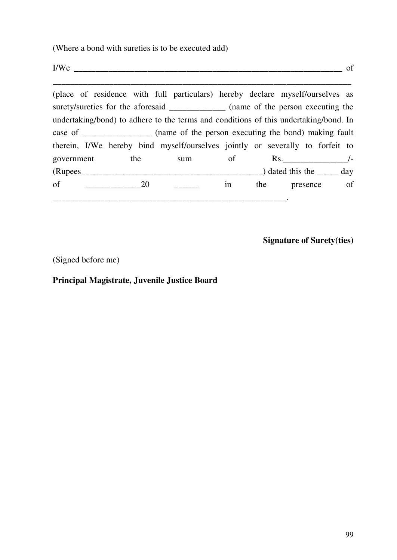(Where a bond with sureties is to be executed add)

 $I/We$  of

(place of residence with full particulars) hereby declare myself/ourselves as surety/sureties for the aforesaid \_\_\_\_\_\_\_\_\_\_\_\_\_\_ (name of the person executing the undertaking/bond) to adhere to the terms and conditions of this undertaking/bond. In case of \_\_\_\_\_\_\_\_\_\_\_\_\_\_\_\_ (name of the person executing the bond) making fault therein, I/We hereby bind myself/ourselves jointly or severally to forfeit to government the sum of Rs.  $(Rupees$   $day$ of  $\frac{1}{20}$   $\frac{1}{20}$  in the presence of \_\_\_\_\_\_\_\_\_\_\_\_\_\_\_\_\_\_\_\_\_\_\_\_\_\_\_\_\_\_\_\_\_\_\_\_\_\_\_\_\_\_\_\_\_\_\_\_\_\_\_\_\_\_.

\_\_\_\_\_\_\_\_\_\_\_\_\_\_\_\_\_\_\_\_\_\_\_\_\_\_\_\_\_\_\_\_\_\_\_\_\_\_\_\_\_\_\_\_\_\_\_\_\_\_\_\_\_\_\_\_\_\_\_\_\_\_\_\_\_\_\_\_\_

**Signature of Surety(ties)** 

(Signed before me)

**Principal Magistrate, Juvenile Justice Board**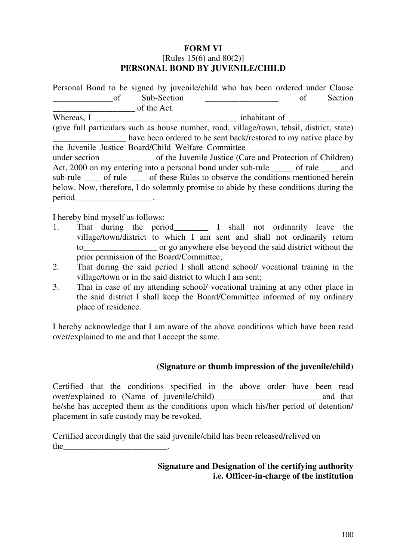### **FORM VI** [Rules 15(6) and 80(2)] **PERSONAL BOND BY JUVENILE/CHILD**

| Personal Bond to be signed by juvenile/child who has been ordered under Clause            |                                                                  |  |  |    |         |
|-------------------------------------------------------------------------------------------|------------------------------------------------------------------|--|--|----|---------|
| - of                                                                                      | Sub-Section                                                      |  |  | of | Section |
| of the Act.                                                                               |                                                                  |  |  |    |         |
| Whereas, I                                                                                |                                                                  |  |  |    |         |
| (give full particulars such as house number, road, village/town, tehsil, district, state) |                                                                  |  |  |    |         |
|                                                                                           | have been ordered to be sent back/restored to my native place by |  |  |    |         |
| the Juvenile Justice Board/Child Welfare Committee                                        |                                                                  |  |  |    |         |
|                                                                                           |                                                                  |  |  |    |         |
| Act, 2000 on my entering into a personal bond under sub-rule _____ of rule ____ and       |                                                                  |  |  |    |         |
| sub-rule _____ of rule _____ of these Rules to observe the conditions mentioned herein    |                                                                  |  |  |    |         |
| below. Now, therefore, I do solemnly promise to abide by these conditions during the      |                                                                  |  |  |    |         |
| period                                                                                    |                                                                  |  |  |    |         |

I hereby bind myself as follows:

- 1. That during the period\_\_\_\_\_\_\_\_ I shall not ordinarily leave the village/town/district to which I am sent and shall not ordinarily return to\_\_\_\_\_\_\_\_\_\_\_\_\_\_\_\_\_ or go anywhere else beyond the said district without the prior permission of the Board/Committee;
- 2. That during the said period I shall attend school/ vocational training in the village/town or in the said district to which I am sent;
- 3. That in case of my attending school/ vocational training at any other place in the said district I shall keep the Board/Committee informed of my ordinary place of residence.

I hereby acknowledge that I am aware of the above conditions which have been read over/explained to me and that I accept the same.

### **(Signature or thumb impression of the juvenile/child)**

Certified that the conditions specified in the above order have been read over/explained to (Name of juvenile/child) and that he/she has accepted them as the conditions upon which his/her period of detention/ placement in safe custody may be revoked.

Certified accordingly that the said juvenile/child has been released/relived on the  $\blacksquare$ 

### **Signature and Designation of the certifying authority i.e. Officer-in-charge of the institution**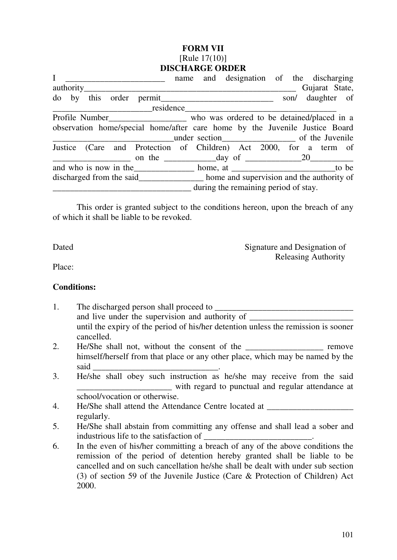### **FORM VII**  [Rule 17(10)] **DISCHARGE ORDER**

| $\mathbf{I}$       |  | name and designation of the discharging                                             |  |                                      |  |                |  |
|--------------------|--|-------------------------------------------------------------------------------------|--|--------------------------------------|--|----------------|--|
| authority_________ |  |                                                                                     |  |                                      |  | Gujarat State, |  |
|                    |  | do by this order permit___________________________________ son/ daughter of         |  |                                      |  |                |  |
|                    |  | residence                                                                           |  |                                      |  |                |  |
|                    |  | Profile Number__________________ who was ordered to be detained/placed in a         |  |                                      |  |                |  |
|                    |  | observation home/special home/after care home by the Juvenile Justice Board         |  |                                      |  |                |  |
|                    |  |                                                                                     |  |                                      |  |                |  |
|                    |  | Justice (Care and Protection of Children) Act 2000, for a term of                   |  |                                      |  |                |  |
|                    |  |                                                                                     |  |                                      |  |                |  |
|                    |  |                                                                                     |  |                                      |  |                |  |
|                    |  | discharged from the said_________________ home and supervision and the authority of |  |                                      |  |                |  |
|                    |  |                                                                                     |  | during the remaining period of stay. |  |                |  |
|                    |  |                                                                                     |  |                                      |  |                |  |

This order is granted subject to the conditions hereon, upon the breach of any of which it shall be liable to be revoked.

Dated Signature and Designation of Releasing Authority

Place:

### **Conditions:**

- 1. The discharged person shall proceed to \_\_\_\_\_\_\_\_\_\_\_\_\_\_\_\_\_\_\_\_\_\_\_\_\_\_\_\_\_\_\_\_ and live under the supervision and authority of until the expiry of the period of his/her detention unless the remission is sooner cancelled.
- 2. He/She shall not, without the consent of the \_\_\_\_\_\_\_\_\_\_\_\_\_\_\_\_\_\_\_\_\_ remove himself/herself from that place or any other place, which may be named by the said
- 3. He/she shall obey such instruction as he/she may receive from the said \_\_\_\_\_\_\_\_\_\_\_\_\_\_\_\_\_\_\_\_\_\_ with regard to punctual and regular attendance at school/vocation or otherwise.
- 4. He/She shall attend the Attendance Centre located at regularly.
- 5. He/She shall abstain from committing any offense and shall lead a sober and industrious life to the satisfaction of
- 6. In the even of his/her committing a breach of any of the above conditions the remission of the period of detention hereby granted shall be liable to be cancelled and on such cancellation he/she shall be dealt with under sub section (3) of section 59 of the Juvenile Justice (Care & Protection of Children) Act 2000.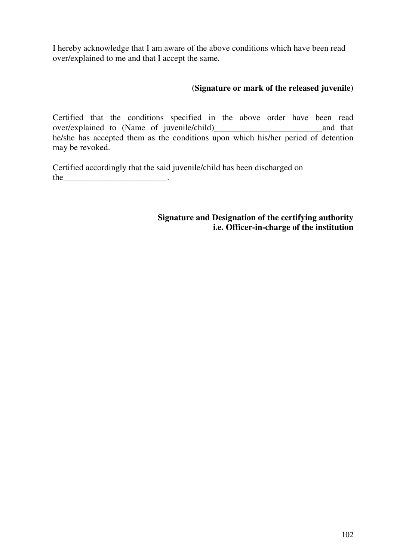I hereby acknowledge that I am aware of the above conditions which have been read over/explained to me and that I accept the same.

# **(Signature or mark of the released juvenile)**

Certified that the conditions specified in the above order have been read over/explained to (Name of juvenile/child)\_\_\_\_\_\_\_\_\_\_\_\_\_\_\_\_\_\_\_\_\_\_\_\_\_and that he/she has accepted them as the conditions upon which his/her period of detention may be revoked.

Certified accordingly that the said juvenile/child has been discharged on the  $\qquad \qquad \qquad$ 

> **Signature and Designation of the certifying authority i.e. Officer-in-charge of the institution**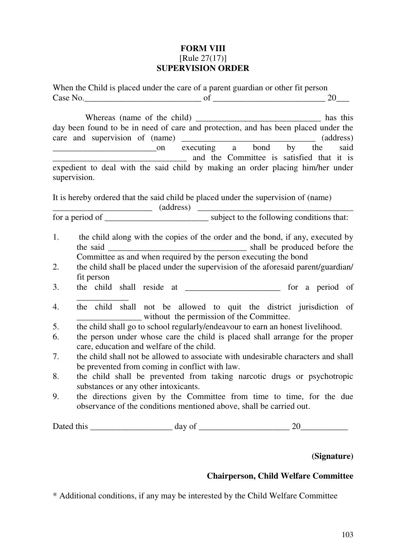# **FORM VIII**  [Rule 27(17)] **SUPERVISION ORDER**

|              | When the Child is placed under the care of a parent guardian or other fit person                                                                                                                                                                          |  |
|--------------|-----------------------------------------------------------------------------------------------------------------------------------------------------------------------------------------------------------------------------------------------------------|--|
|              | day been found to be in need of care and protection, and has been placed under the<br>care and supervision of (name) where the care and supervision of (name) $\frac{1}{\text{execting}}$ a bond by the said<br>and the Committee is satisfied that it is |  |
| supervision. | expedient to deal with the said child by making an order placing him/her under                                                                                                                                                                            |  |
|              | It is hereby ordered that the said child be placed under the supervision of (name)                                                                                                                                                                        |  |
|              |                                                                                                                                                                                                                                                           |  |
| 1.           | the child along with the copies of the order and the bond, if any, executed by<br>Committee as and when required by the person executing the bond                                                                                                         |  |
| 2.           | the child shall be placed under the supervision of the aforesaid parent/guardian/                                                                                                                                                                         |  |
|              | fit person                                                                                                                                                                                                                                                |  |
| 3.           | the child shall reside at ______________________ for a period of                                                                                                                                                                                          |  |
| 4.           | the child shall not be allowed to quit the district jurisdiction of<br>_______________________ without the permission of the Committee.                                                                                                                   |  |
| 5.           | the child shall go to school regularly/endeavour to earn an honest livelihood.                                                                                                                                                                            |  |
| 6.           | the person under whose care the child is placed shall arrange for the proper<br>care, education and welfare of the child.                                                                                                                                 |  |
| 7.           | the child shall not be allowed to associate with undesirable characters and shall<br>be prevented from coming in conflict with law.                                                                                                                       |  |
| 8.           | the child shall be prevented from taking narcotic drugs or psychotropic<br>substances or any other intoxicants.                                                                                                                                           |  |
| 9.           | the directions given by the Committee from time to time, for the due<br>observance of the conditions mentioned above, shall be carried out.                                                                                                               |  |
|              |                                                                                                                                                                                                                                                           |  |

# **(Signature)**

# **Chairperson, Child Welfare Committee**

\* Additional conditions, if any may be interested by the Child Welfare Committee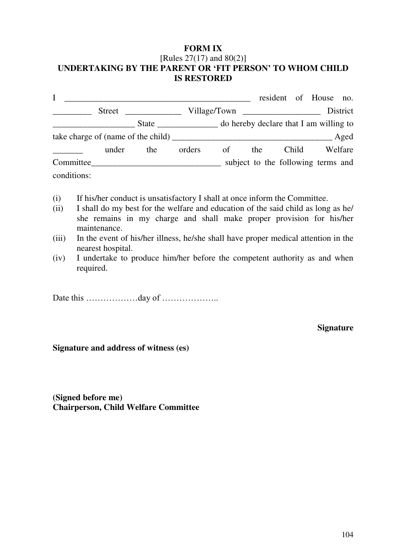### **FORM IX**  [Rules 27(17) and 80(2)] **UNDERTAKING BY THE PARENT OR 'FIT PERSON' TO WHOM CHILD IS RESTORED**

|             |        |                                         |        |    |                                    |       | resident of House no. |          |
|-------------|--------|-----------------------------------------|--------|----|------------------------------------|-------|-----------------------|----------|
|             | Street | <u> 1980 - Jan James James III, pre</u> |        |    |                                    |       |                       | District |
|             |        |                                         |        |    |                                    |       |                       |          |
|             |        |                                         |        |    |                                    |       |                       | Aged     |
|             | under  | the                                     | orders | of | the                                | Child |                       | Welfare  |
| Committee   |        |                                         |        |    | subject to the following terms and |       |                       |          |
| conditions: |        |                                         |        |    |                                    |       |                       |          |

- (i) If his/her conduct is unsatisfactory I shall at once inform the Committee.
- (ii) I shall do my best for the welfare and education of the said child as long as he/ she remains in my charge and shall make proper provision for his/her maintenance.
- (iii) In the event of his/her illness, he/she shall have proper medical attention in the nearest hospital.
- (iv) I undertake to produce him/her before the competent authority as and when required.

Date this ………………day of ………………..

**Signature** 

**Signature and address of witness (es)** 

**(Signed before me) Chairperson, Child Welfare Committee**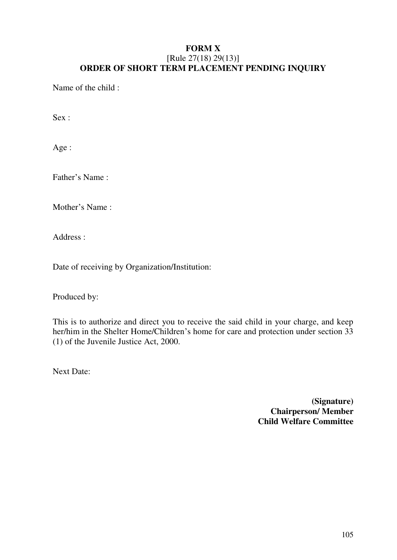### **FORM X**  [Rule 27(18) 29(13)] **ORDER OF SHORT TERM PLACEMENT PENDING INQUIRY**

Name of the child :

Sex :

Age :

Father's Name :

Mother's Name :

Address :

Date of receiving by Organization/Institution:

Produced by:

This is to authorize and direct you to receive the said child in your charge, and keep her/him in the Shelter Home/Children's home for care and protection under section 33 (1) of the Juvenile Justice Act, 2000.

Next Date:

**(Signature) Chairperson/ Member Child Welfare Committee**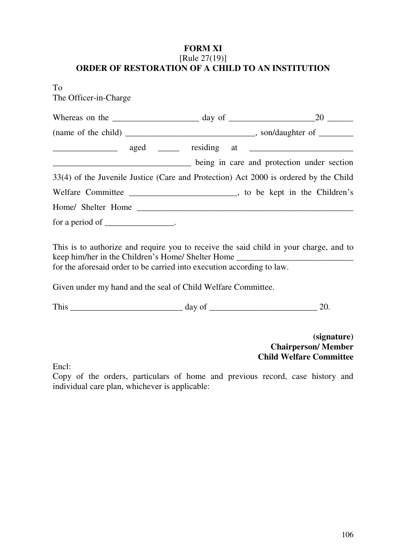### **FORM XI** [Rule 27(19)] **ORDER OF RESTORATION OF A CHILD TO AN INSTITUTION**

To

The Officer-in-Charge

| being in care and protection under section                                                                                                                                                                                                                                                                                                                                                                         |                                                                            |
|--------------------------------------------------------------------------------------------------------------------------------------------------------------------------------------------------------------------------------------------------------------------------------------------------------------------------------------------------------------------------------------------------------------------|----------------------------------------------------------------------------|
| 33(4) of the Juvenile Justice (Care and Protection) Act 2000 is ordered by the Child                                                                                                                                                                                                                                                                                                                               |                                                                            |
|                                                                                                                                                                                                                                                                                                                                                                                                                    |                                                                            |
|                                                                                                                                                                                                                                                                                                                                                                                                                    |                                                                            |
| for a period of $\frac{1}{\sqrt{1-\frac{1}{\sqrt{1-\frac{1}{\sqrt{1-\frac{1}{\sqrt{1-\frac{1}{\sqrt{1-\frac{1}{\sqrt{1-\frac{1}{\sqrt{1-\frac{1}{\sqrt{1-\frac{1}{\sqrt{1-\frac{1}{\sqrt{1-\frac{1}{\sqrt{1-\frac{1}{\sqrt{1-\frac{1}{\sqrt{1-\frac{1}{\sqrt{1-\frac{1}{\sqrt{1-\frac{1}{\sqrt{1-\frac{1}{\sqrt{1-\frac{1}{\sqrt{1-\frac{1}{\sqrt{1-\frac{1}{\sqrt{1-\frac{1}{\sqrt{1-\frac{1}{\sqrt{1-\frac{1}{\$ |                                                                            |
| This is to authorize and require you to receive the said child in your charge, and to<br>keep him/her in the Children's Home/ Shelter Home _______________________________<br>for the aforesaid order to be carried into execution according to law.                                                                                                                                                               |                                                                            |
| Given under my hand and the seal of Child Welfare Committee.                                                                                                                                                                                                                                                                                                                                                       |                                                                            |
|                                                                                                                                                                                                                                                                                                                                                                                                                    |                                                                            |
| $\Gamma$ noli                                                                                                                                                                                                                                                                                                                                                                                                      | (signature)<br><b>Chairperson/Member</b><br><b>Child Welfare Committee</b> |

Encl:

Copy of the orders, particulars of home and previous record, case history and individual care plan, whichever is applicable: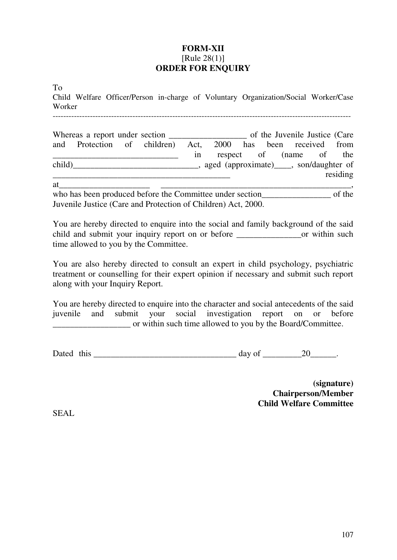### **FORM-XII**  [Rule 28(1)] **ORDER FOR ENQUIRY**

To

Child Welfare Officer/Person in-charge of Voluntary Organization/Social Worker/Case Worker

|        |                                                              |  |    |                                           | of the Juvenile Justice (Care |  |          |
|--------|--------------------------------------------------------------|--|----|-------------------------------------------|-------------------------------|--|----------|
|        | and Protection of children) Act, 2000 has been received from |  |    |                                           |                               |  |          |
|        |                                                              |  | 1n |                                           | respect of (name of the       |  |          |
| child) |                                                              |  |    | aged (approximate) _____, son/daughter of |                               |  |          |
|        |                                                              |  |    |                                           |                               |  | residing |

 $at$   $\ldots$ 

who has been produced before the Committee under section of the Juvenile Justice (Care and Protection of Children) Act, 2000.

You are hereby directed to enquire into the social and family background of the said child and submit your inquiry report on or before \_\_\_\_\_\_\_\_\_\_\_\_\_\_\_or within such time allowed to you by the Committee.

You are also hereby directed to consult an expert in child psychology, psychiatric treatment or counselling for their expert opinion if necessary and submit such report along with your Inquiry Report.

You are hereby directed to enquire into the character and social antecedents of the said juvenile and submit your social investigation report on or before \_\_\_\_\_\_\_\_\_\_\_\_\_\_\_\_\_\_ or within such time allowed to you by the Board/Committee.

Dated this day of 20 and  $\frac{1}{20}$ 

**(signature) Chairperson/Member Child Welfare Committee**

SEAL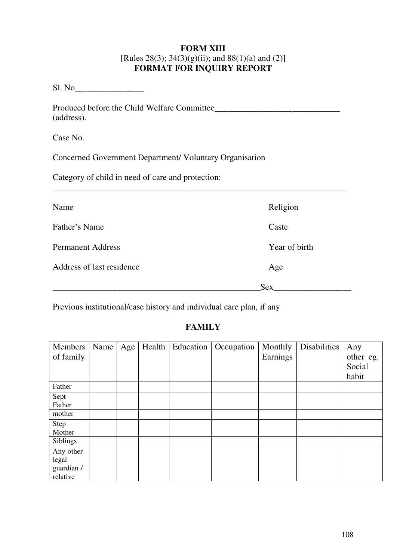### **FORM XIII**  [Rules 28(3); 34(3)(g)(ii); and  $88(1)(a)$  and (2)] **FORMAT FOR INQUIRY REPORT**

Sl. No\_\_\_\_\_\_\_\_\_\_\_\_\_\_\_\_

Produced before the Child Welfare Committee\_\_\_\_\_\_\_\_\_\_\_\_\_\_\_\_\_\_\_\_\_\_\_\_\_\_\_\_\_ (address).

Case No.

Concerned Government Department/ Voluntary Organisation

Category of child in need of care and protection:

| Name                      | Religion      |
|---------------------------|---------------|
| Father's Name             | Caste         |
| <b>Permanent Address</b>  | Year of birth |
| Address of last residence | Age           |
|                           | <b>Sex</b>    |

\_\_\_\_\_\_\_\_\_\_\_\_\_\_\_\_\_\_\_\_\_\_\_\_\_\_\_\_\_\_\_\_\_\_\_\_\_\_\_\_\_\_\_\_\_\_\_\_\_\_\_\_\_\_\_\_\_\_\_\_\_\_\_\_\_\_\_\_

Previous institutional/case history and individual care plan, if any

# **FAMILY**

| Members<br>of family                         | Name | Age | Health | Education | Occupation | Monthly<br>Earnings | Disabilities | Any<br>other eg.<br>Social<br>habit |
|----------------------------------------------|------|-----|--------|-----------|------------|---------------------|--------------|-------------------------------------|
| Father                                       |      |     |        |           |            |                     |              |                                     |
| Sept<br>Father                               |      |     |        |           |            |                     |              |                                     |
| mother                                       |      |     |        |           |            |                     |              |                                     |
| Step<br>Mother                               |      |     |        |           |            |                     |              |                                     |
| Siblings                                     |      |     |        |           |            |                     |              |                                     |
| Any other<br>legal<br>guardian /<br>relative |      |     |        |           |            |                     |              |                                     |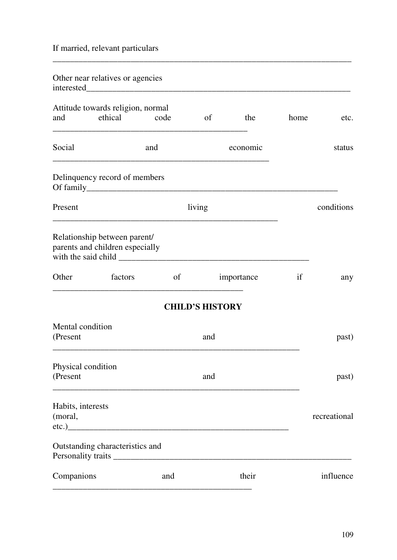If married, relevant particulars

| Other near relatives or agencies                                |         |       |                        |            |      |              |
|-----------------------------------------------------------------|---------|-------|------------------------|------------|------|--------------|
| Attitude towards religion, normal<br>and                        | ethical | code  | of                     | the        | home | etc.         |
| Social                                                          |         | and   |                        | economic   |      | status       |
| Delinquency record of members                                   |         |       |                        |            |      |              |
| Present                                                         |         |       | living                 |            |      | conditions   |
| Relationship between parent/<br>parents and children especially |         |       |                        |            |      |              |
| Other                                                           | factors | of    |                        | importance | if   | any          |
|                                                                 |         |       | <b>CHILD'S HISTORY</b> |            |      |              |
| Mental condition<br>(Present                                    |         |       | and                    |            |      | past)        |
| Physical condition<br>(Present                                  |         |       | and                    |            |      | past)        |
| Habits, interests<br>(moral,                                    |         | etc.) |                        |            |      | recreational |
| Outstanding characteristics and                                 |         |       |                        |            |      |              |
| Companions                                                      |         | and   |                        | their      |      | influence    |

\_\_\_\_\_\_\_\_\_\_\_\_\_\_\_\_\_\_\_\_\_\_\_\_\_\_\_\_\_\_\_\_\_\_\_\_\_\_\_\_\_\_\_\_\_\_\_\_\_\_\_\_\_\_\_\_\_\_\_\_\_\_\_\_\_\_\_\_\_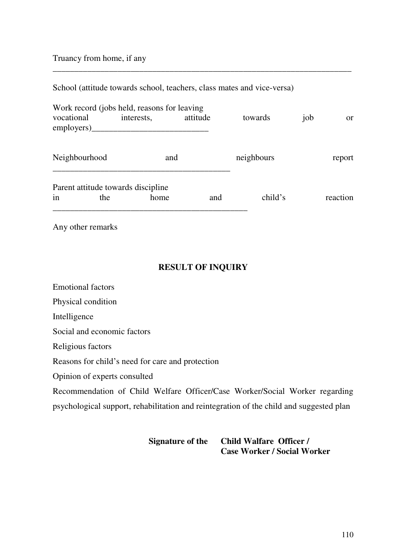#### Truancy from home, if any

| School (attitude towards school, teachers, class mates and vice-versa) |  |
|------------------------------------------------------------------------|--|
|------------------------------------------------------------------------|--|

| vocational<br>emplovers) | Work record (jobs held, reasons for leaving<br>interests, | attitude | towards    | job | $\alpha$ |
|--------------------------|-----------------------------------------------------------|----------|------------|-----|----------|
| Neighbourhood            | and                                                       |          | neighbours |     | report   |
| in<br>the                | Parent attitude towards discipline<br>home                | and      | child's    |     | reaction |

\_\_\_\_\_\_\_\_\_\_\_\_\_\_\_\_\_\_\_\_\_\_\_\_\_\_\_\_\_\_\_\_\_\_\_\_\_\_\_\_\_\_\_\_\_\_\_\_\_\_\_\_\_\_\_\_\_\_\_\_\_\_\_\_\_\_\_\_\_

Any other remarks

#### **RESULT OF INQUIRY**

Emotional factors

Physical condition

Intelligence

Social and economic factors

Religious factors

Reasons for child's need for care and protection

Opinion of experts consulted

Recommendation of Child Welfare Officer/Case Worker/Social Worker regarding psychological support, rehabilitation and reintegration of the child and suggested plan

#### **Signature of the Child Walfare Officer / Case Worker / Social Worker**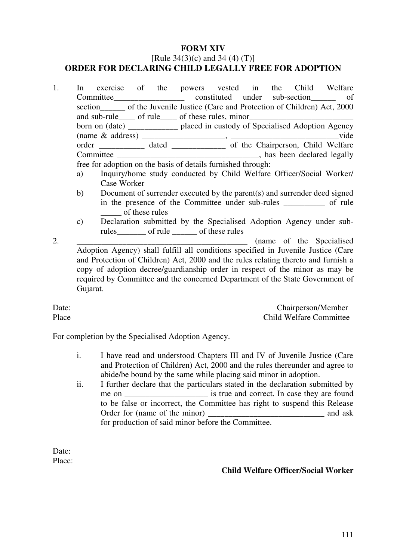#### **FORM XIV**

#### [Rule  $34(3)(c)$  and  $34(4)(T)$ ] **ORDER FOR DECLARING CHILD LEGALLY FREE FOR ADOPTION**

- 1. In exercise of the powers vested in the Child Welfare Committee constituted under sub-section of section of the Juvenile Justice (Care and Protection of Children) Act, 2000 and sub-rule of rule of these rules, minor born on (date) \_\_\_\_\_\_\_\_\_\_\_\_ placed in custody of Specialised Adoption Agency (name & address) \_\_\_\_\_\_\_\_\_\_\_\_\_\_\_\_\_\_\_\_, \_\_\_\_\_\_\_\_\_\_\_\_\_\_\_\_\_\_\_\_\_\_\_\_\_\_vide order \_\_\_\_\_\_\_\_\_\_\_ dated \_\_\_\_\_\_\_\_\_\_\_\_\_ of the Chairperson, Child Welfare Committee \_\_\_\_\_\_\_\_\_\_\_\_\_\_\_\_\_\_\_\_\_\_\_\_\_\_\_\_\_\_\_\_\_\_, has been declared legally free for adoption on the basis of details furnished through: a) Inquiry/home study conducted by Child Welfare Officer/Social Worker/ Case Worker
	- b) Document of surrender executed by the parent(s) and surrender deed signed in the presence of the Committee under sub-rules of rule \_\_\_\_\_ of these rules
	- c) Declaration submitted by the Specialised Adoption Agency under subrules of rule of these rules

2. \_\_\_\_\_\_\_\_\_\_\_\_\_\_\_\_\_\_\_\_\_\_\_\_\_\_\_\_\_\_\_\_\_\_\_\_\_\_\_\_\_ (name of the Specialised Adoption Agency) shall fulfill all conditions specified in Juvenile Justice (Care and Protection of Children) Act, 2000 and the rules relating thereto and furnish a copy of adoption decree/guardianship order in respect of the minor as may be required by Committee and the concerned Department of the State Government of Gujarat.

Date: Chairperson/Member Place Child Welfare Committee

For completion by the Specialised Adoption Agency.

- i. I have read and understood Chapters III and IV of Juvenile Justice (Care and Protection of Children) Act, 2000 and the rules thereunder and agree to abide/be bound by the same while placing said minor in adoption.
- ii. I further declare that the particulars stated in the declaration submitted by me on \_\_\_\_\_\_\_\_\_\_\_\_\_\_\_\_\_\_\_\_\_\_\_\_\_ is true and correct. In case they are found to be false or incorrect, the Committee has right to suspend this Release Order for (name of the minor) and ask for production of said minor before the Committee.

Date: Place:

#### **Child Welfare Officer/Social Worker**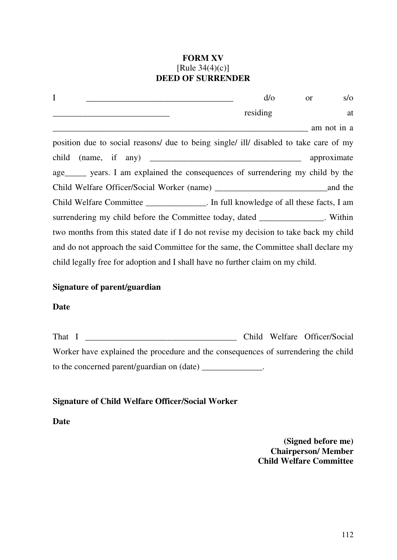### **FORM XV**  [Rule 34(4)(c)] **DEED OF SURRENDER**

| I                                                                                     | $d$ / $\circ$ | <b>or</b>   | $s/\sigma$  |  |  |
|---------------------------------------------------------------------------------------|---------------|-------------|-------------|--|--|
|                                                                                       | residing      |             | at          |  |  |
|                                                                                       |               | am not in a |             |  |  |
| position due to social reasons/ due to being single/ ill/ disabled to take care of my |               |             |             |  |  |
|                                                                                       |               |             | approximate |  |  |
| age______ years. I am explained the consequences of surrendering my child by the      |               |             |             |  |  |
| Child Welfare Officer/Social Worker (name)                                            |               |             | and the     |  |  |
| Child Welfare Committee _______________. In full knowledge of all these facts, I am   |               |             |             |  |  |
| surrendering my child before the Committee today, dated _____________. Within         |               |             |             |  |  |
| two months from this stated date if I do not revise my decision to take back my child |               |             |             |  |  |
| and do not approach the said Committee for the same, the Committee shall declare my   |               |             |             |  |  |
| child legally free for adoption and I shall have no further claim on my child.        |               |             |             |  |  |

#### **Signature of parent/guardian**

#### **Date**

| That I                                                                             |  | Child Welfare Officer/Social |
|------------------------------------------------------------------------------------|--|------------------------------|
| Worker have explained the procedure and the consequences of surrendering the child |  |                              |
| to the concerned parent/guardian on (date)                                         |  |                              |

# **Signature of Child Welfare Officer/Social Worker**

**Date**

**(Signed before me) Chairperson/ Member Child Welfare Committee**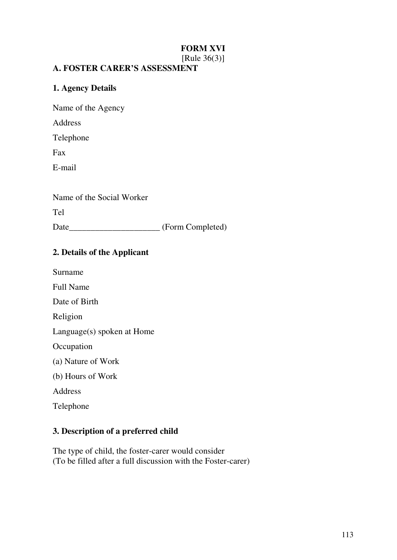# **FORM XVI**

[Rule 36(3)]

#### **A. FOSTER CARER'S ASSESSMENT**

#### **1. Agency Details**

Name of the Agency

Address

Telephone

Fax

E-mail

Name of the Social Worker

Tel

Date\_\_\_\_\_\_\_\_\_\_\_\_\_\_\_\_\_\_\_\_\_\_\_ (Form Completed)

### **2. Details of the Applicant**

Surname

Full Name

Date of Birth

Religion

Language(s) spoken at Home

**Occupation** 

- (a) Nature of Work
- (b) Hours of Work

Address

Telephone

#### **3. Description of a preferred child**

The type of child, the foster-carer would consider (To be filled after a full discussion with the Foster-carer)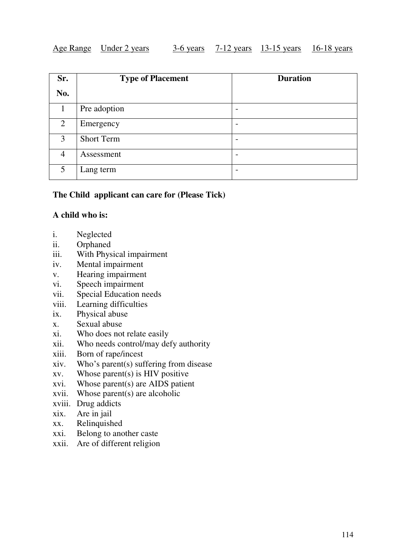#### Age Range Under 2 years 3-6 years 7-12 years 13-15 years 16-18 years

| Sr.            | <b>Type of Placement</b> | <b>Duration</b> |
|----------------|--------------------------|-----------------|
| No.            |                          |                 |
|                | Pre adoption             | -               |
| 2              | Emergency                | -               |
| 3              | <b>Short Term</b>        | -               |
| $\overline{4}$ | Assessment               |                 |
| 5              | Lang term                | -               |

#### **The Child applicant can care for (Please Tick)**

#### **A child who is:**

- i. Neglected
- ii. Orphaned
- iii. With Physical impairment
- iv. Mental impairment
- v. Hearing impairment
- vi. Speech impairment
- vii. Special Education needs
- viii. Learning difficulties
- ix. Physical abuse
- x. Sexual abuse
- xi. Who does not relate easily
- xii. Who needs control/may defy authority
- xiii. Born of rape/incest
- xiv. Who's parent(s) suffering from disease
- xv. Whose parent(s) is HIV positive
- xvi. Whose parent(s) are AIDS patient
- xvii. Whose parent(s) are alcoholic
- xviii. Drug addicts
- xix. Are in jail
- xx. Relinquished
- xxi. Belong to another caste
- xxii. Are of different religion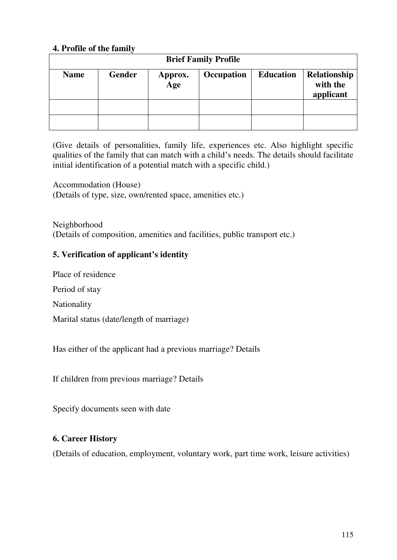### **4. Profile of the family**

| <b>Brief Family Profile</b> |               |                             |            |                  |                                       |  |
|-----------------------------|---------------|-----------------------------|------------|------------------|---------------------------------------|--|
| <b>Name</b>                 | <b>Gender</b> | Approx.<br>$\overline{Age}$ | Occupation | <b>Education</b> | Relationship<br>with the<br>applicant |  |
|                             |               |                             |            |                  |                                       |  |
|                             |               |                             |            |                  |                                       |  |

(Give details of personalities, family life, experiences etc. Also highlight specific qualities of the family that can match with a child's needs. The details should facilitate initial identification of a potential match with a specific child.)

Accommodation (House) (Details of type, size, own/rented space, amenities etc.)

Neighborhood (Details of composition, amenities and facilities, public transport etc.)

#### **5. Verification of applicant's identity**

Place of residence

Period of stay

Nationality

Marital status (date/length of marriage)

Has either of the applicant had a previous marriage? Details

If children from previous marriage? Details

Specify documents seen with date

#### **6. Career History**

(Details of education, employment, voluntary work, part time work, leisure activities)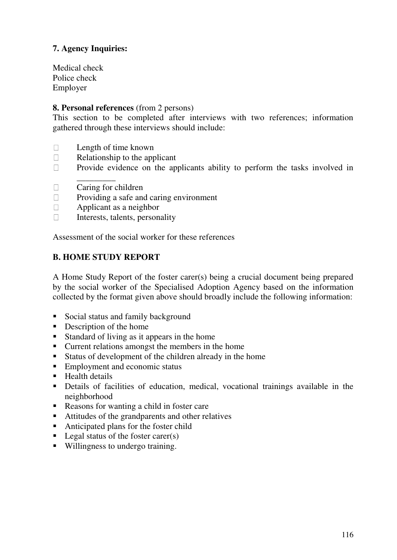# **7. Agency Inquiries:**

Medical check Police check Employer

#### **8. Personal references** (from 2 persons)

This section to be completed after interviews with two references; information gathered through these interviews should include:

- $\Box$ Length of time known
- $\Box$  Relationship to the applicant
- $\Box$  Provide evidence on the applicants ability to perform the tasks involved in
- \_\_\_\_\_\_\_\_\_  $\Box$  Caring for children
- □ Providing a safe and caring environment
- Applicant as a neighbor  $\Box$
- Interests, talents, personality  $\Box$

Assessment of the social worker for these references

### **B. HOME STUDY REPORT**

A Home Study Report of the foster carer(s) being a crucial document being prepared by the social worker of the Specialised Adoption Agency based on the information collected by the format given above should broadly include the following information:

- Social status and family background
- Description of the home
- Standard of living as it appears in the home
- **Current relations amongst the members in the home**
- Status of development of the children already in the home
- Employment and economic status
- **Health details**
- Details of facilities of education, medical, vocational trainings available in the neighborhood
- Reasons for wanting a child in foster care
- Attitudes of the grandparents and other relatives
- Anticipated plans for the foster child
- Legal status of the foster carer(s)
- Willingness to undergo training.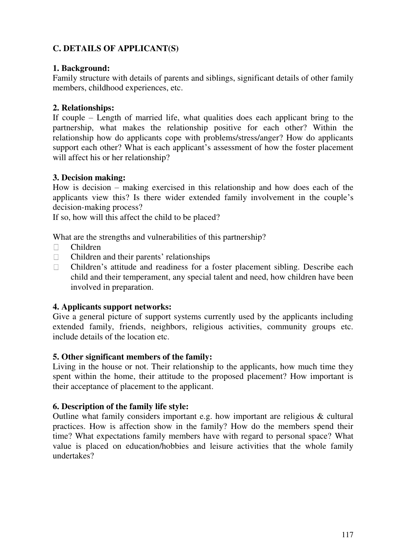# **C. DETAILS OF APPLICANT(S)**

### **1. Background:**

Family structure with details of parents and siblings, significant details of other family members, childhood experiences, etc.

### **2. Relationships:**

If couple – Length of married life, what qualities does each applicant bring to the partnership, what makes the relationship positive for each other? Within the relationship how do applicants cope with problems/stress/anger? How do applicants support each other? What is each applicant's assessment of how the foster placement will affect his or her relationship?

#### **3. Decision making:**

How is decision – making exercised in this relationship and how does each of the applicants view this? Is there wider extended family involvement in the couple's decision-making process?

If so, how will this affect the child to be placed?

What are the strengths and vulnerabilities of this partnership?

- Children
- $\Box$  Children and their parents' relationships
- Children's attitude and readiness for a foster placement sibling. Describe each child and their temperament, any special talent and need, how children have been involved in preparation.

### **4. Applicants support networks:**

Give a general picture of support systems currently used by the applicants including extended family, friends, neighbors, religious activities, community groups etc. include details of the location etc.

#### **5. Other significant members of the family:**

Living in the house or not. Their relationship to the applicants, how much time they spent within the home, their attitude to the proposed placement? How important is their acceptance of placement to the applicant.

#### **6. Description of the family life style:**

Outline what family considers important e.g. how important are religious & cultural practices. How is affection show in the family? How do the members spend their time? What expectations family members have with regard to personal space? What value is placed on education/hobbies and leisure activities that the whole family undertakes?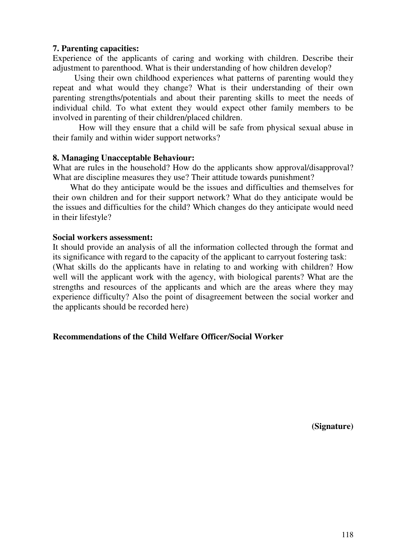#### **7. Parenting capacities:**

Experience of the applicants of caring and working with children. Describe their adjustment to parenthood. What is their understanding of how children develop?

 Using their own childhood experiences what patterns of parenting would they repeat and what would they change? What is their understanding of their own parenting strengths/potentials and about their parenting skills to meet the needs of individual child. To what extent they would expect other family members to be involved in parenting of their children/placed children.

 How will they ensure that a child will be safe from physical sexual abuse in their family and within wider support networks?

#### **8. Managing Unacceptable Behaviour:**

What are rules in the household? How do the applicants show approval/disapproval? What are discipline measures they use? Their attitude towards punishment?

 What do they anticipate would be the issues and difficulties and themselves for their own children and for their support network? What do they anticipate would be the issues and difficulties for the child? Which changes do they anticipate would need in their lifestyle?

#### **Social workers assessment:**

It should provide an analysis of all the information collected through the format and its significance with regard to the capacity of the applicant to carryout fostering task: (What skills do the applicants have in relating to and working with children? How well will the applicant work with the agency, with biological parents? What are the strengths and resources of the applicants and which are the areas where they may experience difficulty? Also the point of disagreement between the social worker and the applicants should be recorded here)

#### **Recommendations of the Child Welfare Officer/Social Worker**

**(Signature)**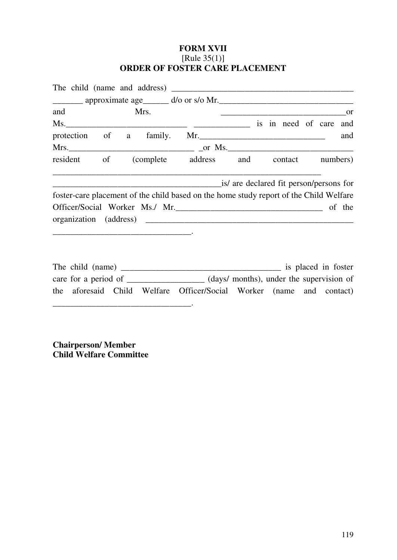### **FORM XVII**  [Rule 35(1)] **ORDER OF FOSTER CARE PLACEMENT**

| _________ approximate age_______ d/o or s/o Mr. _________________________________      |  |      |                                                                                                                                                                                                                                 |
|----------------------------------------------------------------------------------------|--|------|---------------------------------------------------------------------------------------------------------------------------------------------------------------------------------------------------------------------------------|
| <sub>or</sub>                                                                          |  | Mrs. | and the contract of the contract of the contract of the contract of the contract of the contract of the contract of the contract of the contract of the contract of the contract of the contract of the contract of the contrac |
| is in need of care and                                                                 |  |      |                                                                                                                                                                                                                                 |
| protection of a family. Mr.<br>and                                                     |  |      |                                                                                                                                                                                                                                 |
|                                                                                        |  |      |                                                                                                                                                                                                                                 |
| resident of (complete address and contact numbers)                                     |  |      |                                                                                                                                                                                                                                 |
| is/ are declared fit person/persons for                                                |  |      |                                                                                                                                                                                                                                 |
| foster-care placement of the child based on the home study report of the Child Welfare |  |      |                                                                                                                                                                                                                                 |
| Officer/Social Worker Ms./ Mr.                                                         |  |      |                                                                                                                                                                                                                                 |
|                                                                                        |  |      |                                                                                                                                                                                                                                 |

| The child (name) |  |                                                                      |                                          | is placed in foster |
|------------------|--|----------------------------------------------------------------------|------------------------------------------|---------------------|
|                  |  |                                                                      | (days/ months), under the supervision of |                     |
|                  |  | the aforesaid Child Welfare Officer/Social Worker (name and contact) |                                          |                     |
|                  |  |                                                                      |                                          |                     |

**Chairperson/ Member Child Welfare Committee**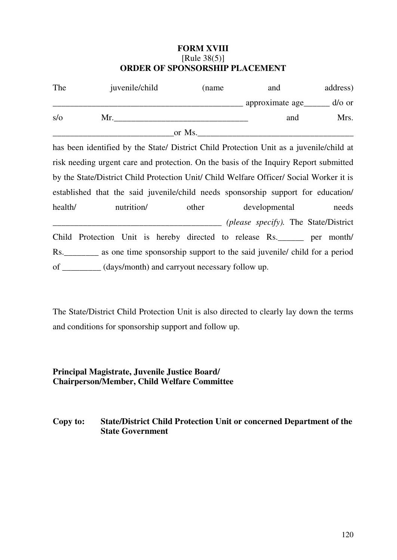#### **FORM XVIII**  [Rule 38(5)] **ORDER OF SPONSORSHIP PLACEMENT**

| The | juvenile/child | (name  | and              | address)     |
|-----|----------------|--------|------------------|--------------|
|     |                |        | approximate age_ | $d$ / $o$ or |
| s/o | Mr.            |        | and              | Mrs.         |
|     |                | or Ms. |                  |              |

has been identified by the State/ District Child Protection Unit as a juvenile/child at risk needing urgent care and protection. On the basis of the Inquiry Report submitted by the State/District Child Protection Unit/ Child Welfare Officer/ Social Worker it is established that the said juvenile/child needs sponsorship support for education/ health/ nutrition/ other developmental needs \_\_\_\_\_\_\_\_\_\_\_\_\_\_\_\_\_\_\_\_\_\_\_\_\_\_\_\_\_\_\_\_\_\_\_\_\_\_\_ *(please specify).* The State/District Child Protection Unit is hereby directed to release Rs.\_\_\_\_\_\_ per month/ Rs.\_\_\_\_\_\_\_\_ as one time sponsorship support to the said juvenile/ child for a period of \_\_\_\_\_\_\_\_\_ (days/month) and carryout necessary follow up.

The State/District Child Protection Unit is also directed to clearly lay down the terms and conditions for sponsorship support and follow up.

#### **Principal Magistrate, Juvenile Justice Board/ Chairperson/Member, Child Welfare Committee**

#### **Copy to: State/District Child Protection Unit or concerned Department of the State Government**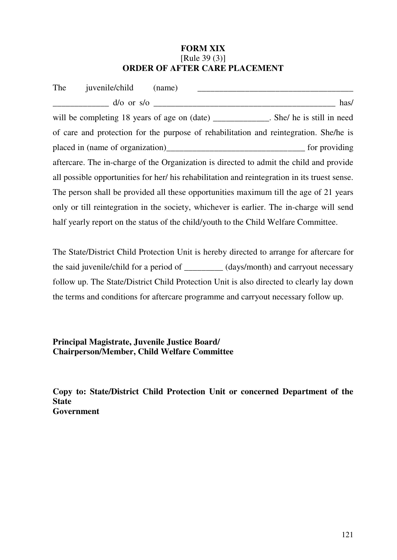#### **FORM XIX**  [Rule 39 (3)] **ORDER OF AFTER CARE PLACEMENT**

| The | juvenile/child                                                                                | (name) |  |      |
|-----|-----------------------------------------------------------------------------------------------|--------|--|------|
|     | $d$ /o or s/o                                                                                 |        |  | has/ |
|     | will be completing 18 years of age on (date) ___________. She/ he is still in need            |        |  |      |
|     | of care and protection for the purpose of rehabilitation and reintegration. She/he is         |        |  |      |
|     |                                                                                               |        |  |      |
|     | aftercare. The in-charge of the Organization is directed to admit the child and provide       |        |  |      |
|     | all possible opportunities for her/ his rehabilitation and reintegration in its truest sense. |        |  |      |
|     | The person shall be provided all these opportunities maximum till the age of 21 years         |        |  |      |
|     | only or till reintegration in the society, whichever is earlier. The in-charge will send      |        |  |      |
|     | half yearly report on the status of the child/youth to the Child Welfare Committee.           |        |  |      |

The State/District Child Protection Unit is hereby directed to arrange for aftercare for the said juvenile/child for a period of \_\_\_\_\_\_\_\_\_ (days/month) and carryout necessary follow up. The State/District Child Protection Unit is also directed to clearly lay down the terms and conditions for aftercare programme and carryout necessary follow up.

**Principal Magistrate, Juvenile Justice Board/ Chairperson/Member, Child Welfare Committee**

**Copy to: State/District Child Protection Unit or concerned Department of the State Government**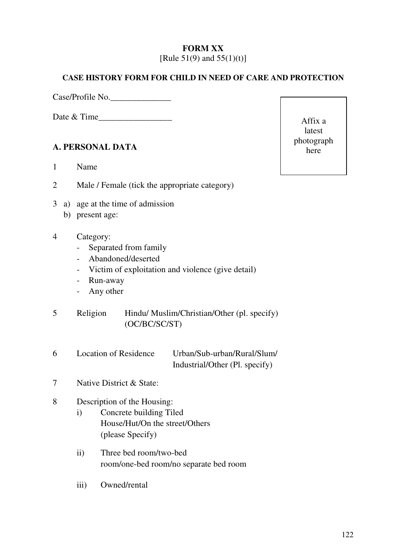#### **FORM XX**  [Rule  $51(9)$  and  $55(1)(t)$ ]

#### **CASE HISTORY FORM FOR CHILD IN NEED OF CARE AND PROTECTION**

Case/Profile No.\_\_\_\_\_\_\_\_\_\_\_\_\_\_

Date & Time

### **A. PERSONAL DATA**

- 1 Name
- 2 Male / Female (tick the appropriate category)
- 3 a) age at the time of admission
	- b) present age:
- 4 Category:
	- Separated from family
	- Abandoned/deserted
	- Victim of exploitation and violence (give detail)
	- Run-away
	- Any other
- 5 Religion Hindu/ Muslim/Christian/Other (pl. specify) (OC/BC/SC/ST)
- 6 Location of Residence Urban/Sub-urban/Rural/Slum/ Industrial/Other (Pl. specify)
- 7 Native District & State:

### 8 Description of the Housing:

- i) Concrete building Tiled House/Hut/On the street/Others (please Specify)
- ii) Three bed room/two-bed room/one-bed room/no separate bed room
- iii) Owned/rental

Affix a latest photograph here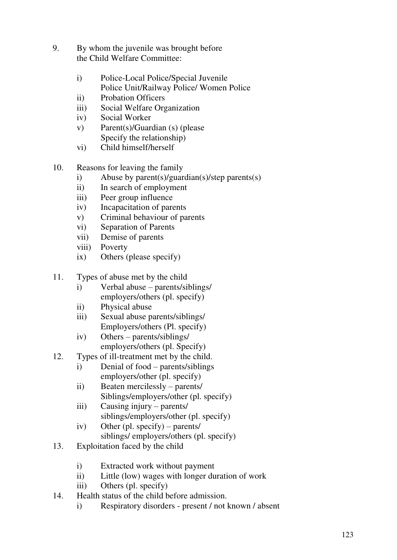- 9. By whom the juvenile was brought before the Child Welfare Committee:
	- i) Police-Local Police/Special Juvenile Police Unit/Railway Police/ Women Police
	- ii) Probation Officers
	- iii) Social Welfare Organization
	- iv) Social Worker
	- v) Parent(s)/Guardian (s) (please Specify the relationship)
	- vi) Child himself/herself
- 10. Reasons for leaving the family
	- i) Abuse by parent(s)/guardian(s)/step parents(s)
	- ii) In search of employment
	- iii) Peer group influence
	- iv) Incapacitation of parents
	- v) Criminal behaviour of parents
	- vi) Separation of Parents
	- vii) Demise of parents
	- viii) Poverty
	- ix) Others (please specify)
- 11. Types of abuse met by the child
	- i) Verbal abuse parents/siblings/ employers/others (pl. specify)
	- ii) Physical abuse
	- iii) Sexual abuse parents/siblings/ Employers/others (Pl. specify)
	- iv) Others parents/siblings/ employers/others (pl. Specify)
- 12. Types of ill-treatment met by the child.
	- i) Denial of food parents/siblings employers/other (pl. specify)
	- ii) Beaten mercilessly parents/ Siblings/employers/other (pl. specify)
	- iii) Causing injury parents/ siblings/employers/other (pl. specify)
	- iv) Other (pl. specify) parents/ siblings/ employers/others (pl. specify)
- 13. Exploitation faced by the child
	- i) Extracted work without payment
	- ii) Little (low) wages with longer duration of work
	- iii) Others (pl. specify)
- 14. Health status of the child before admission.
	- i) Respiratory disorders present / not known / absent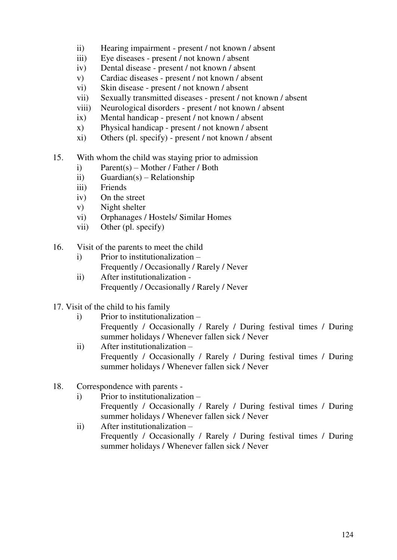- ii) Hearing impairment present / not known / absent
- iii) Eye diseases present / not known / absent
- iv) Dental disease present / not known / absent
- v) Cardiac diseases present / not known / absent
- vi) Skin disease present / not known / absent
- vii) Sexually transmitted diseases present / not known / absent
- viii) Neurological disorders present / not known / absent
- ix) Mental handicap present / not known / absent
- x) Physical handicap present / not known / absent
- xi) Others (pl. specify) present / not known / absent
- 15. With whom the child was staying prior to admission
	- i) Parent(s) Mother / Father / Both
	- ii) Guardian(s) Relationship
	- iii) Friends
	- iv) On the street
	- v) Night shelter
	- vi) Orphanages / Hostels/ Similar Homes
	- vii) Other (pl. specify)
- 16. Visit of the parents to meet the child
	- i) Prior to institutionalization
		- Frequently / Occasionally / Rarely / Never
	- ii) After institutionalization Frequently / Occasionally / Rarely / Never
- 17. Visit of the child to his family
	- i) Prior to institutionalization Frequently / Occasionally / Rarely / During festival times / During summer holidays / Whenever fallen sick / Never
	- ii) After institutionalization Frequently / Occasionally / Rarely / During festival times / During summer holidays / Whenever fallen sick / Never
- 18. Correspondence with parents
	- i) Prior to institutionalization
		- Frequently / Occasionally / Rarely / During festival times / During summer holidays / Whenever fallen sick / Never
	- ii) After institutionalization Frequently / Occasionally / Rarely / During festival times / During summer holidays / Whenever fallen sick / Never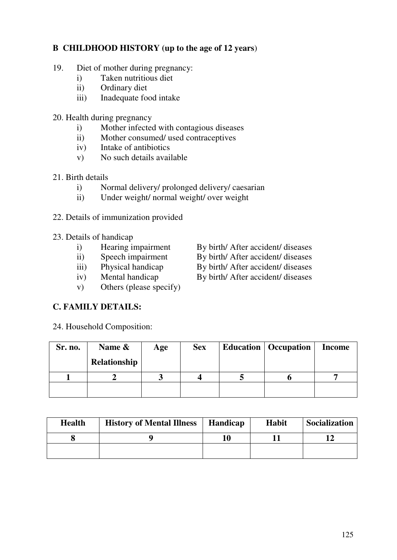# **B CHILDHOOD HISTORY (up to the age of 12 years**)

- 19. Diet of mother during pregnancy:
	- i) Taken nutritious diet
	- ii) Ordinary diet
	- iii) Inadequate food intake
- 20. Health during pregnancy
	- i) Mother infected with contagious diseases
	- ii) Mother consumed/ used contraceptives
	- iv) Intake of antibiotics
	- v) No such details available

### 21. Birth details

- i) Normal delivery/ prolonged delivery/ caesarian
- ii) Under weight/ normal weight/ over weight
- 22. Details of immunization provided
- 23. Details of handicap
	-
	-
	-
	-
	- v) Others (please specify)
- **C. FAMILY DETAILS:**
- 24. Household Composition:
- **Sr. no. Name & Relationship Age Sex Education Occupation Income 1 2 3 4 5 6 7**

| <b>Health</b> | <b>History of Mental Illness</b> | <b>Handicap</b> | <b>Habit</b> | Socialization |
|---------------|----------------------------------|-----------------|--------------|---------------|
|               |                                  | 10              |              |               |
|               |                                  |                 |              |               |

- i) Hearing impairment By birth/ After accident/ diseases
- ii) Speech impairment By birth/ After accident/ diseases<br>iii) Physical handicap By birth/ After accident/ diseases
- iii) Physical handicap By birth/ After accident/ diseases
- iv) Mental handicap By birth/ After accident/ diseases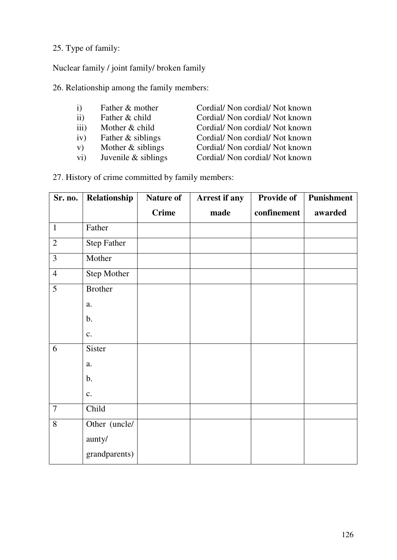### 25. Type of family:

Nuclear family / joint family/ broken family

26. Relationship among the family members:

| $\mathbf{i}$ | Father & mother | Cordial/Non cordial/Not known |
|--------------|-----------------|-------------------------------|
| ii)          | Father & child  | Cordial/Non cordial/Not known |
| iii)         | Mother & child  | Cordial/Non cordial/Not known |

- 
- 
- 

iv) Father & siblings Cordial/ Non cordial/ Not known<br>v) Mother & siblings Cordial/ Non cordial/ Not known v) Mother & siblings Cordial/ Non cordial/ Not known<br>vi) Juvenile & siblings Cordial/ Non cordial/ Not known

vi) Juvenile & siblings Cordial/ Non cordial/ Not known

27. History of crime committed by family members:

| Sr. no.        | Relationship       | <b>Nature of</b> | Arrest if any | <b>Provide of</b> | Punishment |
|----------------|--------------------|------------------|---------------|-------------------|------------|
|                |                    | <b>Crime</b>     | made          | confinement       | awarded    |
| $\mathbf{1}$   | Father             |                  |               |                   |            |
| $\overline{2}$ | <b>Step Father</b> |                  |               |                   |            |
| $\overline{3}$ | Mother             |                  |               |                   |            |
| $\overline{4}$ | <b>Step Mother</b> |                  |               |                   |            |
| 5              | <b>Brother</b>     |                  |               |                   |            |
|                | a.                 |                  |               |                   |            |
|                | $\mathbf b$ .      |                  |               |                   |            |
|                | $\mathbf{c}$ .     |                  |               |                   |            |
| 6              | Sister             |                  |               |                   |            |
|                | a.                 |                  |               |                   |            |
|                | $\mathbf b$ .      |                  |               |                   |            |
|                | $\mathbf{c}$ .     |                  |               |                   |            |
| $\overline{7}$ | Child              |                  |               |                   |            |
| 8              | Other (uncle/      |                  |               |                   |            |
|                | aunty/             |                  |               |                   |            |
|                | grandparents)      |                  |               |                   |            |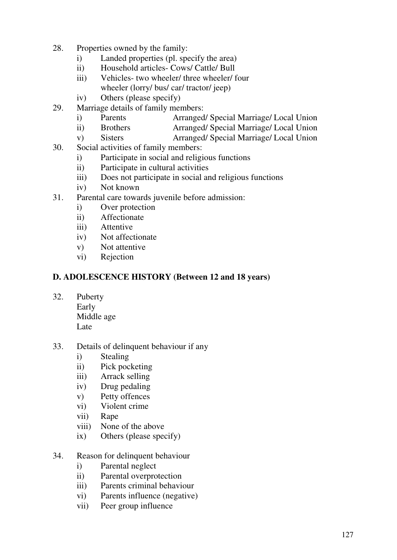- 28. Properties owned by the family:
	- i) Landed properties (pl. specify the area)
	- ii) Household articles- Cows/ Cattle/ Bull
	- iii) Vehicles- two wheeler/ three wheeler/ four wheeler (lorry/ bus/ car/ tractor/ jeep)
	- iv) Others (please specify)
- 29. Marriage details of family members:
	- i) Parents Arranged/ Special Marriage/ Local Union
	- ii) Brothers Arranged/ Special Marriage/ Local Union
	- v) Sisters Arranged/ Special Marriage/ Local Union
- 30. Social activities of family members:
	- i) Participate in social and religious functions
	- ii) Participate in cultural activities
	- iii) Does not participate in social and religious functions
	- iv) Not known
- 31. Parental care towards juvenile before admission:
	- i) Over protection
	- ii) Affectionate
	- iii) Attentive
	- iv) Not affectionate
	- v) Not attentive
	- vi) Rejection

### **D. ADOLESCENCE HISTORY (Between 12 and 18 years)**

32. Puberty

Early Middle age Late

- 33. Details of delinquent behaviour if any
	- i) Stealing
	- ii) Pick pocketing
	- iii) Arrack selling
	- iv) Drug pedaling
	- v) Petty offences
	- vi) Violent crime
	- vii) Rape
	- viii) None of the above
	- ix) Others (please specify)
- 34. Reason for delinquent behaviour
	- i) Parental neglect
	- ii) Parental overprotection
	- iii) Parents criminal behaviour
	- vi) Parents influence (negative)
	- vii) Peer group influence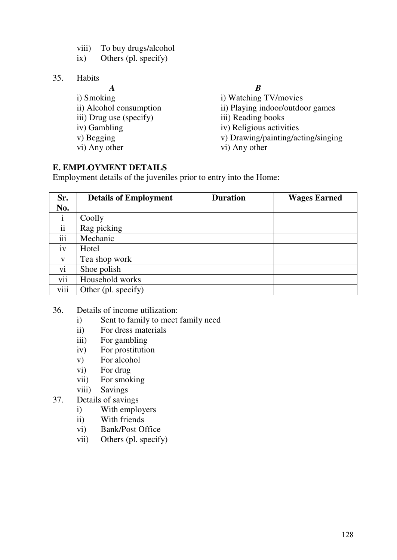- viii) To buy drugs/alcohol
- ix) Others (pl. specify)
- 35. Habits
	- *A B*  i) Smoking i) Watching TV/movies
	-
	-
	-
	-

### **E. EMPLOYMENT DETAILS**

- ii) Alcohol consumption ii) Playing indoor/outdoor games iii) Drug use (specify) iii) Reading books iv) Gambling iv) Religious activities
- v) Begging v) Drawing/painting/acting/singing
- vi) Any other vi) Any other

Employment details of the juveniles prior to entry into the Home:

| Sr.           | <b>Details of Employment</b> | <b>Duration</b> | <b>Wages Earned</b> |
|---------------|------------------------------|-----------------|---------------------|
| No.           |                              |                 |                     |
| $\mathbf{1}$  | Coolly                       |                 |                     |
| $\mathbf{ii}$ | Rag picking                  |                 |                     |
| iii           | Mechanic                     |                 |                     |
| iv            | Hotel                        |                 |                     |
| V             | Tea shop work                |                 |                     |
| vi            | Shoe polish                  |                 |                     |
| vii           | Household works              |                 |                     |
| viii          | Other (pl. specify)          |                 |                     |

- 36. Details of income utilization:
	- i) Sent to family to meet family need
	- ii) For dress materials
	- iii) For gambling
	- iv) For prostitution
	- v) For alcohol
	- vi) For drug
	- vii) For smoking
	- viii) Savings
- 37. Details of savings
	- i) With employers
	- ii) With friends
	- vi) Bank/Post Office
	- vii) Others (pl. specify)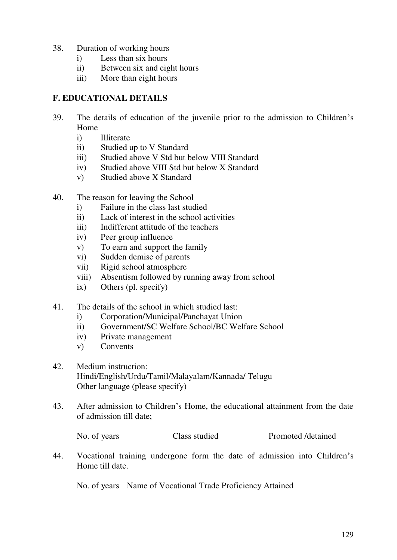- 38. Duration of working hours
	- i) Less than six hours
	- ii) Between six and eight hours
	- iii) More than eight hours

### **F. EDUCATIONAL DETAILS**

- 39. The details of education of the juvenile prior to the admission to Children's Home
	- i) Illiterate
	- ii) Studied up to V Standard
	- iii) Studied above V Std but below VIII Standard
	- iv) Studied above VIII Std but below X Standard
	- v) Studied above X Standard
- 40. The reason for leaving the School
	- i) Failure in the class last studied
	- ii) Lack of interest in the school activities
	- iii) Indifferent attitude of the teachers
	- iv) Peer group influence
	- v) To earn and support the family
	- vi) Sudden demise of parents
	- vii) Rigid school atmosphere
	- viii) Absentism followed by running away from school
	- ix) Others (pl. specify)
- 41. The details of the school in which studied last:
	- i) Corporation/Municipal/Panchayat Union
	- ii) Government/SC Welfare School/BC Welfare School
	- iv) Private management
	- v) Convents
- 42. Medium instruction: Hindi/English/Urdu/Tamil/Malayalam/Kannada/ Telugu Other language (please specify)
- 43. After admission to Children's Home, the educational attainment from the date of admission till date;

| No. of years | Class studied | Promoted / detained |
|--------------|---------------|---------------------|
|              |               |                     |

44. Vocational training undergone form the date of admission into Children's Home till date.

No. of years Name of Vocational Trade Proficiency Attained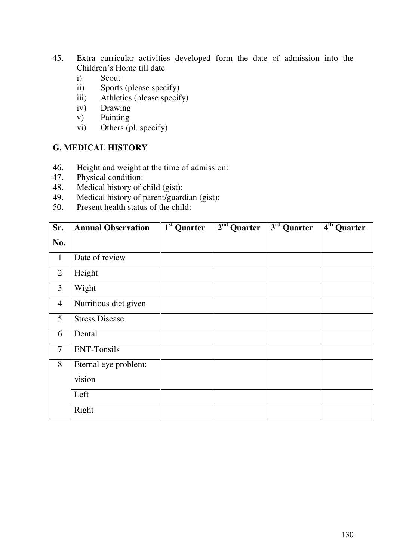- 45. Extra curricular activities developed form the date of admission into the Children's Home till date
	- i) Scout
	- ii) Sports (please specify)
	- iii) Athletics (please specify)
	- iv) Drawing
	- v) Painting
	- vi) Others (pl. specify)

#### **G. MEDICAL HISTORY**

- 46. Height and weight at the time of admission:<br>47. Physical condition:
- Physical condition:
- 48. Medical history of child (gist):
- 49. Medical history of parent/guardian (gist):
- 50. Present health status of the child:

| Sr.            | <b>Annual Observation</b> | 1 <sup>st</sup> Quarter | $2nd$ Quarter | $\overline{3^{rd}}$ Quarter | $4th$ Quarter |
|----------------|---------------------------|-------------------------|---------------|-----------------------------|---------------|
| No.            |                           |                         |               |                             |               |
| $\mathbf{1}$   | Date of review            |                         |               |                             |               |
| $\overline{2}$ | Height                    |                         |               |                             |               |
| 3              | Wight                     |                         |               |                             |               |
| $\overline{4}$ | Nutritious diet given     |                         |               |                             |               |
| 5              | <b>Stress Disease</b>     |                         |               |                             |               |
| 6              | Dental                    |                         |               |                             |               |
| $\overline{7}$ | <b>ENT-Tonsils</b>        |                         |               |                             |               |
| 8              | Eternal eye problem:      |                         |               |                             |               |
|                | vision                    |                         |               |                             |               |
|                | Left                      |                         |               |                             |               |
|                | Right                     |                         |               |                             |               |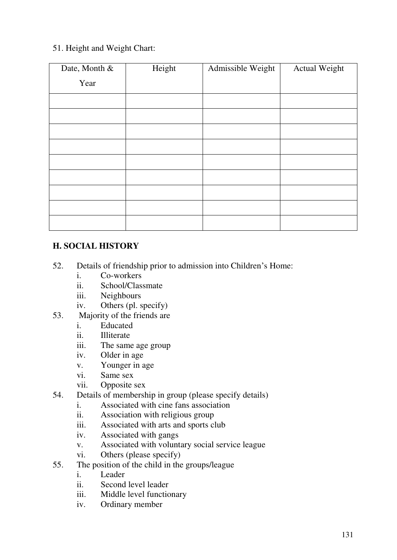# 51. Height and Weight Chart:

| Date, Month & | Height | Admissible Weight | <b>Actual Weight</b> |
|---------------|--------|-------------------|----------------------|
| Year          |        |                   |                      |
|               |        |                   |                      |
|               |        |                   |                      |
|               |        |                   |                      |
|               |        |                   |                      |
|               |        |                   |                      |
|               |        |                   |                      |
|               |        |                   |                      |
|               |        |                   |                      |
|               |        |                   |                      |

# **H. SOCIAL HISTORY**

- 52. Details of friendship prior to admission into Children's Home:
	- i. Co-workers
	- ii. School/Classmate
	- iii. Neighbours
	- iv. Others (pl. specify)
- 53. Majority of the friends are
	- i. Educated
	- ii. Illiterate
	- iii. The same age group
	- iv. Older in age
	- v. Younger in age
	- vi. Same sex
	- vii. Opposite sex
- 54. Details of membership in group (please specify details)
	- i. Associated with cine fans association
	- ii. Association with religious group
	- iii. Associated with arts and sports club
	- iv. Associated with gangs
	- v. Associated with voluntary social service league
	- vi. Others (please specify)
- 55. The position of the child in the groups/league
	- i. Leader
	- ii. Second level leader
	- iii. Middle level functionary
	- iv. Ordinary member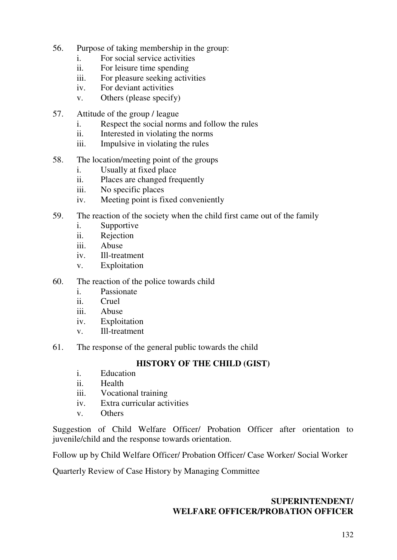- 56. Purpose of taking membership in the group:
	- i. For social service activities
	- ii. For leisure time spending
	- iii. For pleasure seeking activities
	- iv. For deviant activities
	- v. Others (please specify)
- 57. Attitude of the group / league
	- i. Respect the social norms and follow the rules
	- ii. Interested in violating the norms
	- iii. Impulsive in violating the rules
- 58. The location/meeting point of the groups
	- i. Usually at fixed place
	- ii. Places are changed frequently
	- iii. No specific places
	- iv. Meeting point is fixed conveniently
- 59. The reaction of the society when the child first came out of the family
	- i. Supportive
	- ii. Rejection
	- iii. Abuse
	- iv. Ill-treatment
	- v. Exploitation
- 60. The reaction of the police towards child
	- i. Passionate
	- ii. Cruel
	- iii. Abuse
	- iv. Exploitation
	- v. Ill-treatment
- 61. The response of the general public towards the child

# **HISTORY OF THE CHILD (GIST)**

- i. Education
- ii. Health
- iii. Vocational training
- iv. Extra curricular activities
- v. Others

Suggestion of Child Welfare Officer/ Probation Officer after orientation to juvenile/child and the response towards orientation.

Follow up by Child Welfare Officer/ Probation Officer/ Case Worker/ Social Worker

Quarterly Review of Case History by Managing Committee

### **SUPERINTENDENT/ WELFARE OFFICER/PROBATION OFFICER**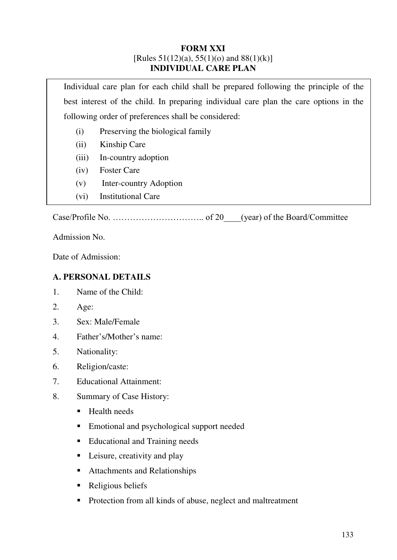#### **FORM XXI**  [Rules  $51(12)(a)$ ,  $55(1)(o)$  and  $88(1)(k)$ ] **INDIVIDUAL CARE PLAN**

Individual care plan for each child shall be prepared following the principle of the best interest of the child. In preparing individual care plan the care options in the following order of preferences shall be considered:

- (i) Preserving the biological family
- (ii) Kinship Care
- (iii) In-country adoption
- (iv) Foster Care
- (v) Inter-country Adoption
- (vi) Institutional Care

Case/Profile No. ………………………….. of 20\_\_\_\_(year) of the Board/Committee

Admission No.

Date of Admission:

#### **A. PERSONAL DETAILS**

- 1. Name of the Child:
- 2. Age:
- 3. Sex: Male/Female
- 4. Father's/Mother's name:
- 5. Nationality:
- 6. Religion/caste:
- 7. Educational Attainment:
- 8. Summary of Case History:
	- Health needs
	- Emotional and psychological support needed
	- Educational and Training needs
	- Leisure, creativity and play
	- Attachments and Relationships
	- Religious beliefs
	- Protection from all kinds of abuse, neglect and maltreatment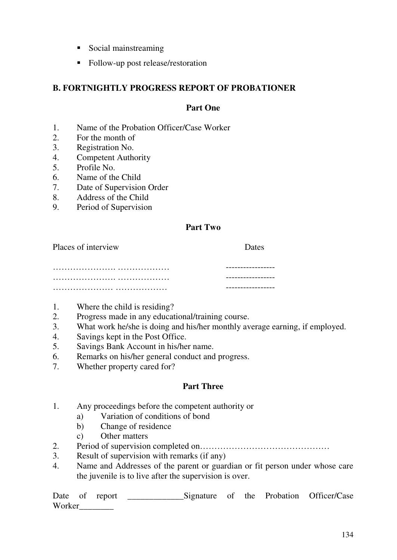- Social mainstreaming
- Follow-up post release/restoration

### **B. FORTNIGHTLY PROGRESS REPORT OF PROBATIONER**

#### **Part One**

- 1. Name of the Probation Officer/Case Worker
- 2. For the month of
- 3. Registration No.
- 4. Competent Authority
- 5. Profile No.
- 6. Name of the Child
- 7. Date of Supervision Order
- 8. Address of the Child
- 9. Period of Supervision

#### **Part Two**

Places of interview Dates …………………. ……………… ----------------- …………………. ……………… ----------------- ………………… ……………… -----------------

- 1. Where the child is residing?
- 2. Progress made in any educational/training course.
- 3. What work he/she is doing and his/her monthly average earning, if employed.
- 4. Savings kept in the Post Office.
- 5. Savings Bank Account in his/her name.
- 6. Remarks on his/her general conduct and progress.
- 7. Whether property cared for?

#### **Part Three**

- 1. Any proceedings before the competent authority or
	- a) Variation of conditions of bond
	- b) Change of residence
	- c) Other matters
- 2. Period of supervision completed on………………………………………
- 3. Result of supervision with remarks (if any)
- 4. Name and Addresses of the parent or guardian or fit person under whose care the juvenile is to live after the supervision is over.

Date of report \_\_\_\_\_\_\_\_\_\_\_\_\_Signature of the Probation Officer/Case Worker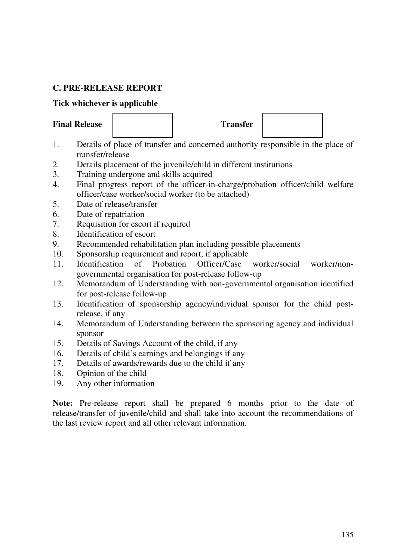# **C. PRE-RELEASE REPORT**

#### **Tick whichever is applicable**

### Final Release **Transfer**



- 1. Details of place of transfer and concerned authority responsible in the place of transfer/release
- 2. Details placement of the juvenile/child in different institutions
- 3. Training undergone and skills acquired
- 4. Final progress report of the officer-in-charge/probation officer/child welfare officer/case worker/social worker (to be attached)
- 5. Date of release/transfer
- 6. Date of repatriation
- 7. Requisition for escort if required
- 8. Identification of escort
- 9. Recommended rehabilitation plan including possible placements
- 10. Sponsorship requirement and report, if applicable
- 11. Identification of Probation Officer/Case worker/social worker/nongovernmental organisation for post-release follow-up
- 12. Memorandum of Understanding with non-governmental organisation identified for post-release follow-up
- 13. Identification of sponsorship agency/individual sponsor for the child postrelease, if any
- 14. Memorandum of Understanding between the sponsoring agency and individual sponsor
- 15. Details of Savings Account of the child, if any
- 16. Details of child's earnings and belongings if any
- 17. Details of awards/rewards due to the child if any
- 18. Opinion of the child
- 19. Any other information

Note: Pre-release report shall be prepared 6 months prior to the date of release/transfer of juvenile/child and shall take into account the recommendations of the last review report and all other relevant information.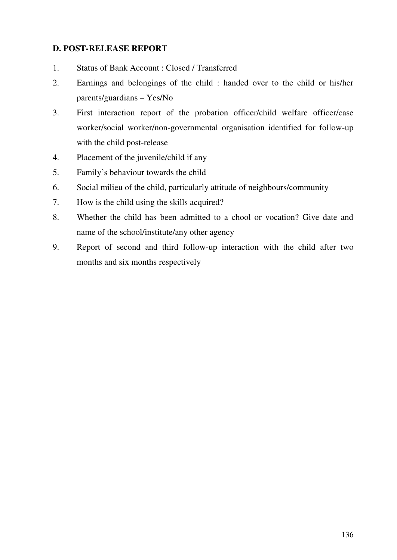# **D. POST-RELEASE REPORT**

- 1. Status of Bank Account : Closed / Transferred
- 2. Earnings and belongings of the child : handed over to the child or his/her parents/guardians – Yes/No
- 3. First interaction report of the probation officer/child welfare officer/case worker/social worker/non-governmental organisation identified for follow-up with the child post-release
- 4. Placement of the juvenile/child if any
- 5. Family's behaviour towards the child
- 6. Social milieu of the child, particularly attitude of neighbours/community
- 7. How is the child using the skills acquired?
- 8. Whether the child has been admitted to a chool or vocation? Give date and name of the school/institute/any other agency
- 9. Report of second and third follow-up interaction with the child after two months and six months respectively